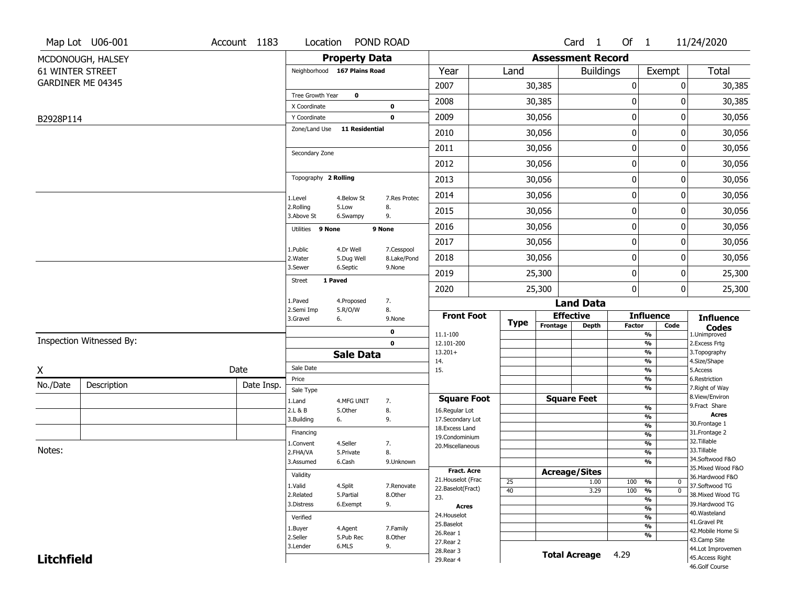|                   | Map Lot U06-001          | Account 1183 | Location                      |                       | POND ROAD    |                                          |             |                          | Card 1               | Of 1          |                                | 11/24/2020                          |
|-------------------|--------------------------|--------------|-------------------------------|-----------------------|--------------|------------------------------------------|-------------|--------------------------|----------------------|---------------|--------------------------------|-------------------------------------|
|                   | MCDONOUGH, HALSEY        |              |                               | <b>Property Data</b>  |              |                                          |             | <b>Assessment Record</b> |                      |               |                                |                                     |
|                   | <b>61 WINTER STREET</b>  |              | Neighborhood 167 Plains Road  |                       |              | Year                                     | Land        |                          | <b>Buildings</b>     |               | Exempt                         | <b>Total</b>                        |
|                   | GARDINER ME 04345        |              |                               |                       |              | 2007                                     |             | 30,385                   |                      | $\pmb{0}$     | 0                              | 30,385                              |
|                   |                          |              | Tree Growth Year              | $\mathbf 0$           |              | 2008                                     |             | 30,385                   |                      | 0             | 0                              | 30,385                              |
|                   |                          |              | X Coordinate                  |                       | 0            |                                          |             |                          |                      |               |                                |                                     |
| B2928P114         |                          |              | Y Coordinate<br>Zone/Land Use | <b>11 Residential</b> | $\mathbf 0$  | 2009                                     |             | 30,056                   |                      | 0             | 0                              | 30,056                              |
|                   |                          |              |                               |                       |              | 2010                                     |             | 30,056                   |                      | $\pmb{0}$     | 0                              | 30,056                              |
|                   |                          |              | Secondary Zone                |                       |              | 2011                                     |             | 30,056                   |                      | $\pmb{0}$     | 0                              | 30,056                              |
|                   |                          |              |                               |                       |              | 2012                                     |             | 30,056                   |                      | 0             | 0                              | 30,056                              |
|                   |                          |              | Topography 2 Rolling          |                       |              | 2013                                     |             | 30,056                   |                      | $\pmb{0}$     | 0                              | 30,056                              |
|                   |                          |              | 1.Level                       | 4.Below St            | 7.Res Protec | 2014                                     |             | 30,056                   |                      | $\pmb{0}$     | 0                              | 30,056                              |
|                   |                          |              | 2.Rolling<br>3.Above St       | 5.Low<br>6.Swampy     | 8.<br>9.     | 2015                                     |             | 30,056                   |                      | 0             | 0                              | 30,056                              |
|                   |                          |              | Utilities 9 None              |                       | 9 None       | 2016                                     |             | 30,056                   |                      | 0             | 0                              | 30,056                              |
|                   |                          |              | 1.Public                      | 4.Dr Well             | 7.Cesspool   | 2017                                     |             | 30,056                   |                      | 0             | 0                              | 30,056                              |
|                   |                          |              | 2. Water                      | 5.Dug Well            | 8.Lake/Pond  | 2018                                     |             | 30,056                   |                      | $\mathbf 0$   | 0                              | 30,056                              |
|                   |                          |              | 3.Sewer                       | 6.Septic              | 9.None       | 2019                                     |             | 25,300                   |                      | $\pmb{0}$     | 0                              | 25,300                              |
|                   |                          |              | Street                        | 1 Paved               |              | 2020                                     |             | 25,300                   |                      | 0             | 0                              | 25,300                              |
|                   |                          |              | 1.Paved<br>2.Semi Imp         | 4.Proposed            | 7.<br>8.     |                                          |             |                          | <b>Land Data</b>     |               |                                |                                     |
|                   |                          |              | 3.Gravel                      | 5.R/O/W<br>6.         | 9.None       | <b>Front Foot</b>                        | <b>Type</b> |                          | <b>Effective</b>     |               | <b>Influence</b>               | <b>Influence</b>                    |
|                   |                          |              |                               |                       | 0            | 11.1-100                                 |             | Frontage                 | <b>Depth</b>         | <b>Factor</b> | Code<br>%                      | <b>Codes</b><br>1.Unimproved        |
|                   | Inspection Witnessed By: |              |                               |                       | $\mathbf 0$  | 12.101-200                               |             |                          |                      |               | $\frac{9}{6}$                  | 2. Excess Frtg                      |
|                   |                          |              |                               | <b>Sale Data</b>      |              | $13.201+$<br>14.                         |             |                          |                      |               | %<br>$\frac{9}{6}$             | 3. Topography<br>4.Size/Shape       |
| X                 |                          | Date         | Sale Date                     |                       |              | 15.                                      |             |                          |                      |               | $\frac{9}{6}$                  | 5.Access                            |
| No./Date          | Description              | Date Insp.   | Price                         |                       |              |                                          |             |                          |                      |               | %<br>%                         | 6.Restriction<br>7. Right of Way    |
|                   |                          |              | Sale Type<br>1.Land           | 4.MFG UNIT            | 7.           | <b>Square Foot</b>                       |             |                          | <b>Square Feet</b>   |               |                                | 8.View/Environ                      |
|                   |                          |              | 2.L & B                       | 5.Other               | 8.           | 16.Regular Lot                           |             |                          |                      |               | $\overline{\frac{9}{6}}$       | 9. Fract Share<br><b>Acres</b>      |
|                   |                          |              | 3.Building                    | 6.                    | 9.           | 17.Secondary Lot                         |             |                          |                      |               | $\frac{9}{6}$<br>$\frac{9}{6}$ | 30. Frontage 1                      |
|                   |                          |              | Financing                     |                       |              | 18.Excess Land<br>19.Condominium         |             |                          |                      |               | $\frac{9}{6}$                  | 31. Frontage 2                      |
|                   |                          |              | 1.Convent                     | 4.Seller              | 7.           | 20.Miscellaneous                         |             |                          |                      |               | $\overline{\frac{9}{6}}$       | 32.Tillable                         |
| Notes:            |                          |              | 2.FHA/VA                      | 5.Private             | 8.           |                                          |             |                          |                      |               | $\frac{9}{6}$                  | 33.Tillable<br>34.Softwood F&O      |
|                   |                          |              | 3.Assumed                     | 6.Cash                | 9.Unknown    |                                          |             |                          |                      |               | $\overline{\frac{9}{6}}$       | 35. Mixed Wood F&O                  |
|                   |                          |              | Validity                      |                       |              | <b>Fract. Acre</b><br>21. Houselot (Frac |             |                          | <b>Acreage/Sites</b> |               |                                | 36.Hardwood F&O                     |
|                   |                          |              | 1.Valid                       | 4.Split               | 7.Renovate   | 22.Baselot(Fract)                        | 25<br>40    |                          | 1.00<br>3.29         | 100<br>100    | %<br>$\bf{0}$<br>$\mathbf 0$   | 37.Softwood TG                      |
|                   |                          |              | 2.Related                     | 5.Partial             | 8.Other      | 23.                                      |             |                          |                      |               | %<br>%                         | 38. Mixed Wood TG                   |
|                   |                          |              | 3.Distress                    | 6.Exempt              | 9.           | Acres                                    |             |                          |                      |               | %                              | 39.Hardwood TG                      |
|                   |                          |              | Verified                      |                       |              | 24. Houselot                             |             |                          |                      |               | %                              | 40. Wasteland                       |
|                   |                          |              | 1.Buyer                       | 4.Agent               | 7.Family     | 25.Baselot                               |             |                          |                      |               | %                              | 41.Gravel Pit<br>42. Mobile Home Si |
|                   |                          |              | 2.Seller                      | 5.Pub Rec             | 8.Other      | 26.Rear 1                                |             |                          |                      |               | %                              | 43.Camp Site                        |
|                   |                          |              | 3.Lender                      | 6.MLS                 | 9.           | 27. Rear 2<br>28. Rear 3                 |             |                          |                      |               |                                | 44.Lot Improvemen                   |
| <b>Litchfield</b> |                          |              |                               |                       |              | 29. Rear 4                               |             |                          | <b>Total Acreage</b> | 4.29          |                                | 45.Access Right<br>46.Golf Course   |
|                   |                          |              |                               |                       |              |                                          |             |                          |                      |               |                                |                                     |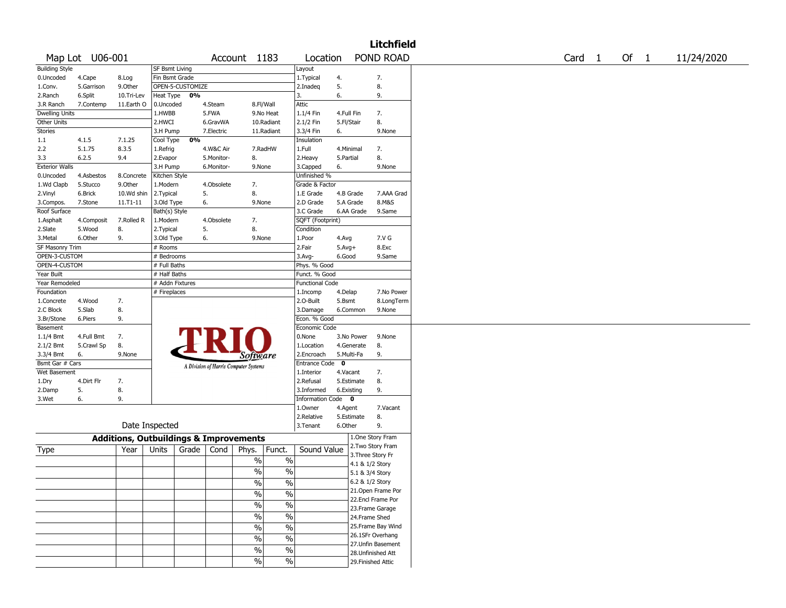|                       |                 |                                                   |                       |                  |            |                                       |                          |                        |            | <b>Litchfield</b>  |        |        |            |
|-----------------------|-----------------|---------------------------------------------------|-----------------------|------------------|------------|---------------------------------------|--------------------------|------------------------|------------|--------------------|--------|--------|------------|
|                       | Map Lot U06-001 |                                                   |                       |                  |            | Account 1183                          |                          | Location               |            | POND ROAD          | Card 1 | Of $1$ | 11/24/2020 |
| <b>Building Style</b> |                 |                                                   | <b>SF Bsmt Living</b> |                  |            |                                       |                          | Layout                 |            |                    |        |        |            |
| 0.Uncoded             | 4.Cape          | 8.Log                                             | Fin Bsmt Grade        |                  |            |                                       |                          | 1. Typical             | 4.         | 7.                 |        |        |            |
| 1.Conv.               | 5.Garrison      | 9.Other                                           |                       | OPEN-5-CUSTOMIZE |            |                                       |                          | 2.Inadeq               | 5.         | 8.                 |        |        |            |
| 2.Ranch               | 6.Split         | 10.Tri-Lev                                        | Heat Type             | 0%               |            |                                       |                          | 3.                     | 6.         | 9.                 |        |        |            |
| 3.R Ranch             | 7.Contemp       | 11.Earth O                                        | 0.Uncoded             |                  | 4.Steam    |                                       | 8.Fl/Wall                | Attic                  |            |                    |        |        |            |
| <b>Dwelling Units</b> |                 |                                                   | 1.HWBB                |                  | 5.FWA      |                                       | 9.No Heat                | 1.1/4 Fin              | 4.Full Fin | 7.                 |        |        |            |
| Other Units           |                 |                                                   | 2.HWCI                |                  | 6.GravWA   |                                       | 10.Radiant               | 2.1/2 Fin              | 5.Fl/Stair | 8.                 |        |        |            |
| <b>Stories</b>        |                 |                                                   | 3.H Pump              |                  | 7.Electric |                                       | 11.Radiant               | 3.3/4 Fin              | 6.         | 9.None             |        |        |            |
|                       | 4.1.5           |                                                   |                       | 0%               |            |                                       |                          |                        |            |                    |        |        |            |
| 1.1                   |                 | 7.1.25                                            | Cool Type             |                  |            |                                       |                          | Insulation             |            |                    |        |        |            |
| 2.2                   | 5.1.75          | 8.3.5                                             | 1.Refrig              |                  | 4.W&C Air  |                                       | 7.RadHW                  | 1.Full                 | 4.Minimal  | 7.                 |        |        |            |
| 3.3                   | 6.2.5           | 9.4                                               | 2.Evapor              |                  | 5.Monitor- | 8.                                    |                          | 2. Heavy               | 5.Partial  | 8.                 |        |        |            |
| <b>Exterior Walls</b> |                 |                                                   | 3.H Pump              |                  | 6.Monitor- | 9.None                                |                          | 3.Capped               | 6.         | 9.None             |        |        |            |
| 0.Uncoded             | 4.Asbestos      | 8.Concrete                                        | Kitchen Style         |                  |            |                                       |                          | Unfinished %           |            |                    |        |        |            |
| 1.Wd Clapb            | 5.Stucco        | 9.Other                                           | 1.Modern              |                  | 4.Obsolete | 7.                                    |                          | Grade & Factor         |            |                    |        |        |            |
| 2.Vinyl               | 6.Brick         | 10.Wd shin                                        | 2.Typical             |                  | 5.         | 8.                                    |                          | 1.E Grade              | 4.B Grade  | 7.AAA Grad         |        |        |            |
| 3.Compos.             | 7.Stone         | 11.T1-11                                          | 3.Old Type            |                  | 6.         | 9.None                                |                          | 2.D Grade              | 5.A Grade  | 8.M&S              |        |        |            |
| Roof Surface          |                 |                                                   | Bath(s) Style         |                  |            |                                       |                          | 3.C Grade              | 6.AA Grade | 9.Same             |        |        |            |
| 1.Asphalt             | 4.Composit      | 7.Rolled R                                        | 1.Modern              |                  | 4.Obsolete | 7.                                    |                          | SQFT (Footprint)       |            |                    |        |        |            |
| 2.Slate               | 5.Wood          | 8.                                                | 2.Typical             |                  | 5.         | 8.                                    |                          | Condition              |            |                    |        |        |            |
| 3.Metal               | 6.Other         | 9.                                                | 3.Old Type            |                  | 6.         | 9.None                                |                          | 1.Poor                 | 4.Avg      | 7.V G              |        |        |            |
| SF Masonry Trim       |                 |                                                   | # Rooms               |                  |            |                                       |                          | 2.Fair                 | $5.Avg+$   | 8.Exc              |        |        |            |
| OPEN-3-CUSTOM         |                 |                                                   | # Bedrooms            |                  |            |                                       |                          | 3.Avg-                 | 6.Good     | 9.Same             |        |        |            |
| OPEN-4-CUSTOM         |                 |                                                   |                       |                  |            |                                       |                          |                        |            |                    |        |        |            |
|                       |                 |                                                   | # Full Baths          |                  |            |                                       |                          | Phys. % Good           |            |                    |        |        |            |
| Year Built            |                 |                                                   | # Half Baths          |                  |            |                                       |                          | Funct. % Good          |            |                    |        |        |            |
| Year Remodeled        |                 |                                                   | # Addn Fixtures       |                  |            |                                       |                          | <b>Functional Code</b> |            |                    |        |        |            |
| Foundation            |                 |                                                   | # Fireplaces          |                  |            |                                       |                          | 1.Incomp               | 4.Delap    | 7.No Power         |        |        |            |
| 1.Concrete            | 4.Wood          | 7.                                                |                       |                  |            |                                       |                          | 2.O-Built              | 5.Bsmt     | 8.LongTerm         |        |        |            |
| 2.C Block             | 5.Slab          | 8.                                                |                       |                  |            |                                       |                          | 3.Damage               | 6.Common   | 9.None             |        |        |            |
| 3.Br/Stone            | 6.Piers         | 9.                                                |                       |                  |            |                                       |                          | Econ. % Good           |            |                    |        |        |            |
| Basement              |                 |                                                   |                       |                  |            |                                       |                          | Economic Code          |            |                    |        |        |            |
| 1.1/4 Bmt             | 4.Full Bmt      | 7.                                                |                       |                  |            |                                       |                          | 0.None                 | 3.No Power | 9.None             |        |        |            |
| 2.1/2 Bmt             | 5.Crawl Sp      | 8.                                                |                       |                  |            |                                       |                          | 1.Location             | 4.Generate | 8.                 |        |        |            |
| 3.3/4 Bmt             | 6.              | 9.None                                            |                       |                  |            | <i>Software</i>                       |                          | 2.Encroach             | 5.Multi-Fa | 9.                 |        |        |            |
| Bsmt Gar # Cars       |                 |                                                   |                       |                  |            |                                       |                          | <b>Entrance Code</b>   | $\bf{0}$   |                    |        |        |            |
| Wet Basement          |                 |                                                   |                       |                  |            | A Division of Harris Computer Systems |                          | 1.Interior             | 4.Vacant   | 7.                 |        |        |            |
| 1.Dry                 | 4.Dirt Flr      | 7.                                                |                       |                  |            |                                       |                          | 2.Refusal              | 5.Estimate | 8.                 |        |        |            |
|                       | 5.              | 8.                                                |                       |                  |            |                                       |                          | 3.Informed             | 6.Existing | 9.                 |        |        |            |
| 2.Damp                |                 |                                                   |                       |                  |            |                                       |                          |                        |            |                    |        |        |            |
| 3.Wet                 | 6.              | 9.                                                |                       |                  |            |                                       |                          | Information Code 0     |            |                    |        |        |            |
|                       |                 |                                                   |                       |                  |            |                                       |                          | 1.0wner                | 4.Agent    | 7.Vacant           |        |        |            |
|                       |                 |                                                   |                       |                  |            |                                       |                          | 2.Relative             | 5.Estimate | 8.                 |        |        |            |
|                       |                 |                                                   | Date Inspected        |                  |            |                                       |                          | 3.Tenant               | 6.Other    | 9.                 |        |        |            |
|                       |                 | <b>Additions, Outbuildings &amp; Improvements</b> |                       |                  |            |                                       |                          |                        |            | 1.One Story Fram   |        |        |            |
|                       |                 |                                                   |                       |                  |            |                                       |                          |                        |            | 2. Two Story Fram  |        |        |            |
| Type                  |                 | Year                                              | Units                 | Grade            | Cond       | Phys.                                 | Funct.                   | Sound Value            |            | 3. Three Story Fr  |        |        |            |
|                       |                 |                                                   |                       |                  |            | $\%$                                  | $\%$                     |                        |            | 4.1 & 1/2 Story    |        |        |            |
|                       |                 |                                                   |                       |                  |            | $\%$                                  | $\%$                     |                        |            | 5.1 & 3/4 Story    |        |        |            |
|                       |                 |                                                   |                       |                  |            |                                       |                          |                        |            | 6.2 & 1/2 Story    |        |        |            |
|                       |                 |                                                   |                       |                  |            | %                                     | $\%$                     |                        |            | 21. Open Frame Por |        |        |            |
|                       |                 |                                                   |                       |                  |            | $\frac{1}{2}$                         | $\frac{0}{0}$            |                        |            |                    |        |        |            |
|                       |                 |                                                   |                       |                  |            | $\frac{1}{2}$                         | $\overline{\frac{0}{6}}$ |                        |            | 22.Encl Frame Por  |        |        |            |
|                       |                 |                                                   |                       |                  |            |                                       |                          |                        |            | 23. Frame Garage   |        |        |            |
|                       |                 |                                                   |                       |                  |            | $\frac{1}{2}$                         | $\overline{\frac{0}{6}}$ |                        |            | 24.Frame Shed      |        |        |            |
|                       |                 |                                                   |                       |                  |            | $\sqrt{6}$                            | $\overline{\frac{0}{6}}$ |                        |            | 25.Frame Bay Wind  |        |        |            |
|                       |                 |                                                   |                       |                  |            | $\frac{1}{2}$                         | $\%$                     |                        |            | 26.1SFr Overhang   |        |        |            |
|                       |                 |                                                   |                       |                  |            |                                       |                          |                        |            | 27.Unfin Basement  |        |        |            |
|                       |                 |                                                   |                       |                  |            | $\%$                                  | $\%$                     |                        |            | 28.Unfinished Att  |        |        |            |
|                       |                 |                                                   |                       |                  |            | $\%$                                  | $\%$                     |                        |            | 29. Finished Attic |        |        |            |
|                       |                 |                                                   |                       |                  |            |                                       |                          |                        |            |                    |        |        |            |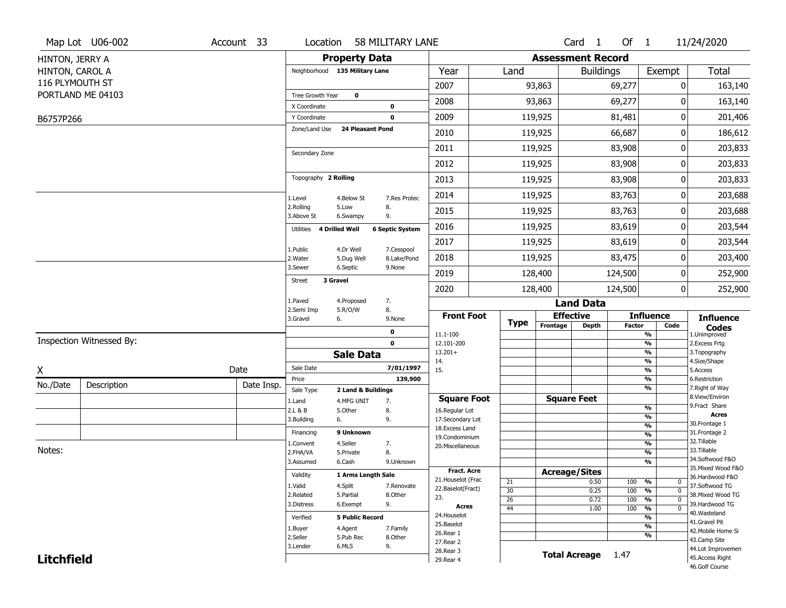|                   | Map Lot U06-002          | Account 33 | Location                       |                         | 58 MILITARY LANE       |                          |                       |                          | Card <sub>1</sub>    | Of 1          |                                  | 11/24/2020                           |
|-------------------|--------------------------|------------|--------------------------------|-------------------------|------------------------|--------------------------|-----------------------|--------------------------|----------------------|---------------|----------------------------------|--------------------------------------|
| HINTON, JERRY A   |                          |            |                                | <b>Property Data</b>    |                        |                          |                       | <b>Assessment Record</b> |                      |               |                                  |                                      |
| HINTON, CAROL A   |                          |            | Neighborhood 135 Military Lane |                         |                        | Year                     | Land                  |                          | <b>Buildings</b>     |               | Exempt                           | <b>Total</b>                         |
| 116 PLYMOUTH ST   |                          |            |                                |                         |                        | 2007                     |                       | 93,863                   |                      | 69,277        | 0                                | 163,140                              |
|                   | PORTLAND ME 04103        |            | Tree Growth Year               | $\mathbf 0$             |                        |                          |                       |                          |                      |               |                                  |                                      |
|                   |                          |            | X Coordinate                   |                         | $\mathbf 0$            | 2008                     |                       | 93,863                   |                      | 69,277        | 0                                | 163,140                              |
| B6757P266         |                          |            | Y Coordinate                   |                         | $\mathbf 0$            | 2009                     |                       | 119,925                  |                      | 81,481        | 0                                | 201,406                              |
|                   |                          |            | Zone/Land Use                  | <b>24 Pleasant Pond</b> |                        | 2010                     |                       | 119,925                  |                      | 66,687        | 0                                | 186,612                              |
|                   |                          |            | Secondary Zone                 |                         |                        | 2011                     |                       | 119,925                  |                      | 83,908        | 0                                | 203,833                              |
|                   |                          |            |                                |                         |                        | 2012                     |                       | 119,925                  |                      | 83,908        | 0                                | 203,833                              |
|                   |                          |            | Topography 2 Rolling           |                         |                        | 2013                     |                       | 119,925                  |                      | 83,908        | 0                                | 203,833                              |
|                   |                          |            | 1.Level                        | 4.Below St              | 7.Res Protec           | 2014                     |                       | 119,925                  |                      | 83,763        | 0                                | 203,688                              |
|                   |                          |            | 2.Rolling<br>3.Above St        | 5.Low<br>6.Swampy       | 8.<br>9.               | 2015                     |                       | 119,925                  |                      | 83,763        | 0                                | 203,688                              |
|                   |                          |            | Utilities 4 Drilled Well       |                         | <b>6 Septic System</b> | 2016                     |                       | 119,925                  |                      | 83,619        | 0                                | 203,544                              |
|                   |                          |            |                                | 4.Dr Well               | 7.Cesspool             | 2017                     |                       | 119,925                  |                      | 83,619        | 0                                | 203,544                              |
|                   |                          |            | 1.Public<br>2. Water           | 5.Dug Well              | 8.Lake/Pond            | 2018                     |                       | 119,925                  |                      | 83,475        | 0                                | 203,400                              |
|                   |                          |            | 3.Sewer                        | 6.Septic                | 9.None                 | 2019                     |                       | 128,400                  |                      | 124,500       | 0                                | 252,900                              |
|                   |                          |            | 3 Gravel<br><b>Street</b>      |                         |                        | 2020                     |                       | 128,400                  |                      | 124,500       | 0                                | 252,900                              |
|                   |                          |            | 1.Paved                        | 4.Proposed              | 7.                     |                          |                       |                          | <b>Land Data</b>     |               |                                  |                                      |
|                   |                          |            | 2.Semi Imp<br>3.Gravel         | 5.R/O/W<br>6.           | 8.<br>9.None           | <b>Front Foot</b>        | <b>Type</b>           | <b>Effective</b>         |                      |               | <b>Influence</b>                 | <b>Influence</b>                     |
|                   |                          |            |                                |                         | 0                      | 11.1-100                 |                       | Frontage                 | <b>Depth</b>         | <b>Factor</b> | Code<br>%                        | <b>Codes</b><br>1.Unimproved         |
|                   | Inspection Witnessed By: |            |                                |                         | $\mathbf 0$            | 12.101-200               |                       |                          |                      |               | $\frac{9}{6}$                    | 2.Excess Frtg                        |
|                   |                          |            |                                | <b>Sale Data</b>        |                        | $13.201+$<br>14.         |                       |                          |                      |               | %<br>%                           | 3. Topography<br>4.Size/Shape        |
| X                 |                          | Date       | Sale Date                      |                         | 7/01/1997              | 15.                      |                       |                          |                      |               | $\frac{9}{6}$                    | 5.Access                             |
| No./Date          | Description              | Date Insp. | Price                          |                         | 139,900                |                          |                       |                          |                      |               | %                                | 6.Restriction                        |
|                   |                          |            | Sale Type                      | 2 Land & Buildings      |                        | <b>Square Foot</b>       |                       | <b>Square Feet</b>       |                      |               | %                                | 7. Right of Way<br>8.View/Environ    |
|                   |                          |            | 1.Land<br>2.L & B              | 4.MFG UNIT<br>5.Other   | 7.<br>8.               | 16.Regular Lot           |                       |                          |                      |               | $\frac{9}{6}$                    | 9.Fract Share                        |
|                   |                          |            | 3.Building                     | 6.                      | 9.                     | 17.Secondary Lot         |                       |                          |                      |               | $\frac{9}{6}$                    | <b>Acres</b>                         |
|                   |                          |            | Financing                      | 9 Unknown               |                        | 18. Excess Land          |                       |                          |                      |               | $\frac{9}{6}$<br>$\frac{9}{6}$   | 30.Frontage 1<br>31. Frontage 2      |
|                   |                          |            | 1.Convent                      | 4.Seller                | 7.                     | 19.Condominium           |                       |                          |                      |               | $\frac{9}{6}$                    | 32. Tillable                         |
| Notes:            |                          |            | 2.FHA/VA                       | 5.Private               | 8.                     | 20.Miscellaneous         |                       |                          |                      |               | $\frac{9}{6}$                    | 33.Tillable                          |
|                   |                          |            | 3.Assumed                      | 6.Cash                  | 9.Unknown              |                          |                       |                          |                      |               | %                                | 34.Softwood F&O                      |
|                   |                          |            | Validity                       | 1 Arms Length Sale      |                        | Fract. Acre              |                       | <b>Acreage/Sites</b>     |                      |               |                                  | 35. Mixed Wood F&O                   |
|                   |                          |            | 1.Valid                        | 4.Split                 | 7.Renovate             | 21. Houselot (Frac       | 21                    |                          | 0.50                 | 100           | %<br>0                           | 36.Hardwood F&O<br>37.Softwood TG    |
|                   |                          |            | 2.Related                      | 5.Partial               | 8.Other                | 22.Baselot(Fract)<br>23. | 30                    |                          | 0.25                 | 100           | $\frac{9}{6}$<br>$\mathbf 0$     | 38. Mixed Wood TG                    |
|                   |                          |            | 3.Distress                     | 6.Exempt                | 9.                     | <b>Acres</b>             | 26<br>$\overline{44}$ |                          | 0.72                 | 100           | %<br>$\mathbf 0$<br>$\mathbf{0}$ | 39.Hardwood TG                       |
|                   |                          |            | Verified                       | <b>5 Public Record</b>  |                        | 24. Houselot             |                       |                          | 1.00                 | 100           | $\frac{9}{6}$<br>%               | 40.Wasteland                         |
|                   |                          |            |                                |                         |                        | 25.Baselot               |                       |                          |                      |               | $\frac{9}{6}$                    | 41.Gravel Pit                        |
|                   |                          |            | 1.Buyer<br>2.Seller            | 4.Agent<br>5.Pub Rec    | 7.Family<br>8.Other    | 26.Rear 1                |                       |                          |                      |               | %                                | 42. Mobile Home Si                   |
|                   |                          |            |                                |                         |                        |                          |                       |                          |                      |               |                                  | 43.Camp Site                         |
|                   |                          |            | 3.Lender                       | 6.MLS                   | 9.                     | 27.Rear 2                |                       |                          |                      |               |                                  |                                      |
| <b>Litchfield</b> |                          |            |                                |                         |                        | 28. Rear 3<br>29. Rear 4 |                       |                          | <b>Total Acreage</b> | 1.47          |                                  | 44.Lot Improvemen<br>45.Access Right |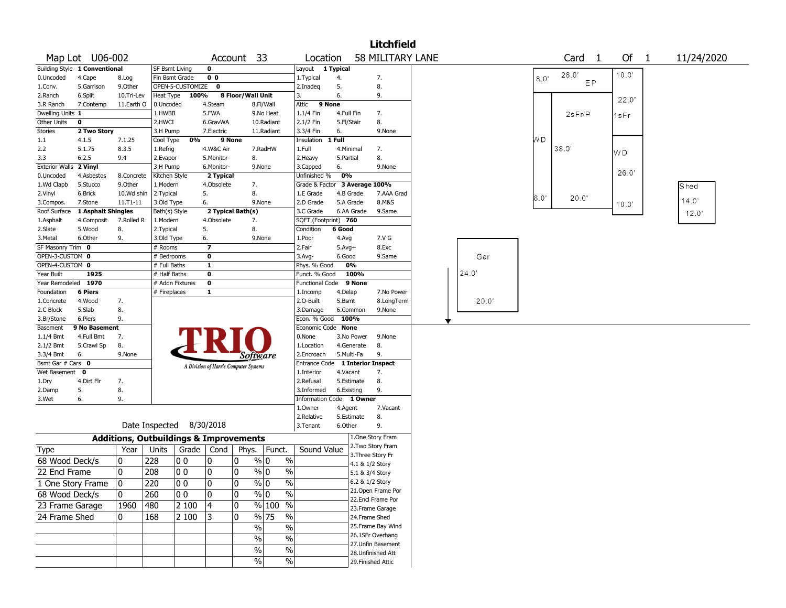|                          | <b>Litchfield</b><br>58 MILITARY LANE<br>Map Lot U06-002<br>Account 33<br>Location<br>$\mathbf{1}$ |                       |                           |                                                   |                                       |                   |                                |                                  |            |                 |                                        |  |  |       |                 |        |                    |            |
|--------------------------|----------------------------------------------------------------------------------------------------|-----------------------|---------------------------|---------------------------------------------------|---------------------------------------|-------------------|--------------------------------|----------------------------------|------------|-----------------|----------------------------------------|--|--|-------|-----------------|--------|--------------------|------------|
|                          |                                                                                                    |                       |                           |                                                   |                                       |                   |                                |                                  |            |                 |                                        |  |  |       |                 | Card   | Of<br>$\mathbf{1}$ | 11/24/2020 |
|                          | <b>Building Style 1 Conventional</b>                                                               |                       | SF Bsmt Living            |                                                   | $\mathbf 0$                           |                   |                                | Layout                           | 1 Typical  |                 |                                        |  |  |       |                 |        |                    |            |
| 0.Uncoded                | 4.Cape                                                                                             | 8.Log                 |                           | Fin Bsmt Grade                                    | 0 <sub>0</sub>                        |                   |                                | 1. Typical                       | 4.         |                 | 7.                                     |  |  |       | 80 <sup>°</sup> | 26.0'  | 10.0'              |            |
| 1.Conv.                  | 5.Garrison                                                                                         | 9.Other               |                           | OPEN-5-CUSTOMIZE                                  | $\mathbf{o}$                          |                   |                                | 2.Inadeg                         | 5.         |                 | 8.                                     |  |  |       |                 | EP     |                    |            |
| 2.Ranch                  | 6.Split                                                                                            | 10.Tri-Lev            | Heat Type                 | 100%                                              |                                       | 8 Floor/Wall Unit |                                | 3.                               | 6.         |                 | 9.                                     |  |  |       |                 |        | 22.0'              |            |
| 3.R Ranch                | 7.Contemp                                                                                          | 11.Earth O            | 0.Uncoded                 |                                                   | 4.Steam                               |                   | 8.Fl/Wall                      | 9 None<br>Attic                  |            |                 |                                        |  |  |       |                 |        |                    |            |
| Dwelling Units 1         |                                                                                                    |                       | 1.HWBB                    |                                                   | 5.FWA                                 |                   | 9.No Heat                      | 1.1/4 Fin                        | 4.Full Fin |                 | 7.                                     |  |  |       |                 | 2sFr/P | 1sFr               |            |
| Other Units              | $\mathbf 0$                                                                                        |                       | 2.HWCI                    |                                                   | 6.GravWA                              |                   | 10.Radiant                     | 2.1/2 Fin                        | 5.Fl/Stair |                 | 8.                                     |  |  |       |                 |        |                    |            |
| Stories                  | 2 Two Story                                                                                        |                       | 3.H Pump                  |                                                   | 7.Electric                            |                   | 11.Radiant                     | 3.3/4 Fin                        | 6.         |                 | 9.None                                 |  |  |       |                 |        |                    |            |
| 1.1                      | 4.1.5                                                                                              | 7.1.25                | Cool Type                 | 0%                                                |                                       | 9 None            |                                | Insulation                       | 1 Full     |                 |                                        |  |  |       | WD              |        |                    |            |
| 2.2                      | 5.1.75                                                                                             | 8.3.5                 | 1.Refrig                  |                                                   | 4.W&C Air                             |                   | 7.RadHW                        | 1.Full                           | 4.Minimal  |                 | 7.                                     |  |  |       |                 | 38.0'  | WD                 |            |
| 3.3                      | 6.2.5                                                                                              | 9.4                   | 2. Evapor                 |                                                   | 5.Monitor-                            | 8.                |                                | 2. Heavy                         | 5.Partial  |                 | 8.                                     |  |  |       |                 |        |                    |            |
| <b>Exterior Walls</b>    | 2 Vinyl                                                                                            |                       | 3.H Pump                  |                                                   | 6.Monitor-                            |                   | 9.None                         | 3.Capped<br>Unfinished %         | 6.<br>0%   |                 | 9.None                                 |  |  |       |                 |        | 26.0               |            |
| 0.Uncoded<br>1.Wd Clapb  | 4.Asbestos<br>5.Stucco                                                                             | 8.Concrete<br>9.Other | Kitchen Style<br>1.Modern |                                                   | 2 Typical<br>4.Obsolete               | 7.                |                                | Grade & Factor 3 Average 100%    |            |                 |                                        |  |  |       |                 |        |                    |            |
| 2.Vinyl                  | 6.Brick                                                                                            | 10.Wd shin            | 2. Typical                |                                                   | 5.                                    | 8.                |                                | 1.E Grade                        |            | 4.B Grade       | 7.AAA Grad                             |  |  |       |                 |        |                    | Shed       |
| 3.Compos.                | 7.Stone                                                                                            | 11.T1-11              | 3.Old Type                |                                                   | 6.                                    |                   | 9.None                         | 2.D Grade                        |            | 5.A Grade       | 8.M&S                                  |  |  |       | 6.0'            | 20.0"  |                    | 14.0'      |
| Roof Surface             | 1 Asphalt Shingles                                                                                 |                       | Bath(s) Style             |                                                   |                                       | 2 Typical Bath(s) |                                | 3.C Grade                        |            | 6.AA Grade      | 9.Same                                 |  |  |       |                 |        | 10.0"              | 12.0'      |
| 1.Asphalt                | 4.Composit                                                                                         | 7.Rolled R            | 1.Modern                  |                                                   | 4.Obsolete                            | 7.                |                                | SQFT (Footprint) 760             |            |                 |                                        |  |  |       |                 |        |                    |            |
| 2.Slate                  | 5.Wood                                                                                             | 8.                    | 2. Typical                |                                                   | 5.                                    | 8.                |                                | Condition                        | 6 Good     |                 |                                        |  |  |       |                 |        |                    |            |
| 3.Metal                  | 6.Other                                                                                            | 9.                    | 3.Old Type                |                                                   | 6.                                    |                   | 9.None                         | 1.Poor                           | 4.Avg      |                 | 7.V G                                  |  |  |       |                 |        |                    |            |
| SF Masonry Trim 0        |                                                                                                    |                       | # Rooms                   |                                                   | $\overline{\phantom{a}}$              |                   |                                | 2.Fair                           | $5.Avg+$   |                 | 8.Exc                                  |  |  |       |                 |        |                    |            |
| OPEN-3-CUSTOM 0          |                                                                                                    |                       | # Bedrooms                |                                                   | 0                                     |                   |                                | 3.Avg-                           | 6.Good     |                 | 9.Same                                 |  |  | Gar   |                 |        |                    |            |
| OPEN-4-CUSTOM 0          |                                                                                                    |                       | # Full Baths              |                                                   | 1                                     |                   |                                | Phys. % Good                     |            | 0%              |                                        |  |  |       |                 |        |                    |            |
| Year Built               | 1925                                                                                               |                       | # Half Baths              |                                                   | 0                                     |                   |                                | Funct. % Good                    |            | 100%            |                                        |  |  | 24.0  |                 |        |                    |            |
| Year Remodeled 1970      |                                                                                                    |                       |                           | # Addn Fixtures                                   | 0                                     |                   |                                | Functional Code 9 None           |            |                 |                                        |  |  |       |                 |        |                    |            |
| Foundation               | <b>6 Piers</b>                                                                                     |                       | # Fireplaces              |                                                   | 1                                     |                   |                                | 1.Incomp                         | 4.Delap    |                 | 7.No Power                             |  |  |       |                 |        |                    |            |
| 1.Concrete               | 4.Wood                                                                                             | 7.                    |                           |                                                   |                                       |                   |                                | 2.O-Built                        | 5.Bsmt     |                 | 8.LongTerm                             |  |  | 20.0' |                 |        |                    |            |
| 2.C Block                | 5.Slab                                                                                             | 8.                    |                           |                                                   |                                       |                   |                                | 3.Damage                         |            | 6.Common        | 9.None                                 |  |  |       |                 |        |                    |            |
| 3.Br/Stone               | 6.Piers                                                                                            | 9.                    |                           |                                                   |                                       |                   |                                | Econ. % Good                     | 100%       |                 |                                        |  |  |       |                 |        |                    |            |
| Basement                 | 9 No Basement                                                                                      |                       |                           |                                                   |                                       |                   |                                | Economic Code None               |            |                 |                                        |  |  |       |                 |        |                    |            |
| $1.1/4$ Bmt<br>2.1/2 Bmt | 4.Full Bmt                                                                                         | 7.<br>8.              |                           |                                                   |                                       |                   |                                | 0.None                           |            | 3.No Power      | 9.None                                 |  |  |       |                 |        |                    |            |
| 3.3/4 Bmt                | 5.Crawl Sp<br>6.                                                                                   | 9.None                |                           |                                                   |                                       |                   |                                | 1.Location<br>2.Encroach         | 5.Multi-Fa | 4.Generate      | 8.<br>9.                               |  |  |       |                 |        |                    |            |
| Bsmt Gar # Cars 0        |                                                                                                    |                       |                           |                                                   |                                       |                   | Software                       | Entrance Code 1 Interior Inspect |            |                 |                                        |  |  |       |                 |        |                    |            |
| Wet Basement 0           |                                                                                                    |                       |                           |                                                   | A Division of Harris Computer Systems |                   |                                | 1.Interior                       | 4.Vacant   |                 | 7.                                     |  |  |       |                 |        |                    |            |
| 1.Dry                    | 4.Dirt Flr                                                                                         | 7.                    |                           |                                                   |                                       |                   |                                | 2.Refusal                        |            | 5.Estimate      | 8.                                     |  |  |       |                 |        |                    |            |
| 2.Damp                   | 5.                                                                                                 | 8.                    |                           |                                                   |                                       |                   |                                | 3.Informed                       | 6.Existing |                 | 9.                                     |  |  |       |                 |        |                    |            |
| 3.Wet                    | 6.                                                                                                 | 9.                    |                           |                                                   |                                       |                   |                                | Information Code 1 Owner         |            |                 |                                        |  |  |       |                 |        |                    |            |
|                          |                                                                                                    |                       |                           |                                                   |                                       |                   |                                | 1.0wner                          | 4.Agent    |                 | 7.Vacant                               |  |  |       |                 |        |                    |            |
|                          |                                                                                                    |                       |                           |                                                   |                                       |                   |                                | 2.Relative                       |            | 5.Estimate      | 8.                                     |  |  |       |                 |        |                    |            |
|                          |                                                                                                    |                       |                           | Date Inspected 8/30/2018                          |                                       |                   |                                | 3.Tenant                         | 6.Other    |                 | 9.                                     |  |  |       |                 |        |                    |            |
|                          |                                                                                                    |                       |                           | <b>Additions, Outbuildings &amp; Improvements</b> |                                       |                   |                                |                                  |            |                 | 1.One Story Fram                       |  |  |       |                 |        |                    |            |
| Type                     |                                                                                                    | Year                  | Units                     |                                                   | Grade   Cond                          | Phys.             | Funct.                         | Sound Value                      |            |                 | 2. Two Story Fram                      |  |  |       |                 |        |                    |            |
| 68 Wood Deck/s           |                                                                                                    | 0                     | 228                       | 0 <sub>0</sub>                                    | 10                                    | 0                 | $\%$<br>% 0                    |                                  |            |                 | 3. Three Story Fr                      |  |  |       |                 |        |                    |            |
|                          |                                                                                                    |                       |                           |                                                   |                                       |                   |                                |                                  |            | 4.1 & 1/2 Story |                                        |  |  |       |                 |        |                    |            |
| 22 Encl Frame            |                                                                                                    | 0                     | 208                       | 00                                                | ٥١                                    | 0                 | % 0<br>$\%$                    |                                  |            | 5.1 & 3/4 Story |                                        |  |  |       |                 |        |                    |            |
|                          | 1 One Story Frame                                                                                  | 0                     | 220                       | 0 0                                               | 0                                     | 10                | $\sqrt{20}$<br>$\%$ 0          |                                  |            |                 | 6.2 & 1/2 Story                        |  |  |       |                 |        |                    |            |
| 68 Wood Deck/s           |                                                                                                    | 10                    | 260                       | 00                                                | 0                                     | 0                 | $\sqrt[6]{0}$<br>$\frac{1}{2}$ |                                  |            |                 | 21.Open Frame Por                      |  |  |       |                 |        |                    |            |
| 23 Frame Garage          |                                                                                                    | 1960                  | 480                       | 2 100                                             | $ 4\rangle$                           | 0                 | $\frac{9}{6}$ 100 %            |                                  |            |                 | 22.Encl Frame Por                      |  |  |       |                 |        |                    |            |
|                          |                                                                                                    | 10                    |                           |                                                   |                                       | 0                 | $\frac{9}{6}$ 75<br>$\%$       |                                  |            |                 | 23. Frame Garage                       |  |  |       |                 |        |                    |            |
| 24 Frame Shed            |                                                                                                    |                       | 168                       | 2 100                                             | 13                                    |                   |                                |                                  |            |                 | 24.Frame Shed                          |  |  |       |                 |        |                    |            |
|                          |                                                                                                    |                       |                           |                                                   |                                       |                   | $\frac{1}{2}$<br>%             |                                  |            |                 | 25. Frame Bay Wind<br>26.1SFr Overhang |  |  |       |                 |        |                    |            |
|                          |                                                                                                    |                       |                           |                                                   |                                       |                   | $\frac{1}{2}$<br>$\%$          |                                  |            |                 | 27. Unfin Basement                     |  |  |       |                 |        |                    |            |
|                          |                                                                                                    |                       |                           |                                                   |                                       |                   | $\sqrt{6}$<br>%                |                                  |            |                 | 28. Unfinished Att                     |  |  |       |                 |        |                    |            |
|                          |                                                                                                    |                       |                           |                                                   |                                       |                   | $\sqrt{20}$<br>$\frac{0}{0}$   |                                  |            |                 | 29. Finished Attic                     |  |  |       |                 |        |                    |            |
|                          |                                                                                                    |                       |                           |                                                   |                                       |                   |                                |                                  |            |                 |                                        |  |  |       |                 |        |                    |            |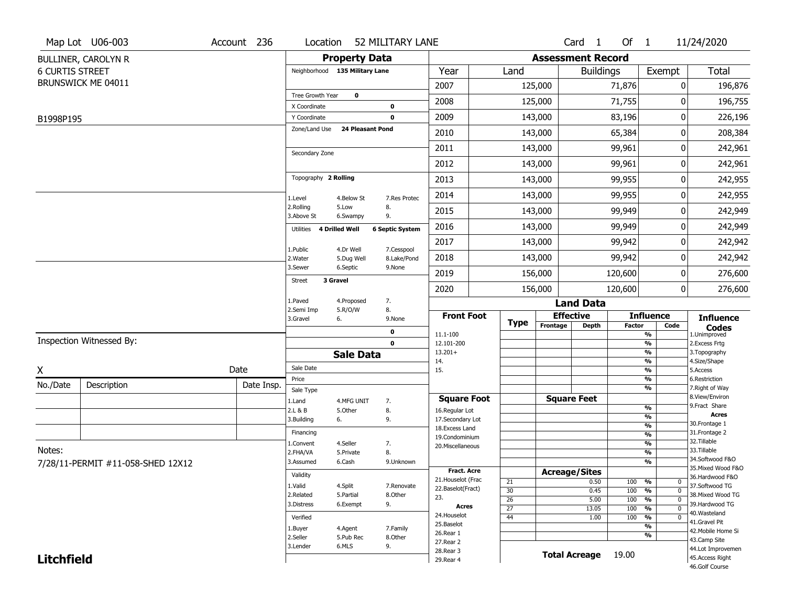|                        | Map Lot U06-003                   | Account 236 | Location                       |                         | 52 MILITARY LANE       |                                         |                       |          | Card <sub>1</sub>        | Of $1$        |                                                  | 11/24/2020                            |
|------------------------|-----------------------------------|-------------|--------------------------------|-------------------------|------------------------|-----------------------------------------|-----------------------|----------|--------------------------|---------------|--------------------------------------------------|---------------------------------------|
|                        | <b>BULLINER, CAROLYN R</b>        |             |                                | <b>Property Data</b>    |                        |                                         |                       |          | <b>Assessment Record</b> |               |                                                  |                                       |
| <b>6 CURTIS STREET</b> |                                   |             | Neighborhood 135 Military Lane |                         |                        | Year                                    | Land                  |          | <b>Buildings</b>         |               | Exempt                                           | <b>Total</b>                          |
|                        | BRUNSWICK ME 04011                |             |                                |                         |                        | 2007                                    |                       | 125,000  |                          | 71,876        | 0                                                | 196,876                               |
|                        |                                   |             | Tree Growth Year               | $\mathbf 0$             |                        | 2008                                    |                       | 125,000  |                          | 71,755        | 0                                                | 196,755                               |
| B1998P195              |                                   |             | X Coordinate<br>Y Coordinate   |                         | 0<br>0                 | 2009                                    |                       | 143,000  |                          | 83,196        | 0                                                | 226,196                               |
|                        |                                   |             | Zone/Land Use                  | <b>24 Pleasant Pond</b> |                        | 2010                                    |                       | 143,000  |                          | 65,384        | 0                                                | 208,384                               |
|                        |                                   |             |                                |                         |                        | 2011                                    |                       | 143,000  |                          | 99,961        | 0                                                | 242,961                               |
|                        |                                   |             | Secondary Zone                 |                         |                        | 2012                                    |                       | 143,000  |                          | 99,961        | 0                                                | 242,961                               |
|                        |                                   |             | Topography 2 Rolling           |                         |                        | 2013                                    |                       | 143,000  |                          | 99,955        | 0                                                | 242,955                               |
|                        |                                   |             |                                |                         |                        | 2014                                    |                       | 143,000  |                          | 99,955        | 0                                                | 242,955                               |
|                        |                                   |             | 1.Level<br>2.Rolling           | 4.Below St<br>5.Low     | 7.Res Protec<br>8.     | 2015                                    |                       | 143,000  |                          | 99,949        | 0                                                | 242,949                               |
|                        |                                   |             | 3.Above St                     | 6.Swampy                | 9.                     | 2016                                    |                       | 143,000  |                          | 99,949        | 0                                                | 242,949                               |
|                        |                                   |             | Utilities                      | 4 Drilled Well          | <b>6 Septic System</b> | 2017                                    |                       | 143,000  |                          | 99,942        | 0                                                | 242,942                               |
|                        |                                   |             | 1.Public                       | 4.Dr Well               | 7.Cesspool             | 2018                                    |                       | 143,000  |                          | 99,942        | 0                                                | 242,942                               |
|                        |                                   |             | 2. Water<br>3.Sewer            | 5.Dug Well<br>6.Septic  | 8.Lake/Pond<br>9.None  |                                         |                       |          |                          |               |                                                  |                                       |
|                        |                                   |             | <b>Street</b>                  | 3 Gravel                |                        | 2019                                    |                       | 156,000  |                          | 120,600       | 0<br>0                                           | 276,600                               |
|                        |                                   |             | 1.Paved                        | 4.Proposed              | 7.                     | 2020                                    |                       | 156,000  | <b>Land Data</b>         | 120,600       |                                                  | 276,600                               |
|                        |                                   |             | 2.Semi Imp                     | 5.R/O/W                 | 8.                     | <b>Front Foot</b>                       |                       |          | <b>Effective</b>         |               | <b>Influence</b>                                 | <b>Influence</b>                      |
|                        |                                   |             | 3.Gravel                       | 6.                      | 9.None<br>0            |                                         | <b>Type</b>           | Frontage | <b>Depth</b>             | <b>Factor</b> | Code                                             | <b>Codes</b>                          |
|                        | Inspection Witnessed By:          |             |                                |                         | $\mathbf 0$            | 11.1-100<br>12.101-200                  |                       |          |                          |               | %<br>%                                           | 1.Unimproved<br>2.Excess Frtg         |
|                        |                                   |             |                                | <b>Sale Data</b>        |                        | $13.201+$                               |                       |          |                          |               | %                                                | 3. Topography                         |
| X                      |                                   | Date        | Sale Date                      |                         |                        | 14.<br>15.                              |                       |          |                          |               | %<br>%                                           | 4.Size/Shape<br>5.Access              |
| No./Date               | Description                       | Date Insp.  | Price                          |                         |                        |                                         |                       |          |                          |               | %                                                | 6.Restriction                         |
|                        |                                   |             | Sale Type                      |                         |                        | <b>Square Foot</b>                      |                       |          | <b>Square Feet</b>       |               | %                                                | 7. Right of Way<br>8.View/Environ     |
|                        |                                   |             | 1.Land<br>2.L & B              | 4.MFG UNIT<br>5.Other   | 7.<br>8.               | 16.Regular Lot                          |                       |          |                          |               | %                                                | 9.Fract Share                         |
|                        |                                   |             | 3.Building                     | 6.                      | 9.                     | 17.Secondary Lot                        |                       |          |                          |               | %                                                | <b>Acres</b><br>30. Frontage 1        |
|                        |                                   |             | Financing                      |                         |                        | 18. Excess Land                         |                       |          |                          |               | $\frac{9}{6}$<br>$\overline{\frac{9}{6}}$        | 31. Frontage 2                        |
|                        |                                   |             | 1.Convent                      | 4.Seller                | 7.                     | 19.Condominium<br>20.Miscellaneous      |                       |          |                          |               | $\overline{\frac{9}{6}}$                         | 32.Tillable                           |
| Notes:                 |                                   |             | 2.FHA/VA                       | 5.Private               | 8.                     |                                         |                       |          |                          |               | $\overline{\frac{9}{6}}$                         | 33.Tillable                           |
|                        | 7/28/11-PERMIT #11-058-SHED 12X12 |             | 3.Assumed                      | 6.Cash                  | 9.Unknown              |                                         |                       |          |                          |               | $\frac{9}{6}$                                    | 34.Softwood F&O                       |
|                        |                                   |             | Validity                       |                         |                        | <b>Fract. Acre</b>                      |                       |          | <b>Acreage/Sites</b>     |               |                                                  | 35. Mixed Wood F&O<br>36.Hardwood F&O |
|                        |                                   |             | 1.Valid                        | 4.Split                 | 7.Renovate             | 21. Houselot (Frac<br>22.Baselot(Fract) | 21                    |          | 0.50                     | 100           | %<br>$\mathbf 0$                                 | 37.Softwood TG                        |
|                        |                                   |             | 2.Related                      | 5.Partial               | 8.Other                | 23.                                     | 30                    |          | 0.45                     | 100           | %<br>$\mathbf 0$<br>$\frac{9}{6}$<br>$\mathbf 0$ | 38. Mixed Wood TG                     |
|                        |                                   |             | 3.Distress                     | 6.Exempt                | 9.                     | <b>Acres</b>                            | 26<br>$\overline{27}$ |          | 5.00<br>13.05            | 100<br>100    | %<br>$\mathbf 0$                                 | 39.Hardwood TG                        |
|                        |                                   |             | Verified                       |                         |                        | 24. Houselot                            | 44                    |          | 1.00                     | 100           | %<br>$\mathbf 0$                                 | 40. Wasteland                         |
|                        |                                   |             | 1.Buyer                        | 4.Agent                 | 7.Family               | 25.Baselot                              |                       |          |                          |               | %                                                | 41.Gravel Pit                         |
|                        |                                   |             | 2.Seller                       | 5.Pub Rec               | 8.Other                | 26.Rear 1                               |                       |          |                          |               | %                                                | 42. Mobile Home Si<br>43.Camp Site    |
|                        |                                   |             | 3.Lender                       | 6.MLS                   | 9.                     | 27. Rear 2<br>28. Rear 3                |                       |          |                          |               |                                                  | 44.Lot Improvemen                     |
| <b>Litchfield</b>      |                                   |             |                                |                         |                        | 29. Rear 4                              |                       |          | <b>Total Acreage</b>     | 19.00         |                                                  | 45.Access Right                       |
|                        |                                   |             |                                |                         |                        |                                         |                       |          |                          |               |                                                  | 46.Golf Course                        |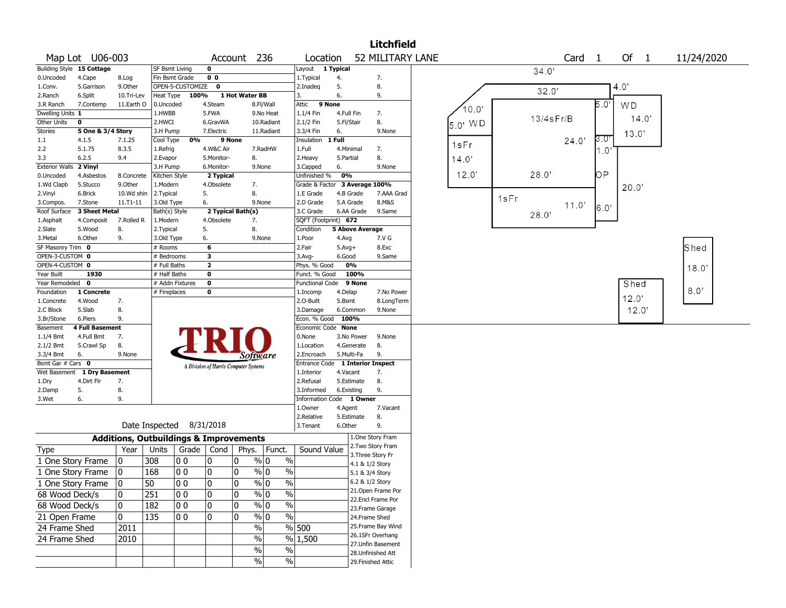|                                |                             |                                                   |                        |                          |                                       |                 |                                           |                                                |                          |                                       | <b>Litchfield</b> |         |      |              |                   |                 |           |            |
|--------------------------------|-----------------------------|---------------------------------------------------|------------------------|--------------------------|---------------------------------------|-----------------|-------------------------------------------|------------------------------------------------|--------------------------|---------------------------------------|-------------------|---------|------|--------------|-------------------|-----------------|-----------|------------|
|                                | Map Lot U06-003             |                                                   |                        |                          |                                       | Account 236     |                                           | Location                                       |                          |                                       | 52 MILITARY LANE  |         |      |              | Card <sub>1</sub> |                 | Of $1$    | 11/24/2020 |
|                                | Building Style 15 Cottage   |                                                   | <b>SF Bsmt Living</b>  |                          | $\mathbf 0$                           |                 |                                           | Layout 1 Typical                               |                          |                                       |                   |         |      | 34.0'        |                   |                 |           |            |
| 0.Uncoded                      | 4.Cape                      | 8.Log                                             | Fin Bsmt Grade         |                          | 0 <sub>0</sub>                        |                 |                                           | 1.Typical                                      | 4.                       | 7.                                    |                   |         |      |              |                   |                 |           |            |
| 1.Conv.                        | 5.Garrison                  | 9.0ther                                           |                        | OPEN-5-CUSTOMIZE         | 0                                     |                 |                                           | 2.Inadeq                                       | 5.                       | 8.                                    |                   |         |      |              |                   |                 | 4.0'      |            |
| 2.Ranch                        | 6.Split                     | 10.Tri-Lev                                        | Heat Type              | 100%                     |                                       | 1 Hot Water BB  |                                           | 3.                                             | 6.                       | 9.                                    |                   |         |      | 32.0'        |                   |                 |           |            |
| 3.R Ranch                      | 7.Contemp                   | 11.Earth O                                        | 0.Uncoded              |                          | 4.Steam                               |                 | 8.Fl/Wall                                 | Attic                                          | 9 None                   |                                       |                   | 10.0"   |      |              |                   | $\overline{50}$ | <b>WD</b> |            |
| Dwelling Units 1               |                             |                                                   | 1.HWBB                 |                          | 5.FWA                                 |                 | 9.No Heat                                 | $1.1/4$ Fin                                    | 4.Full Fin               | 7.                                    |                   |         |      | $13/4s$ Fr/B |                   |                 | 14.0'     |            |
| Other Units                    | $\mathbf 0$                 |                                                   | 2.HWCI                 |                          | 6.GravWA                              |                 | 10.Radiant                                | 2.1/2 Fin                                      | 5.Fl/Stair               | 8.                                    |                   | 5.0' WD |      |              |                   |                 |           |            |
| <b>Stories</b>                 | 5 One & 3/4 Story           |                                                   | 3.H Pump               |                          | 7.Electric                            |                 | 11.Radiant                                | 3.3/4 Fin                                      | 6.                       |                                       | 9.None            |         |      |              |                   |                 | 13.0'     |            |
| 1.1                            | 4.1.5                       | 7.1.25                                            | Cool Type              | 0%                       |                                       | 9 None          |                                           | Insulation                                     | 1 Full                   |                                       |                   | 1sFr    |      |              | 24.0'             | 3.O'            |           |            |
| 2.2                            | 5.1.75                      | 8.3.5                                             | 1.Refrig               |                          | 4.W&C Air                             |                 | 7.RadHW                                   | 1.Full                                         | 4.Minimal                | 7.                                    |                   |         |      |              |                   | 1.O'            |           |            |
| 3.3                            | 6.2.5                       | 9.4                                               | 2.Evapor               |                          | 5.Monitor-                            | 8.              |                                           | 2.Heavy                                        | 5.Partial                | 8.                                    |                   | 14.0    |      |              |                   |                 |           |            |
| <b>Exterior Walls</b>          | 2 Vinyl                     |                                                   | 3.H Pump               |                          | 6.Monitor-                            |                 | 9.None                                    | 3.Capped                                       | 6.<br>0%                 |                                       | 9.None            | 12.0    |      | 28.0'        |                   | OР              |           |            |
| 0.Uncoded<br>1.Wd Clapb        | 4.Asbestos<br>5.Stucco      | 8.Concrete<br>9.Other                             | Kitchen Style          |                          | 2 Typical<br>4.Obsolete               | 7.              |                                           | Unfinished %<br>Grade & Factor 3 Average 100%  |                          |                                       |                   |         |      |              |                   |                 |           |            |
| 2.Vinyl                        | 6.Brick                     | 10.Wd shin                                        | 1.Modern<br>2. Typical |                          | 5.                                    | 8.              |                                           | 1.E Grade                                      | 4.B Grade                |                                       | 7.AAA Grad        |         |      |              |                   |                 | 20.0      |            |
| 3.Compos.                      | 7.Stone                     | $11. T1 - 11$                                     | 3.Old Type             |                          | 6.                                    |                 | 9.None                                    | 2.D Grade                                      | 5.A Grade                |                                       | 8.M&S             |         | 1sFr |              |                   |                 |           |            |
| Roof Surface                   | 3 Sheet Metal               |                                                   | Bath(s) Style          |                          | 2 Typical Bath(s)                     |                 |                                           | 3.C Grade                                      | 6.AA Grade               |                                       | 9.Same            |         |      |              | 11.0'             | 6.0'            |           |            |
| 1.Asphalt                      | 4.Composit                  | 7.Rolled R                                        | 1.Modern               |                          | 4.Obsolete                            | 7.              |                                           | SQFT (Footprint) 672                           |                          |                                       |                   |         |      | 28.0'        |                   |                 |           |            |
| 2.Slate                        | 5.Wood                      | 8.                                                | 2. Typical             |                          | 5.                                    | 8.              |                                           | Condition                                      |                          | <b>5 Above Average</b>                |                   |         |      |              |                   |                 |           |            |
| 3.Metal                        | 6.Other                     | 9.                                                | 3.Old Type             |                          | 6.                                    |                 | 9.None                                    | 1.Poor                                         | 4.Avg                    |                                       | 7.V G             |         |      |              |                   |                 |           |            |
| SF Masonry Trim 0              |                             |                                                   | # Rooms                |                          | 6                                     |                 |                                           | 2.Fair                                         | $5.Avg+$                 |                                       | 8.Exc             |         |      |              |                   |                 |           | Shed       |
| OPEN-3-CUSTOM 0                |                             |                                                   | # Bedrooms             |                          | 3                                     |                 |                                           | 3.Avg-                                         | 6.Good                   |                                       | 9.Same            |         |      |              |                   |                 |           |            |
| OPEN-4-CUSTOM 0                |                             |                                                   | # Full Baths           |                          | $\mathbf{2}$                          |                 |                                           | Phys. % Good                                   | 0%                       |                                       |                   |         |      |              |                   |                 |           | 18.0       |
| Year Built                     | 1930                        |                                                   | # Half Baths           |                          | 0                                     |                 |                                           | Funct. % Good                                  |                          | 100%                                  |                   |         |      |              |                   |                 |           |            |
| Year Remodeled 0               |                             |                                                   | # Addn Fixtures        |                          | 0                                     |                 |                                           | Functional Code 9 None                         |                          |                                       |                   |         |      |              |                   |                 | Shed      |            |
| Foundation                     | 1 Concrete                  |                                                   | # Fireplaces           |                          | 0                                     |                 |                                           | 1.Incomp                                       | 4.Delap                  |                                       | 7.No Power        |         |      |              |                   |                 |           | 8.0        |
| 1.Concrete                     | 4.Wood                      | 7.                                                |                        |                          |                                       |                 |                                           | 2.0-Built                                      | 5.Bsmt                   |                                       | 8.LongTerm        |         |      |              |                   |                 | 12.0'     |            |
| 2.C Block                      | 5.Slab                      | 8.                                                |                        |                          |                                       |                 |                                           | 3.Damage                                       | 6.Common                 |                                       | 9.None            |         |      |              |                   |                 | 12.0      |            |
| 3.Br/Stone                     | 6.Piers                     | 9.                                                |                        |                          |                                       |                 |                                           | Econ. % Good                                   | 100%                     |                                       |                   |         |      |              |                   |                 |           |            |
| Basement                       | <b>4 Full Basement</b>      |                                                   |                        |                          |                                       |                 |                                           | Economic Code None                             |                          |                                       |                   |         |      |              |                   |                 |           |            |
| 1.1/4 Bmt                      | 4.Full Bmt                  | 7.                                                |                        |                          |                                       |                 |                                           | 0.None                                         | 3.No Power               |                                       | 9.None            |         |      |              |                   |                 |           |            |
| $2.1/2$ Bmt                    | 5.Crawl Sp                  | 8.<br>9.None                                      |                        |                          |                                       |                 |                                           | 1.Location                                     | 4.Generate<br>5.Multi-Fa | 8.<br>9.                              |                   |         |      |              |                   |                 |           |            |
| 3.3/4 Bmt<br>Bsmt Gar # Cars 0 | 6.                          |                                                   |                        |                          |                                       | <i>Software</i> |                                           | 2.Encroach<br>Entrance Code 1 Interior Inspect |                          |                                       |                   |         |      |              |                   |                 |           |            |
|                                | Wet Basement 1 Dry Basement |                                                   |                        |                          | A Division of Harris Computer Systems |                 |                                           | 1.Interior                                     | 4.Vacant                 | 7.                                    |                   |         |      |              |                   |                 |           |            |
| 1.Dry                          | 4.Dirt Flr                  | 7.                                                |                        |                          |                                       |                 |                                           | 2.Refusal                                      | 5.Estimate               | 8.                                    |                   |         |      |              |                   |                 |           |            |
| 2.Damp                         | 5.                          | 8.                                                |                        |                          |                                       |                 |                                           | 3.Informed                                     | 6.Existing               | 9.                                    |                   |         |      |              |                   |                 |           |            |
| 3.Wet                          | 6.                          | 9.                                                |                        |                          |                                       |                 |                                           | Information Code 1 Owner                       |                          |                                       |                   |         |      |              |                   |                 |           |            |
|                                |                             |                                                   |                        |                          |                                       |                 |                                           | 1.Owner                                        | 4.Agent                  |                                       | 7.Vacant          |         |      |              |                   |                 |           |            |
|                                |                             |                                                   |                        |                          |                                       |                 |                                           | 2.Relative                                     | 5.Estimate               | 8.                                    |                   |         |      |              |                   |                 |           |            |
|                                |                             |                                                   |                        | Date Inspected 8/31/2018 |                                       |                 |                                           | 3.Tenant                                       | 6.Other                  | 9.                                    |                   |         |      |              |                   |                 |           |            |
|                                |                             | <b>Additions, Outbuildings &amp; Improvements</b> |                        |                          |                                       |                 |                                           |                                                |                          | 1.One Story Fram                      |                   |         |      |              |                   |                 |           |            |
| <b>Type</b>                    |                             | Year                                              | Units                  | Grade                    | Cond                                  | Phys.           | Funct.                                    | Sound Value                                    |                          | 2. Two Story Fram                     |                   |         |      |              |                   |                 |           |            |
|                                |                             |                                                   |                        |                          |                                       | $\mathbf{0}$    | $\%$ 0                                    |                                                |                          | 3. Three Story Fr                     |                   |         |      |              |                   |                 |           |            |
| 1 One Story Frame              |                             |                                                   | 308                    | O O                      | 0                                     |                 |                                           | $\%$                                           |                          | 4.1 & 1/2 Story                       |                   |         |      |              |                   |                 |           |            |
| 1 One Story Frame              |                             |                                                   | 168                    | 00                       | 0                                     | 0               | $\frac{9}{0}$ 0                           | $\%$                                           |                          | 5.1 & 3/4 Story                       |                   |         |      |              |                   |                 |           |            |
| 1 One Story Frame              |                             | 10                                                | 50                     | 00                       | 0                                     | 0               | $\sqrt[9]{0}$<br>$\overline{\frac{0}{0}}$ |                                                |                          | 6.2 & 1/2 Story                       |                   |         |      |              |                   |                 |           |            |
| 68 Wood Deck/s                 |                             | 10                                                | 251                    | 00                       | $\pmb{0}$                             | 10              | $\sqrt[6]{0}$                             | $\%$                                           |                          | 21.Open Frame Por                     |                   |         |      |              |                   |                 |           |            |
| 68 Wood Deck/s                 |                             | 10                                                | 182                    | 00                       | 0                                     | 10              | $\frac{9}{0}$                             | $\%$                                           |                          | 22.Encl Frame Por                     |                   |         |      |              |                   |                 |           |            |
|                                |                             | 10                                                |                        |                          | 0                                     | 0               | $\frac{9}{0}$                             |                                                |                          | 23. Frame Garage                      |                   |         |      |              |                   |                 |           |            |
| 21 Open Frame                  |                             |                                                   | 135                    | 00                       |                                       |                 |                                           | $\%$                                           |                          | 24.Frame Shed                         |                   |         |      |              |                   |                 |           |            |
| 24 Frame Shed                  |                             | 2011                                              |                        |                          |                                       |                 | $\frac{0}{0}$                             | $\frac{9}{6}$ 500                              |                          | 25.Frame Bay Wind<br>26.1SFr Overhang |                   |         |      |              |                   |                 |           |            |
| 24 Frame Shed                  |                             | 2010                                              |                        |                          |                                       |                 | $\%$                                      | % 1,500                                        |                          | 27.Unfin Basement                     |                   |         |      |              |                   |                 |           |            |
|                                |                             |                                                   |                        |                          |                                       |                 | $\%$                                      | $\%$                                           |                          | 28.Unfinished Att                     |                   |         |      |              |                   |                 |           |            |
|                                |                             |                                                   |                        |                          |                                       |                 | $\sqrt{6}$                                | $\%$                                           |                          | 29. Finished Attic                    |                   |         |      |              |                   |                 |           |            |
|                                |                             |                                                   |                        |                          |                                       |                 |                                           |                                                |                          |                                       |                   |         |      |              |                   |                 |           |            |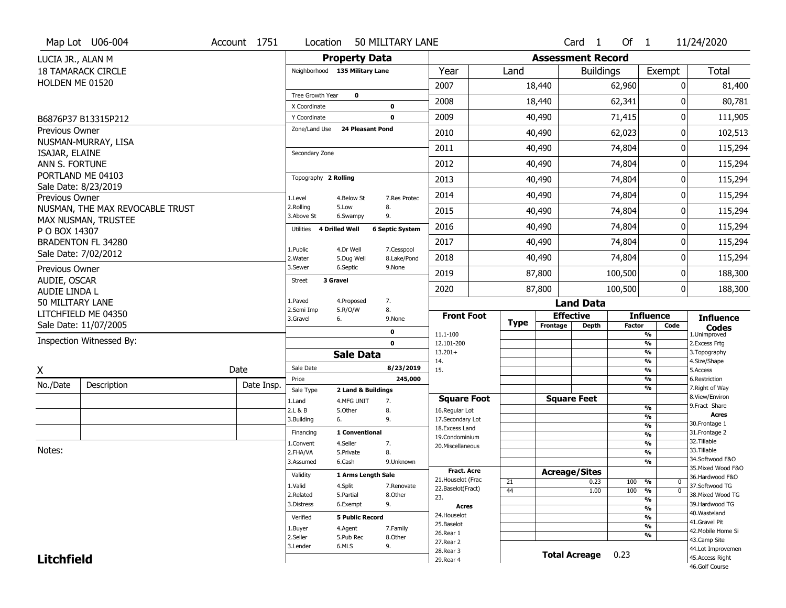|                                          | Map Lot U06-004                                        | Account 1751 |            | Location                       |                         | 50 MILITARY LANE          |                                    |             |                          | $Card \t1$       | Of $1$        |                                 | 11/24/2020                          |
|------------------------------------------|--------------------------------------------------------|--------------|------------|--------------------------------|-------------------------|---------------------------|------------------------------------|-------------|--------------------------|------------------|---------------|---------------------------------|-------------------------------------|
| LUCIA JR., ALAN M                        |                                                        |              |            |                                | <b>Property Data</b>    |                           |                                    |             | <b>Assessment Record</b> |                  |               |                                 |                                     |
|                                          | <b>18 TAMARACK CIRCLE</b>                              |              |            | Neighborhood 135 Military Lane |                         |                           | Year                               | Land        |                          | <b>Buildings</b> |               | Exempt                          | Total                               |
| HOLDEN ME 01520                          |                                                        |              |            |                                |                         |                           | 2007                               |             | 18,440                   |                  | 62,960        | 0                               | 81,400                              |
|                                          |                                                        |              |            | Tree Growth Year               | $\mathbf 0$             |                           | 2008                               |             | 18,440                   |                  | 62,341        | 0                               | 80,781                              |
|                                          |                                                        |              |            | X Coordinate                   |                         | $\mathbf 0$               |                                    |             |                          |                  |               |                                 |                                     |
|                                          | B6876P37 B13315P212                                    |              |            | Y Coordinate                   |                         | $\mathbf 0$               | 2009                               |             | 40,490                   |                  | 71,415        | 0                               | 111,905                             |
| Previous Owner                           |                                                        |              |            | Zone/Land Use                  | <b>24 Pleasant Pond</b> |                           | 2010                               |             | 40,490                   |                  | 62,023        | 0                               | 102,513                             |
| ISAJAR, ELAINE                           | NUSMAN-MURRAY, LISA                                    |              |            | Secondary Zone                 |                         |                           | 2011                               |             | 40,490                   |                  | 74,804        | 0                               | 115,294                             |
| ANN S. FORTUNE                           |                                                        |              |            |                                |                         |                           | 2012                               |             | 40,490                   |                  | 74,804        | 0                               | 115,294                             |
|                                          | PORTLAND ME 04103                                      |              |            | Topography 2 Rolling           |                         |                           | 2013                               |             | 40,490                   |                  | 74,804        | 0                               | 115,294                             |
|                                          | Sale Date: 8/23/2019                                   |              |            |                                |                         |                           |                                    |             |                          |                  |               |                                 |                                     |
| Previous Owner                           |                                                        |              |            | 1.Level<br>2.Rolling           | 4.Below St<br>5.Low     | 7.Res Protec<br>8.        | 2014                               |             | 40,490                   |                  | 74,804        | 0                               | 115,294                             |
|                                          | NUSMAN, THE MAX REVOCABLE TRUST<br>MAX NUSMAN, TRUSTEE |              |            | 3.Above St                     | 6.Swampy                | 9.                        | 2015                               |             | 40,490                   |                  | 74,804        | 0                               | 115,294                             |
| P O BOX 14307                            |                                                        |              |            | Utilities                      | <b>4 Drilled Well</b>   | <b>6 Septic System</b>    | 2016                               |             | 40,490                   |                  | 74,804        | 0                               | 115,294                             |
|                                          | <b>BRADENTON FL 34280</b>                              |              |            |                                |                         |                           | 2017                               |             | 40,490                   |                  | 74,804        | 0                               | 115,294                             |
|                                          | Sale Date: 7/02/2012                                   |              |            | 1.Public<br>2.Water            | 4.Dr Well<br>5.Dug Well | 7.Cesspool<br>8.Lake/Pond | 2018                               |             | 40,490                   |                  | 74,804        | 0                               | 115,294                             |
| Previous Owner                           |                                                        |              |            | 3.Sewer                        | 6.Septic                | 9.None                    | 2019                               |             | 87,800                   |                  | 100,500       | 0                               | 188,300                             |
| AUDIE, OSCAR                             |                                                        |              |            | 3 Gravel<br>Street             |                         |                           | 2020                               |             | 87,800                   |                  | 100,500       | 0                               | 188,300                             |
| <b>AUDIE LINDA L</b><br>50 MILITARY LANE |                                                        |              |            | 1.Paved                        | 4.Proposed              | 7.                        |                                    |             |                          |                  |               |                                 |                                     |
|                                          | LITCHFIELD ME 04350                                    |              |            | 2.Semi Imp                     | 5.R/O/W                 | 8.                        | <b>Front Foot</b>                  |             | <b>Effective</b>         | <b>Land Data</b> |               | <b>Influence</b>                |                                     |
|                                          | Sale Date: 11/07/2005                                  |              |            | 3.Gravel                       | 6.                      | 9.None                    |                                    | <b>Type</b> | Frontage                 | <b>Depth</b>     | <b>Factor</b> | Code                            | <b>Influence</b><br><b>Codes</b>    |
|                                          | Inspection Witnessed By:                               |              |            |                                |                         | 0                         | 11.1-100                           |             |                          |                  |               | %                               | 1.Unimproved                        |
|                                          |                                                        |              |            |                                | <b>Sale Data</b>        | $\mathbf 0$               | 12.101-200<br>$13.201+$            |             |                          |                  |               | %<br>%                          | 2. Excess Frtg<br>3. Topography     |
|                                          |                                                        |              |            |                                |                         |                           | 14.                                |             |                          |                  |               | %                               | 4.Size/Shape                        |
| X                                        |                                                        | Date         |            | Sale Date<br>Price             |                         | 8/23/2019<br>245,000      | 15.                                |             |                          |                  |               | %<br>%                          | 5.Access<br>6.Restriction           |
| No./Date                                 | Description                                            |              | Date Insp. | Sale Type                      | 2 Land & Buildings      |                           |                                    |             |                          |                  |               | %                               | 7. Right of Way                     |
|                                          |                                                        |              |            | 1.Land                         | 4.MFG UNIT              | 7.                        | <b>Square Foot</b>                 |             | <b>Square Feet</b>       |                  |               |                                 | 8.View/Environ<br>9. Fract Share    |
|                                          |                                                        |              |            | 2.L & B                        | 5.Other                 | 8.                        | 16.Regular Lot                     |             |                          |                  |               | %<br>%                          | Acres                               |
|                                          |                                                        |              |            | 3.Building                     | 6.                      | 9.                        | 17.Secondary Lot<br>18.Excess Land |             |                          |                  |               | %                               | 30. Frontage 1                      |
|                                          |                                                        |              |            | Financing                      | 1 Conventional          |                           | 19.Condominium                     |             |                          |                  |               | %                               | 31. Frontage 2<br>32. Tillable      |
| Notes:                                   |                                                        |              |            | 1.Convent<br>2.FHA/VA          | 4.Seller<br>5.Private   | 7.<br>8.                  | 20.Miscellaneous                   |             |                          |                  |               | %<br>$\overline{\frac{9}{6}}$   | 33.Tillable                         |
|                                          |                                                        |              |            | 3.Assumed                      | 6.Cash                  | 9.Unknown                 |                                    |             |                          |                  |               | %                               | 34.Softwood F&O                     |
|                                          |                                                        |              |            |                                |                         |                           | <b>Fract. Acre</b>                 |             | <b>Acreage/Sites</b>     |                  |               |                                 | 35. Mixed Wood F&O                  |
|                                          |                                                        |              |            | Validity                       | 1 Arms Length Sale      |                           | 21. Houselot (Frac                 | 21          |                          | 0.23             | 100           | %<br>0                          | 36.Hardwood F&O                     |
|                                          |                                                        |              |            | 1.Valid                        | 4.Split                 | 7.Renovate                | 22.Baselot(Fract)                  | 44          |                          | 1.00             | 100           | $\overline{0}$<br>$\frac{9}{6}$ | 37.Softwood TG                      |
|                                          |                                                        |              |            | 2.Related<br>3.Distress        | 5.Partial<br>6.Exempt   | 8.Other<br>9.             | 23.                                |             |                          |                  |               | %                               | 38. Mixed Wood TG<br>39.Hardwood TG |
|                                          |                                                        |              |            |                                |                         |                           | Acres                              |             |                          |                  |               | %                               | 40. Wasteland                       |
|                                          |                                                        |              |            | Verified                       | <b>5 Public Record</b>  |                           | 24. Houselot<br>25.Baselot         |             |                          |                  |               | %                               | 41.Gravel Pit                       |
|                                          |                                                        |              |            | 1.Buyer                        | 4.Agent                 | 7.Family                  | 26.Rear 1                          |             |                          |                  |               | %<br>%                          | 42. Mobile Home Si                  |
|                                          |                                                        |              |            | 2.Seller                       | 5.Pub Rec               | 8.Other                   | 27. Rear 2                         |             |                          |                  |               |                                 | 43.Camp Site                        |
|                                          |                                                        |              |            | 3.Lender                       | 6.MLS                   | 9.                        | 28. Rear 3                         |             | <b>Total Acreage</b>     |                  | 0.23          |                                 | 44.Lot Improvemen                   |
| <b>Litchfield</b>                        |                                                        |              |            |                                |                         |                           | 29. Rear 4                         |             |                          |                  |               |                                 | 45.Access Right                     |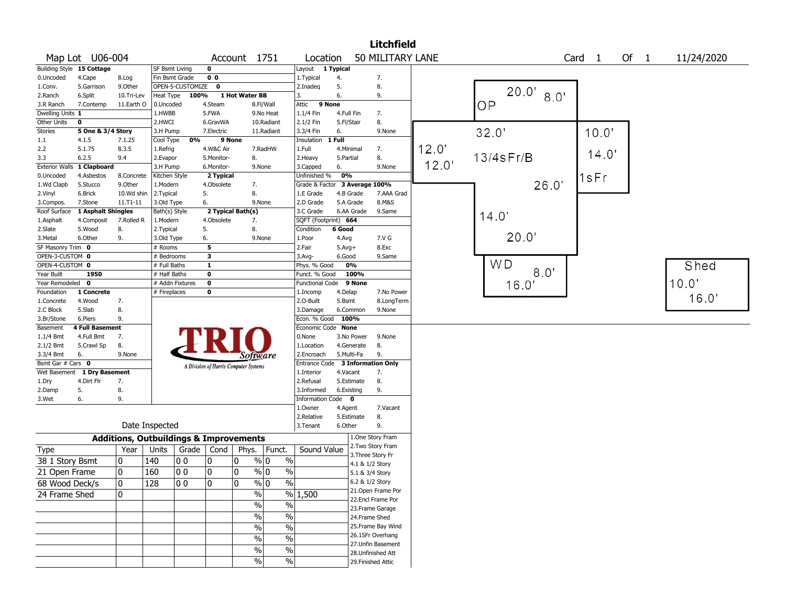|                    |                            |                                                   |                         |                  |                |                                       |                          |                        |                  | <b>Litchfield</b>                       |       |                |       |                   |        |            |
|--------------------|----------------------------|---------------------------------------------------|-------------------------|------------------|----------------|---------------------------------------|--------------------------|------------------------|------------------|-----------------------------------------|-------|----------------|-------|-------------------|--------|------------|
|                    | Map Lot U06-004            |                                                   |                         |                  |                | Account 1751                          |                          | Location               |                  | 50 MILITARY LANE                        |       |                |       | Card <sub>1</sub> | Of $1$ | 11/24/2020 |
|                    | Building Style 15 Cottage  |                                                   | <b>SF Bsmt Living</b>   |                  | 0              |                                       |                          | Layout 1 Typical       |                  |                                         |       |                |       |                   |        |            |
| 0.Uncoded          | 4.Cape                     | 8.Log                                             | Fin Bsmt Grade          |                  | 0 <sub>0</sub> |                                       |                          | 1. Typical             | 4.               | 7.                                      |       |                |       |                   |        |            |
| 1.Conv.            | 5.Garrison                 | 9.0ther                                           |                         | OPEN-5-CUSTOMIZE | $\mathbf 0$    |                                       |                          | 2.Inadeq               | 5.               | 8.                                      |       | 20.0'          |       |                   |        |            |
| 2.Ranch            | 6.Split                    | 10.Tri-Lev                                        | Heat Type               | 100%             |                | 1 Hot Water BB                        |                          | 3.                     | 6.               | 9.                                      |       |                | 8.0'  |                   |        |            |
| 3.R Ranch          | 7.Contemp                  | 11.Earth O                                        | 0.Uncoded               |                  | 4.Steam        |                                       | 8.Fl/Wall                | 9 None<br>Attic        |                  |                                         |       | OP             |       |                   |        |            |
| Dwelling Units 1   |                            |                                                   | 1.HWBB                  |                  | 5.FWA          |                                       | 9.No Heat                | 1.1/4 Fin              | 4.Full Fin       | 7.                                      |       |                |       |                   |        |            |
| Other Units        | 0                          |                                                   | 2.HWCI                  |                  | 6.GravWA       |                                       | 10.Radiant               | 2.1/2 Fin              | 5.Fl/Stair       | 8.                                      |       |                |       |                   |        |            |
| <b>Stories</b>     | 5 One & 3/4 Story          |                                                   | 3.H Pump                |                  | 7.Electric     |                                       | 11.Radiant               | 3.3/4 Fin              | 6.               | 9.None                                  |       | 32.0'          |       | 10.0'             |        |            |
| 1.1                | 4.1.5                      | 7.1.25                                            | Cool Type               | 0%               | 9 None         |                                       |                          | Insulation             | 1 Full           |                                         |       |                |       |                   |        |            |
| 2.2                | 5.1.75                     | 8.3.5                                             | 1.Refrig                |                  | 4.W&C Air      |                                       | 7.RadHW                  | 1.Full                 | 4.Minimal        | 7.                                      | 12.0' |                |       | 14.0'             |        |            |
| 3.3                | 6.2.5                      | 9.4                                               | 2.Evapor                |                  | 5.Monitor-     | 8.                                    |                          | 2.Heavy                | 5.Partial        | 8.                                      | 12.0' | 13/4sFr/B      |       |                   |        |            |
|                    | Exterior Walls 1 Clapboard |                                                   | 3.H Pump                |                  | 6.Monitor-     | 9.None                                |                          | 3.Capped               | 6.               | 9.None                                  |       |                |       |                   |        |            |
| 0.Uncoded          | 4.Asbestos                 | 8.Concrete                                        | Kitchen Style           |                  | 2 Typical      |                                       |                          | Unfinished %           | $\overline{0\%}$ |                                         |       |                |       | 1sFr              |        |            |
| 1.Wd Clapb         | 5.Stucco                   | 9.0ther                                           | 1.Modern                |                  | 4.Obsolete     | 7.                                    |                          | Grade & Factor         |                  | 3 Average 100%                          |       |                | 26.0' |                   |        |            |
| 2.Vinyl            | 6.Brick                    | 10.Wd shin                                        | 2.Typical               |                  | 5.             | 8.                                    |                          | 1.E Grade              | 4.B Grade        | 7.AAA Grad                              |       |                |       |                   |        |            |
| 3.Compos.          | 7.Stone                    | 11.T1-11                                          | 3.Old Type              |                  | 6.             | 9.None                                |                          | 2.D Grade              | 5.A Grade        | 8.M&S                                   |       |                |       |                   |        |            |
| Roof Surface       | 1 Asphalt Shingles         |                                                   | Bath(s) Style           |                  |                | 2 Typical Bath(s)                     |                          | 3.C Grade              | 6.AA Grade       | 9.Same                                  |       | 14.0           |       |                   |        |            |
| 1.Asphalt          | 4.Composit                 | 7.Rolled R                                        | 1.Modern                |                  | 4.Obsolete     | 7.<br>8.                              |                          | SQFT (Footprint) 664   | 6 Good           |                                         |       |                |       |                   |        |            |
| 2.Slate<br>3.Metal | 5.Wood<br>6.Other          | 8.<br>9.                                          | 2.Typical<br>3.Old Type |                  | 5.             | 9.None                                |                          | Condition<br>1.Poor    | 4.Avg            | 7.V G                                   |       | 20.0'          |       |                   |        |            |
| SF Masonry Trim 0  |                            |                                                   | $#$ Rooms               |                  | 6.<br>5        |                                       |                          | 2.Fair                 | $5.Avg+$         | 8.Exc                                   |       |                |       |                   |        |            |
| OPEN-3-CUSTOM 0    |                            |                                                   | # Bedrooms              |                  | з              |                                       |                          | 3.Avg-                 | 6.Good           | 9.Same                                  |       |                |       |                   |        |            |
| OPEN-4-CUSTOM 0    |                            |                                                   | # Full Baths            |                  | $\mathbf{1}$   |                                       |                          | Phys. % Good           | 0%               |                                         |       | W <sub>D</sub> |       |                   |        | Shed       |
| Year Built         | 1950                       |                                                   | $#$ Half Baths          |                  | 0              |                                       |                          | Funct. % Good          | 100%             |                                         |       |                | 8.0'  |                   |        |            |
| Year Remodeled 0   |                            |                                                   | # Addn Fixtures         |                  | $\pmb{0}$      |                                       |                          | <b>Functional Code</b> | 9 None           |                                         |       |                |       |                   |        | 10.0'      |
| Foundation         | 1 Concrete                 |                                                   | # Fireplaces            |                  | 0              |                                       |                          | 1.Incomp               | 4.Delap          | 7.No Power                              |       | 16.0'          |       |                   |        |            |
| 1.Concrete         | 4.Wood                     | 7.                                                |                         |                  |                |                                       |                          | 2.0-Built              | 5.Bsmt           | 8.LongTerm                              |       |                |       |                   |        | 16.0'      |
| 2.C Block          | 5.Slab                     | 8.                                                |                         |                  |                |                                       |                          | 3.Damage               | 6.Common         | 9.None                                  |       |                |       |                   |        |            |
| 3.Br/Stone         | 6.Piers                    | 9.                                                |                         |                  |                |                                       |                          | Econ. % Good           | 100%             |                                         |       |                |       |                   |        |            |
| Basement           | <b>4 Full Basement</b>     |                                                   |                         |                  |                |                                       |                          | Economic Code None     |                  |                                         |       |                |       |                   |        |            |
| 1.1/4 Bmt          | 4.Full Bmt                 | 7.                                                |                         |                  |                |                                       |                          | 0.None                 | 3.No Power       | 9.None                                  |       |                |       |                   |        |            |
| 2.1/2 Bmt          | 5.Crawl Sp                 | 8.                                                |                         |                  |                |                                       |                          | 1.Location             | 4.Generate       | 8.                                      |       |                |       |                   |        |            |
| 3.3/4 Bmt          | 6.                         | 9.None                                            |                         |                  |                | Software                              |                          | 2.Encroach             | 5.Multi-Fa       | 9.                                      |       |                |       |                   |        |            |
| Bsmt Gar # Cars 0  |                            |                                                   |                         |                  |                | A Division of Harris Computer Systems |                          | Entrance Code          |                  | <b>3 Information Only</b>               |       |                |       |                   |        |            |
| Wet Basement       | 1 Dry Basement             |                                                   |                         |                  |                |                                       |                          | 1.Interior             | 4.Vacant         | 7.                                      |       |                |       |                   |        |            |
| 1.Dry              | 4.Dirt Flr                 | 7.                                                |                         |                  |                |                                       |                          | 2.Refusal              | 5.Estimate       | 8.                                      |       |                |       |                   |        |            |
| 2.Damp             | 5.                         | 8.                                                |                         |                  |                |                                       |                          | 3.Informed             | 6.Existing       | 9.                                      |       |                |       |                   |        |            |
| 3.Wet              | 6.                         | 9.                                                |                         |                  |                |                                       |                          | Information Code 0     |                  |                                         |       |                |       |                   |        |            |
|                    |                            |                                                   |                         |                  |                |                                       |                          | 1.0wner                | 4.Agent          | 7.Vacant                                |       |                |       |                   |        |            |
|                    |                            |                                                   |                         |                  |                |                                       |                          | 2.Relative             | 5.Estimate       | 8.                                      |       |                |       |                   |        |            |
|                    |                            |                                                   | Date Inspected          |                  |                |                                       |                          | 3. Tenant              | 6.Other          | 9.                                      |       |                |       |                   |        |            |
|                    |                            | <b>Additions, Outbuildings &amp; Improvements</b> |                         |                  |                |                                       |                          |                        |                  | 1.One Story Fram                        |       |                |       |                   |        |            |
| Type               |                            | Year                                              | Units                   | Grade $ $        | Cond           | Phys.                                 | Funct.                   | Sound Value            |                  | 2. Two Story Fram                       |       |                |       |                   |        |            |
| 38 1 Story Bsmt    |                            | 10                                                | 140                     | 0 <sub>0</sub>   | 0              | 0                                     | $\%$ 0<br>$\%$           |                        |                  | 3. Three Story Fr                       |       |                |       |                   |        |            |
|                    |                            |                                                   |                         |                  |                |                                       |                          |                        |                  | 4.1 & 1/2 Story                         |       |                |       |                   |        |            |
| 21 Open Frame      |                            | 10                                                | 160                     | 0 <sub>0</sub>   | 0              | 0                                     | $\%$ 0<br>$\%$           |                        |                  | 5.1 & 3/4 Story                         |       |                |       |                   |        |            |
| 68 Wood Deck/s     |                            | 0                                                 | 128                     | 00               | 0              | $\mathbf 0$<br>% 0                    | $\%$                     |                        |                  | 6.2 & 1/2 Story                         |       |                |       |                   |        |            |
| 24 Frame Shed      |                            | 10                                                |                         |                  |                | $\%$                                  |                          | % 1,500                |                  | 21. Open Frame Por<br>22.Encl Frame Por |       |                |       |                   |        |            |
|                    |                            |                                                   |                         |                  |                | $\%$                                  | $\frac{0}{0}$            |                        |                  |                                         |       |                |       |                   |        |            |
|                    |                            |                                                   |                         |                  |                | $\%$                                  | $\overline{\frac{0}{0}}$ |                        |                  | 23. Frame Garage                        |       |                |       |                   |        |            |
|                    |                            |                                                   |                         |                  |                |                                       |                          |                        |                  | 24.Frame Shed<br>25. Frame Bay Wind     |       |                |       |                   |        |            |
|                    |                            |                                                   |                         |                  |                | $\%$                                  | $\%$                     |                        |                  | 26.1SFr Overhang                        |       |                |       |                   |        |            |
|                    |                            |                                                   |                         |                  |                | $\frac{0}{0}$                         | $\%$                     |                        |                  | 27. Unfin Basement                      |       |                |       |                   |        |            |
|                    |                            |                                                   |                         |                  |                | $\%$                                  | $\%$                     |                        |                  | 28. Unfinished Att                      |       |                |       |                   |        |            |
|                    |                            |                                                   |                         |                  |                | $\%$                                  | $\%$                     |                        |                  | 29. Finished Attic                      |       |                |       |                   |        |            |
|                    |                            |                                                   |                         |                  |                |                                       |                          |                        |                  |                                         |       |                |       |                   |        |            |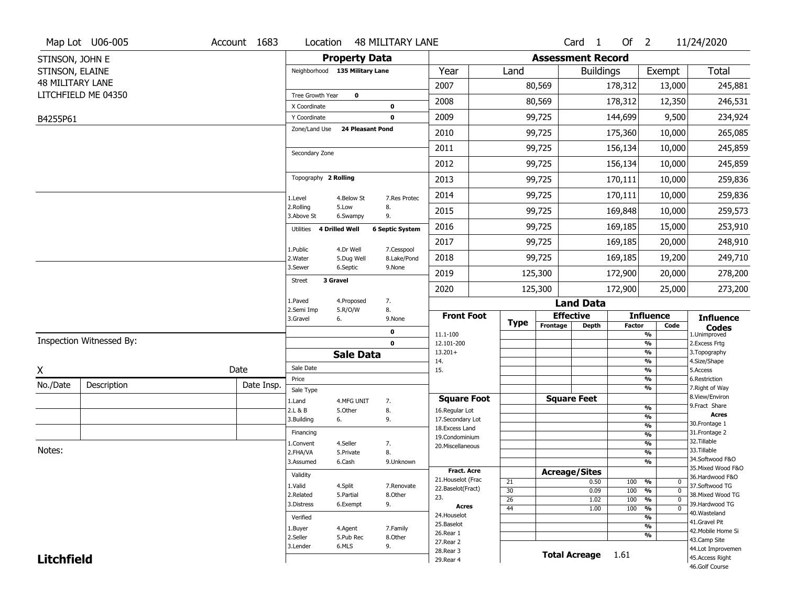|                   | Map Lot U06-005          | Account 1683 | Location                       |                         | <b>48 MILITARY LANE</b>    |                                          |                       |          | Card <sub>1</sub>        | Of $2$        |                                           | 11/24/2020                        |
|-------------------|--------------------------|--------------|--------------------------------|-------------------------|----------------------------|------------------------------------------|-----------------------|----------|--------------------------|---------------|-------------------------------------------|-----------------------------------|
| STINSON, JOHN E   |                          |              |                                | <b>Property Data</b>    |                            |                                          |                       |          | <b>Assessment Record</b> |               |                                           |                                   |
| STINSON, ELAINE   |                          |              | Neighborhood 135 Military Lane |                         |                            | Year                                     | Land                  |          | <b>Buildings</b>         |               | Exempt                                    | Total                             |
| 48 MILITARY LANE  |                          |              |                                |                         |                            | 2007                                     |                       | 80,569   |                          | 178,312       | 13,000                                    | 245,881                           |
|                   | LITCHFIELD ME 04350      |              | Tree Growth Year               | $\mathbf 0$             |                            | 2008                                     |                       | 80,569   |                          | 178,312       | 12,350                                    | 246,531                           |
| B4255P61          |                          |              | X Coordinate<br>Y Coordinate   |                         | $\mathbf 0$<br>$\mathbf 0$ | 2009                                     |                       | 99,725   |                          | 144,699       | 9,500                                     | 234,924                           |
|                   |                          |              | Zone/Land Use                  | <b>24 Pleasant Pond</b> |                            | 2010                                     |                       | 99,725   |                          | 175,360       | 10,000                                    | 265,085                           |
|                   |                          |              |                                |                         |                            | 2011                                     |                       | 99,725   |                          |               |                                           |                                   |
|                   |                          |              | Secondary Zone                 |                         |                            |                                          |                       |          |                          | 156,134       | 10,000                                    | 245,859                           |
|                   |                          |              |                                |                         |                            | 2012                                     |                       | 99,725   |                          | 156,134       | 10,000                                    | 245,859                           |
|                   |                          |              | Topography 2 Rolling           |                         |                            | 2013                                     |                       | 99,725   |                          | 170,111       | 10,000                                    | 259,836                           |
|                   |                          |              | 1.Level                        | 4.Below St              | 7.Res Protec               | 2014                                     |                       | 99,725   |                          | 170,111       | 10,000                                    | 259,836                           |
|                   |                          |              | 2.Rolling<br>3.Above St        | 5.Low<br>6.Swampy       | 8.<br>9.                   | 2015                                     |                       | 99,725   |                          | 169,848       | 10,000                                    | 259,573                           |
|                   |                          |              | Utilities                      | <b>4 Drilled Well</b>   | <b>6 Septic System</b>     | 2016                                     |                       | 99,725   |                          | 169,185       | 15,000                                    | 253,910                           |
|                   |                          |              |                                |                         |                            | 2017                                     |                       | 99,725   |                          | 169,185       | 20,000                                    | 248,910                           |
|                   |                          |              | 1.Public<br>2. Water           | 4.Dr Well<br>5.Dug Well | 7.Cesspool<br>8.Lake/Pond  | 2018                                     |                       | 99,725   |                          | 169,185       | 19,200                                    | 249,710                           |
|                   |                          |              | 3.Sewer                        | 6.Septic                | 9.None                     | 2019                                     |                       | 125,300  |                          | 172,900       | 20,000                                    | 278,200                           |
|                   |                          |              | 3 Gravel<br>Street             |                         |                            | 2020                                     |                       | 125,300  |                          | 172,900       | 25,000                                    | 273,200                           |
|                   |                          |              | 1.Paved                        | 4.Proposed              | 7.                         |                                          |                       |          | <b>Land Data</b>         |               |                                           |                                   |
|                   |                          |              | 2.Semi Imp<br>3.Gravel         | 5.R/O/W<br>6.           | 8.<br>9.None               | <b>Front Foot</b>                        |                       |          | <b>Effective</b>         |               | <b>Influence</b>                          | <b>Influence</b>                  |
|                   |                          |              |                                |                         | 0                          | 11.1-100                                 | <b>Type</b>           | Frontage | <b>Depth</b>             | <b>Factor</b> | Code<br>$\frac{9}{6}$                     | <b>Codes</b><br>1.Unimproved      |
|                   | Inspection Witnessed By: |              |                                |                         | $\mathbf 0$                | 12.101-200                               |                       |          |                          |               | $\frac{9}{6}$                             | 2. Excess Frtg                    |
|                   |                          |              |                                | <b>Sale Data</b>        |                            | $13.201+$<br>14.                         |                       |          |                          |               | $\frac{9}{6}$<br>$\frac{9}{6}$            | 3. Topography<br>4.Size/Shape     |
| X                 |                          | Date         | Sale Date                      |                         |                            | 15.                                      |                       |          |                          |               | $\frac{9}{6}$                             | 5.Access                          |
| No./Date          | Description              | Date Insp.   | Price                          |                         |                            |                                          |                       |          |                          |               | $\overline{\frac{9}{6}}$<br>$\frac{9}{6}$ | 6.Restriction<br>7. Right of Way  |
|                   |                          |              | Sale Type<br>1.Land            | 4.MFG UNIT              | 7.                         | <b>Square Foot</b>                       |                       |          | <b>Square Feet</b>       |               |                                           | 8.View/Environ                    |
|                   |                          |              | 2.L & B                        | 5.Other                 | 8.                         | 16.Regular Lot                           |                       |          |                          |               | $\frac{9}{6}$                             | 9.Fract Share<br><b>Acres</b>     |
|                   |                          |              | 3.Building                     | 6.                      | 9.                         | 17.Secondary Lot                         |                       |          |                          |               | %<br>$\frac{9}{6}$                        | 30.Frontage 1                     |
|                   |                          |              | Financing                      |                         |                            | 18.Excess Land<br>19.Condominium         |                       |          |                          |               | $\overline{\frac{9}{6}}$                  | 31. Frontage 2                    |
|                   |                          |              | 1.Convent                      | 4.Seller                | 7.                         | 20.Miscellaneous                         |                       |          |                          |               | $\frac{9}{6}$                             | 32.Tillable                       |
| Notes:            |                          |              | 2.FHA/VA                       | 5.Private               | 8.                         |                                          |                       |          |                          |               | $\frac{9}{6}$                             | 33.Tillable<br>34.Softwood F&O    |
|                   |                          |              | 3.Assumed                      | 6.Cash                  | 9.Unknown                  |                                          |                       |          |                          |               | $\frac{9}{6}$                             | 35. Mixed Wood F&O                |
|                   |                          |              | Validity                       |                         |                            | <b>Fract. Acre</b><br>21. Houselot (Frac |                       |          | <b>Acreage/Sites</b>     |               |                                           | 36.Hardwood F&O                   |
|                   |                          |              | 1.Valid                        | 4.Split                 | 7.Renovate                 | 22.Baselot(Fract)                        | 21<br>$\overline{30}$ |          | 0.50<br>0.09             | 100<br>100    | %<br>0<br>$\frac{9}{6}$<br>$\mathbf 0$    | 37.Softwood TG                    |
|                   |                          |              | 2.Related                      | 5.Partial               | 8.Other                    | 23.                                      | $\overline{26}$       |          | 1.02                     | 100           | $\overline{\frac{9}{6}}$<br>$\mathbf 0$   | 38. Mixed Wood TG                 |
|                   |                          |              | 3.Distress                     | 6.Exempt                | 9.                         | Acres                                    | $\overline{44}$       |          | 1.00                     | 100           | $\overline{\frac{9}{6}}$<br>$\mathbf 0$   | 39.Hardwood TG                    |
|                   |                          |              | Verified                       |                         |                            | 24. Houselot                             |                       |          |                          |               | $\frac{9}{6}$                             | 40. Wasteland<br>41.Gravel Pit    |
|                   |                          |              | 1.Buyer                        | 4.Agent                 | 7.Family                   | 25.Baselot                               |                       |          |                          |               | $\frac{9}{6}$                             | 42. Mobile Home Si                |
|                   |                          |              | 2.Seller                       | 5.Pub Rec               | 8.Other                    | 26.Rear 1<br>27. Rear 2                  |                       |          |                          |               | $\frac{9}{6}$                             | 43.Camp Site                      |
|                   |                          |              | 3.Lender                       | 6.MLS                   | 9.                         | 28. Rear 3                               |                       |          |                          |               |                                           | 44.Lot Improvemen                 |
| <b>Litchfield</b> |                          |              |                                |                         |                            | 29. Rear 4                               |                       |          | <b>Total Acreage</b>     | 1.61          |                                           | 45.Access Right<br>46.Golf Course |
|                   |                          |              |                                |                         |                            |                                          |                       |          |                          |               |                                           |                                   |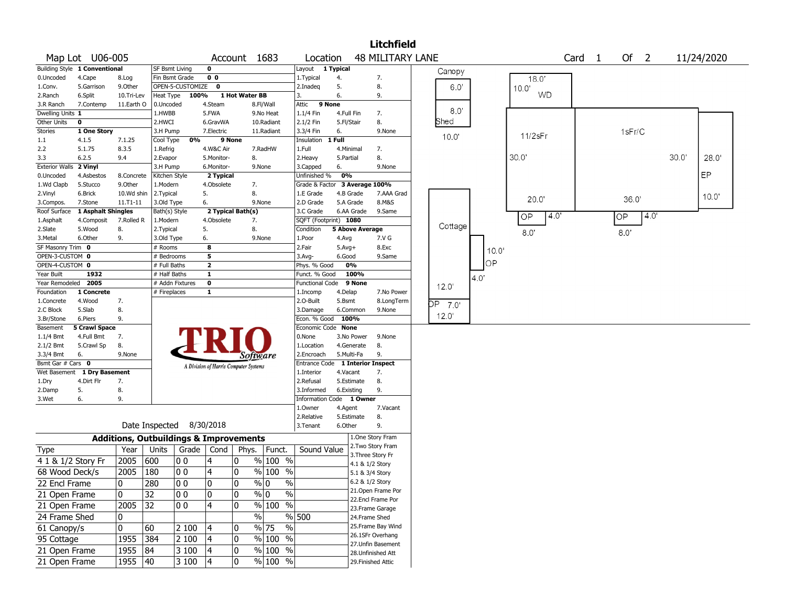|                              |                               |              |                                                   |       |                                       |                |                       |                               |                        |                 | <b>Litchfield</b>                     |         |       |            |                   |     |        |       |            |
|------------------------------|-------------------------------|--------------|---------------------------------------------------|-------|---------------------------------------|----------------|-----------------------|-------------------------------|------------------------|-----------------|---------------------------------------|---------|-------|------------|-------------------|-----|--------|-------|------------|
|                              | Map Lot U06-005               |              |                                                   |       |                                       |                | Account 1683          | Location                      |                        |                 | <b>48 MILITARY LANE</b>               |         |       |            | Card <sub>1</sub> |     | Of 2   |       | 11/24/2020 |
|                              | Building Style 1 Conventional |              | <b>SF Bsmt Living</b>                             |       | $\mathbf 0$                           |                |                       | Layout                        | $\overline{1}$ Typical |                 |                                       | Canopy  |       |            |                   |     |        |       |            |
| 0.Uncoded                    | 4.Cape                        | 8.Log        | Fin Bsmt Grade                                    |       | 0 <sub>0</sub>                        |                |                       | 1. Typical                    | 4.                     |                 | 7.                                    |         |       | 18.0'      |                   |     |        |       |            |
| 1.Conv.                      | 5.Garrison                    | 9.Other      | OPEN-5-CUSTOMIZE                                  |       | 0                                     |                |                       | 2.Inadeg                      | 5.                     |                 | 8.                                    | 6.0'    |       | 10.0'      |                   |     |        |       |            |
| 2.Ranch                      | 6.Split                       | 10.Tri-Lev   | Heat Type                                         | 100%  |                                       | 1 Hot Water BB |                       | 3.                            | 6.                     |                 | 9.                                    |         |       | <b>WD</b>  |                   |     |        |       |            |
| 3.R Ranch                    | 7.Contemp                     | 11.Earth O   | 0.Uncoded                                         |       | 4.Steam                               |                | 8.Fl/Wall             | Attic                         | 9 None                 |                 |                                       | 8.0"    |       |            |                   |     |        |       |            |
| Dwelling Units 1             |                               |              | 1.HWBB                                            |       | 5.FWA                                 |                | 9.No Heat             | 1.1/4 Fin                     |                        | 4.Full Fin      | 7.                                    |         |       |            |                   |     |        |       |            |
| Other Units                  | 0                             |              | 2.HWCI                                            |       | 6.GravWA                              |                | 10.Radiant            | 2.1/2 Fin                     |                        | 5.Fl/Stair      | 8.                                    | Shed    |       |            |                   |     |        |       |            |
| Stories                      | 1 One Story                   |              | 3.H Pump                                          |       | 7.Electric                            |                | 11.Radiant            | 3.3/4 Fin                     | 6.                     |                 | 9.None                                | 10.0    |       | 11/2sFr    |                   |     | 1sFr/C |       |            |
| 1.1                          | 4.1.5                         | 7.1.25       | Cool Type                                         | 0%    |                                       | 9 None         |                       | Insulation                    | 1 Full                 |                 |                                       |         |       |            |                   |     |        |       |            |
| 2.2                          | 5.1.75                        | 8.3.5        | 1.Refrig                                          |       | 4.W&C Air                             |                | 7.RadHW               | 1.Full                        |                        | 4.Minimal       | 7.                                    |         |       | 30.0'      |                   |     |        | 30.0' |            |
| 3.3<br><b>Exterior Walls</b> | 6.2.5<br>2 Vinyl              | 9.4          | 2.Evapor                                          |       | 5.Monitor-                            |                | 8.                    | 2. Heavy                      | 5.Partial              |                 | 8.                                    |         |       |            |                   |     |        |       | 28.0'      |
| 0.Uncoded                    | 4.Asbestos                    | 8.Concrete   | 3.H Pump<br>Kitchen Style                         |       | 6.Monitor-<br>2 Typical               |                | 9.None                | 3.Capped<br>Unfinished %      | 6.<br>0%               |                 | 9.None                                |         |       |            |                   |     |        |       | EP         |
| 1.Wd Clapb                   | 5.Stucco                      | 9.Other      | 1.Modern                                          |       | 4.Obsolete                            |                | 7.                    | Grade & Factor 3 Average 100% |                        |                 |                                       |         |       |            |                   |     |        |       |            |
| 2.Vinyl                      | 6.Brick                       | 10.Wd shin   | 2. Typical                                        |       | 5.                                    |                | 8.                    | 1.E Grade                     |                        | 4.B Grade       | 7.AAA Grad                            |         |       |            |                   |     |        |       |            |
| 3.Compos.                    | 7.Stone                       | $11.71 - 11$ | 3.Old Type                                        |       | 6.                                    |                | 9.None                | 2.D Grade                     |                        | 5.A Grade       | 8.M&S                                 |         |       | 20.0       |                   |     | 36.0'  |       | 10.0"      |
| Roof Surface                 | 1 Asphalt Shingles            |              | Bath(s) Style                                     |       | 2 Typical Bath(s)                     |                |                       | 3.C Grade                     |                        | 6.AA Grade      | 9.Same                                |         |       |            |                   |     |        |       |            |
| 1.Asphalt                    | 4.Composit                    | 7.Rolled R   | 1.Modern                                          |       | 4.Obsolete                            |                | 7.                    | SQFT (Footprint) 1080         |                        |                 |                                       |         |       | 4.0'<br>OP |                   | OP  | 4.0'   |       |            |
| 2.Slate                      | 5.Wood                        | 8.           | 2. Typical                                        |       | 5.                                    |                | 8.                    | Condition                     |                        | 5 Above Average |                                       | Cottage |       |            |                   |     |        |       |            |
| 3.Metal                      | 6.Other                       | 9.           | 3.Old Type                                        |       | 6.                                    |                | 9.None                | 1.Poor                        | 4.Avg                  |                 | 7.V G                                 |         |       | 8.0'       |                   | 8.0 |        |       |            |
| SF Masonry Trim 0            |                               |              | # Rooms                                           |       | 8                                     |                |                       | 2.Fair                        | $5.$ Avg $+$           |                 | 8.Exc                                 |         |       |            |                   |     |        |       |            |
| OPEN-3-CUSTOM 0              |                               |              | # Bedrooms                                        |       | 5                                     |                |                       | 3.Avg-                        | 6.Good                 |                 | 9.Same                                |         | 10.0' |            |                   |     |        |       |            |
| OPEN-4-CUSTOM 0              |                               |              | # Full Baths                                      |       | $\mathbf{2}$                          |                |                       | Phys. % Good                  |                        | 0%              |                                       |         | OP    |            |                   |     |        |       |            |
| Year Built                   | 1932                          |              | # Half Baths                                      |       | $\mathbf{1}$                          |                |                       | Funct. % Good                 |                        | 100%            |                                       |         |       |            |                   |     |        |       |            |
| Year Remodeled               | 2005                          |              | # Addn Fixtures                                   |       | $\mathbf 0$                           |                |                       | <b>Functional Code</b>        |                        | 9 None          |                                       | 12.0'   | 4.0'  |            |                   |     |        |       |            |
| Foundation                   | 1 Concrete                    |              | # Fireplaces                                      |       | $\mathbf{1}$                          |                |                       | 1.Incomp                      | 4.Delap                |                 | 7.No Power                            |         |       |            |                   |     |        |       |            |
| 1.Concrete                   | 4.Wood                        | 7.           |                                                   |       |                                       |                |                       | 2.O-Built                     | 5.Bsmt                 |                 | 8.LongTerm                            | DP 7.0  |       |            |                   |     |        |       |            |
| 2.C Block                    | 5.Slab                        | 8.           |                                                   |       |                                       |                |                       | 3.Damage                      |                        | 6.Common        | 9.None                                |         |       |            |                   |     |        |       |            |
| 3.Br/Stone                   | 6.Piers                       | 9.           |                                                   |       |                                       |                |                       | Econ. % Good 100%             |                        |                 |                                       | 12.0'   |       |            |                   |     |        |       |            |
| Basement                     | <b>5 Crawl Space</b>          |              |                                                   |       |                                       |                |                       | Economic Code None            |                        |                 |                                       |         |       |            |                   |     |        |       |            |
| $1.1/4$ Bmt                  | 4.Full Bmt                    | 7.           |                                                   |       |                                       |                |                       | 0.None                        |                        | 3.No Power      | 9.None                                |         |       |            |                   |     |        |       |            |
| 2.1/2 Bmt                    | 5.Crawl Sp                    | 8.           |                                                   |       |                                       |                |                       | 1.Location                    |                        | 4.Generate      | 8.                                    |         |       |            |                   |     |        |       |            |
| 3.3/4 Bmt                    | 6.                            | 9.None       |                                                   |       |                                       |                | Software              | 2.Encroach                    |                        | 5.Multi-Fa      | 9.                                    |         |       |            |                   |     |        |       |            |
| Bsmt Gar $#$ Cars $0$        |                               |              |                                                   |       | A Division of Harris Computer Systems |                |                       | Entrance Code                 |                        |                 | <b>1 Interior Inspect</b>             |         |       |            |                   |     |        |       |            |
| Wet Basement                 | 1 Dry Basement                |              |                                                   |       |                                       |                |                       | 1.Interior                    | 4.Vacant               |                 | 7.                                    |         |       |            |                   |     |        |       |            |
| 1.Dry                        | 4.Dirt Flr                    | 7.           |                                                   |       |                                       |                |                       | 2.Refusal                     |                        | 5.Estimate      | 8.                                    |         |       |            |                   |     |        |       |            |
| 2.Damp                       | 5.                            | 8.           |                                                   |       |                                       |                |                       | 3.Informed                    |                        | 6.Existing      | 9.                                    |         |       |            |                   |     |        |       |            |
| 3.Wet                        | 6.                            | 9.           |                                                   |       |                                       |                |                       | Information Code 1 Owner      |                        |                 |                                       |         |       |            |                   |     |        |       |            |
|                              |                               |              |                                                   |       |                                       |                |                       | 1.Owner                       | 4.Agent                |                 | 7.Vacant                              |         |       |            |                   |     |        |       |            |
|                              |                               |              | Date Inspected                                    |       | 8/30/2018                             |                |                       | 2.Relative                    | 6.Other                | 5.Estimate      | 8.                                    |         |       |            |                   |     |        |       |            |
|                              |                               |              |                                                   |       |                                       |                |                       | 3.Tenant                      |                        |                 | 9.                                    |         |       |            |                   |     |        |       |            |
|                              |                               |              | <b>Additions, Outbuildings &amp; Improvements</b> |       |                                       |                |                       |                               |                        |                 | 1.One Story Fram<br>2. Two Story Fram |         |       |            |                   |     |        |       |            |
| Type                         |                               | Year         | Units                                             | Grade | Cond                                  | Phys.          | Funct.                | Sound Value                   |                        |                 | 3. Three Story Fr                     |         |       |            |                   |     |        |       |            |
| 4 1 & 1/2 Story Fr           |                               | 2005         | 600                                               | O O   | $\overline{4}$                        | 10             | $%100$ %              |                               |                        |                 | 4.1 & 1/2 Story                       |         |       |            |                   |     |        |       |            |
| 68 Wood Deck/s               |                               | 2005         | 180                                               | 00    | 4                                     | 10             | % 100 %               |                               |                        |                 | 5.1 & 3/4 Story                       |         |       |            |                   |     |        |       |            |
| 22 Encl Frame                |                               | 0            | 280                                               | 0 O   | $\Omega$                              | ١o             | % 0<br>$\frac{0}{0}$  |                               |                        |                 | 6.2 & 1/2 Story                       |         |       |            |                   |     |        |       |            |
| 21 Open Frame                |                               | 0            | 32                                                | 00    | 0                                     | 0              | $\%$ 0<br>$\%$        |                               |                        |                 | 21.Open Frame Por                     |         |       |            |                   |     |        |       |            |
| 21 Open Frame                |                               | 2005         | 32                                                | 00    | $\overline{\mathbf{4}}$               | 10             | % 100 %               |                               |                        |                 | 22.Encl Frame Por                     |         |       |            |                   |     |        |       |            |
| 24 Frame Shed                |                               | 0            |                                                   |       |                                       |                | $\%$                  | $%$ 500                       |                        |                 | 23. Frame Garage                      |         |       |            |                   |     |        |       |            |
|                              |                               |              |                                                   |       |                                       |                |                       |                               |                        |                 | 24.Frame Shed<br>25. Frame Bay Wind   |         |       |            |                   |     |        |       |            |
| 61 Canopy/s                  |                               | 0            | 60                                                | 2 100 | 4                                     | 10             | $\frac{1}{2}$<br>% 75 |                               |                        |                 | 26.1SFr Overhang                      |         |       |            |                   |     |        |       |            |
| 95 Cottage                   |                               | 1955 384     |                                                   | 2 100 | 4                                     | 0              | % 100 %               |                               |                        |                 | 27. Unfin Basement                    |         |       |            |                   |     |        |       |            |
| 21 Open Frame                |                               | 1955   84    |                                                   | 3 100 | 4                                     | 0              | $\frac{9}{6}$ 100 %   |                               |                        |                 | 28.Unfinished Att                     |         |       |            |                   |     |        |       |            |
| 21 Open Frame                |                               | 1955 40      |                                                   | 3 100 | 4                                     | 10             | % 100 %               |                               |                        |                 | 29. Finished Attic                    |         |       |            |                   |     |        |       |            |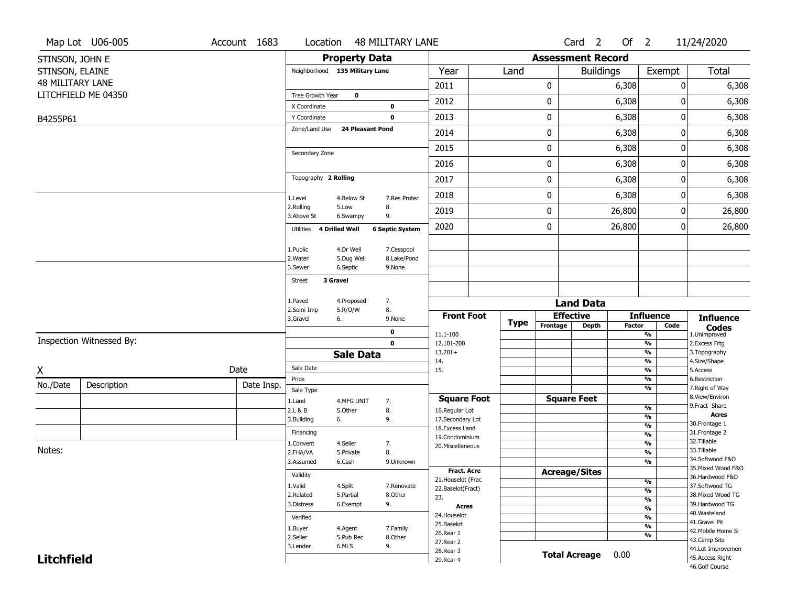|                         | Map Lot U06-005          | Account 1683 | Location                       |                         | <b>48 MILITARY LANE</b>    |                                         |      |             |          | Card <sub>2</sub>        | Of 2   |                                           |        | 11/24/2020                            |
|-------------------------|--------------------------|--------------|--------------------------------|-------------------------|----------------------------|-----------------------------------------|------|-------------|----------|--------------------------|--------|-------------------------------------------|--------|---------------------------------------|
| STINSON, JOHN E         |                          |              |                                | <b>Property Data</b>    |                            |                                         |      |             |          | <b>Assessment Record</b> |        |                                           |        |                                       |
| STINSON, ELAINE         |                          |              | Neighborhood 135 Military Lane |                         |                            | Year                                    | Land |             |          | <b>Buildings</b>         |        |                                           | Exempt | Total                                 |
| <b>48 MILITARY LANE</b> |                          |              |                                |                         |                            | 2011                                    |      |             | 0        |                          | 6,308  |                                           | 0      | 6,308                                 |
|                         | LITCHFIELD ME 04350      |              | Tree Growth Year               | $\mathbf 0$             |                            | 2012                                    |      |             | 0        |                          | 6,308  |                                           | 0      | 6,308                                 |
|                         |                          |              | X Coordinate<br>Y Coordinate   |                         | $\mathbf 0$<br>$\mathbf 0$ | 2013                                    |      |             | 0        |                          | 6,308  |                                           | 0      | 6,308                                 |
| B4255P61                |                          |              | Zone/Land Use                  | <b>24 Pleasant Pond</b> |                            |                                         |      |             |          |                          | 6,308  |                                           |        |                                       |
|                         |                          |              |                                |                         |                            | 2014                                    |      |             | 0        |                          |        |                                           | 0      | 6,308                                 |
|                         |                          |              | Secondary Zone                 |                         |                            | 2015                                    |      |             | 0        |                          | 6,308  |                                           | 0      | 6,308                                 |
|                         |                          |              |                                |                         |                            | 2016                                    |      |             | 0        |                          | 6,308  |                                           | 0      | 6,308                                 |
|                         |                          |              | Topography 2 Rolling           |                         |                            | 2017                                    |      |             | 0        |                          | 6,308  |                                           | 0      | 6,308                                 |
|                         |                          |              | 1.Level                        | 4.Below St              | 7.Res Protec               | 2018                                    |      |             | 0        |                          | 6,308  |                                           | 0      | 6,308                                 |
|                         |                          |              | 2.Rolling<br>3.Above St        | 5.Low<br>6.Swampy       | 8.<br>9.                   | 2019                                    |      |             | 0        |                          | 26,800 |                                           | 0      | 26,800                                |
|                         |                          |              | Utilities 4 Drilled Well       |                         | <b>6 Septic System</b>     | 2020                                    |      |             | 0        |                          | 26,800 |                                           | 0      | 26,800                                |
|                         |                          |              |                                |                         |                            |                                         |      |             |          |                          |        |                                           |        |                                       |
|                         |                          |              | 1.Public<br>2. Water           | 4.Dr Well<br>5.Dug Well | 7.Cesspool<br>8.Lake/Pond  |                                         |      |             |          |                          |        |                                           |        |                                       |
|                         |                          |              | 3.Sewer                        | 6.Septic                | 9.None                     |                                         |      |             |          |                          |        |                                           |        |                                       |
|                         |                          |              | 3 Gravel<br><b>Street</b>      |                         |                            |                                         |      |             |          |                          |        |                                           |        |                                       |
|                         |                          |              | 1.Paved                        | 4.Proposed              | 7.                         |                                         |      |             |          | <b>Land Data</b>         |        |                                           |        |                                       |
|                         |                          |              | 2.Semi Imp                     | 5.R/O/W                 | 8.                         | <b>Front Foot</b>                       |      |             |          | <b>Effective</b>         |        | <b>Influence</b>                          |        | <b>Influence</b>                      |
|                         |                          |              | 3.Gravel                       | 6.                      | 9.None                     |                                         |      | <b>Type</b> | Frontage | <b>Depth</b>             | Factor |                                           | Code   | <b>Codes</b>                          |
|                         | Inspection Witnessed By: |              |                                |                         | $\mathbf 0$<br>$\mathbf 0$ | 11.1-100<br>12.101-200                  |      |             |          |                          |        | $\overline{\frac{9}{6}}$<br>$\frac{9}{6}$ |        | 1.Unimproved<br>2.Excess Frtg         |
|                         |                          |              |                                | <b>Sale Data</b>        |                            | $13.201+$                               |      |             |          |                          |        | $\frac{9}{6}$                             |        | 3. Topography                         |
| X                       |                          | Date         | Sale Date                      |                         |                            | 14.<br>15.                              |      |             |          |                          |        | $\frac{9}{6}$<br>$\frac{9}{6}$            |        | 4.Size/Shape<br>5.Access              |
|                         |                          | Date Insp.   | Price                          |                         |                            |                                         |      |             |          |                          |        | %                                         |        | 6.Restriction                         |
| No./Date                | Description              |              | Sale Type                      |                         |                            |                                         |      |             |          |                          |        | $\overline{\frac{9}{6}}$                  |        | 7. Right of Way<br>8.View/Environ     |
|                         |                          |              | 1.Land<br>2.L & B              | 4.MFG UNIT<br>5.Other   | 7.<br>8.                   | <b>Square Foot</b><br>16.Regular Lot    |      |             |          | <b>Square Feet</b>       |        | %                                         |        | 9. Fract Share                        |
|                         |                          |              | 3.Building                     | 6.                      | 9.                         | 17.Secondary Lot                        |      |             |          |                          |        | %                                         |        | <b>Acres</b>                          |
|                         |                          |              | Financing                      |                         |                            | 18.Excess Land                          |      |             |          |                          |        | $\frac{9}{6}$<br>$\frac{9}{6}$            |        | 30. Frontage 1<br>31. Frontage 2      |
|                         |                          |              | 1.Convent                      | 4.Seller                | 7.                         | 19.Condominium<br>20.Miscellaneous      |      |             |          |                          |        | %                                         |        | 32.Tillable                           |
| Notes:                  |                          |              | 2.FHA/VA                       | 5.Private               | 8.                         |                                         |      |             |          |                          |        | %                                         |        | 33.Tillable                           |
|                         |                          |              | 3.Assumed                      | 6.Cash                  | 9.Unknown                  |                                         |      |             |          |                          |        | %                                         |        | 34.Softwood F&O                       |
|                         |                          |              | Validity                       |                         |                            | <b>Fract. Acre</b>                      |      |             |          | <b>Acreage/Sites</b>     |        |                                           |        | 35. Mixed Wood F&O<br>36.Hardwood F&O |
|                         |                          |              | 1.Valid                        | 4.Split                 | 7.Renovate                 | 21. Houselot (Frac<br>22.Baselot(Fract) |      |             |          |                          |        | %                                         |        | 37.Softwood TG                        |
|                         |                          |              | 2.Related                      | 5.Partial               | 8.Other                    | 23.                                     |      |             |          |                          |        | $\frac{9}{6}$<br>$\frac{9}{6}$            |        | 38. Mixed Wood TG                     |
|                         |                          |              | 3.Distress                     | 6.Exempt                | 9.                         | <b>Acres</b>                            |      |             |          |                          |        | $\frac{9}{6}$                             |        | 39.Hardwood TG                        |
|                         |                          |              | Verified                       |                         |                            | 24. Houselot                            |      |             |          |                          |        | $\frac{9}{6}$                             |        | 40. Wasteland<br>41.Gravel Pit        |
|                         |                          |              | 1.Buyer                        | 4.Agent                 | 7.Family                   | 25.Baselot                              |      |             |          |                          |        | $\frac{9}{6}$                             |        | 42. Mobile Home Si                    |
|                         |                          |              | 2.Seller                       | 5.Pub Rec               | 8.Other                    | 26.Rear 1<br>27.Rear 2                  |      |             |          |                          |        | %                                         |        | 43.Camp Site                          |
|                         |                          |              | 3.Lender                       | 6.MLS                   | 9.                         | 28.Rear 3                               |      |             |          |                          |        |                                           |        | 44.Lot Improvemen                     |
| <b>Litchfield</b>       |                          |              |                                |                         |                            | 29. Rear 4                              |      |             |          | <b>Total Acreage</b>     | 0.00   |                                           |        | 45.Access Right<br>46.Golf Course     |
|                         |                          |              |                                |                         |                            |                                         |      |             |          |                          |        |                                           |        |                                       |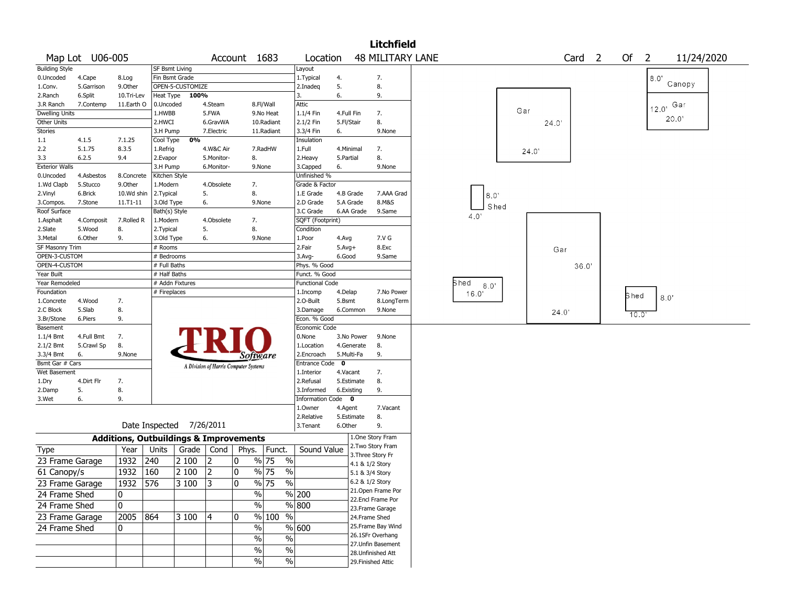|                       |                 |            |                                                   |                                       |              |                             |                        |              | <b>Litchfield</b>                     |              |       |       |                   |      |                |            |  |
|-----------------------|-----------------|------------|---------------------------------------------------|---------------------------------------|--------------|-----------------------------|------------------------|--------------|---------------------------------------|--------------|-------|-------|-------------------|------|----------------|------------|--|
|                       | Map Lot U06-005 |            |                                                   |                                       | Account 1683 |                             | Location               |              | <b>48 MILITARY LANE</b>               |              |       |       | Card <sub>2</sub> | Of   | $\overline{2}$ | 11/24/2020 |  |
| <b>Building Style</b> |                 |            | <b>SF Bsmt Living</b>                             |                                       |              |                             | Layout                 |              |                                       |              |       |       |                   |      |                |            |  |
| 0.Uncoded             | 4.Cape          | 8.Log      | Fin Bsmt Grade                                    |                                       |              |                             | 1. Typical             | 4.           | 7.                                    |              |       |       |                   |      | 8.0"           |            |  |
| 1.Conv.               | 5.Garrison      | 9.Other    | OPEN-5-CUSTOMIZE                                  |                                       |              |                             | 2.Inadeq               | 5.           | 8.                                    |              |       |       |                   |      |                | Canopy     |  |
| 2.Ranch               | 6.Split         | 10.Tri-Lev | Heat Type                                         | 100%                                  |              |                             | 3.                     | 6.           | 9.                                    |              |       |       |                   |      |                |            |  |
| 3.R Ranch             | 7.Contemp       | 11.Earth O | 0.Uncoded                                         | 4.Steam                               |              | 8.Fl/Wall                   | Attic                  |              |                                       |              |       |       |                   |      | 12.0'          | Gar        |  |
| <b>Dwelling Units</b> |                 |            | 1.HWBB                                            | 5.FWA                                 |              | 9.No Heat                   | 1.1/4 Fin              | 4.Full Fin   | 7.                                    |              | Gar   |       |                   |      |                |            |  |
| Other Units           |                 |            | 2.HWCI                                            | 6.GravWA                              |              | 10.Radiant                  | 2.1/2 Fin              | 5.Fl/Stair   | 8.                                    |              |       | 24.0' |                   |      |                | 20.0       |  |
| Stories               |                 |            | 3.H Pump                                          | 7.Electric                            |              | 11.Radiant                  | 3.3/4 Fin              | 6.           | 9.None                                |              |       |       |                   |      |                |            |  |
| 1.1                   | 4.1.5           | 7.1.25     | 0%<br>Cool Type                                   |                                       |              |                             | Insulation             |              |                                       |              |       |       |                   |      |                |            |  |
| 2.2                   | 5.1.75          | 8.3.5      | 1.Refrig                                          | 4.W&C Air                             |              | 7.RadHW                     | 1.Full                 | 4.Minimal    | 7.                                    |              | 24.0' |       |                   |      |                |            |  |
| 3.3                   | 6.2.5           | 9.4        | 2.Evapor                                          | 5.Monitor-                            | 8.           |                             | 2. Heavy               | 5.Partial    | 8.                                    |              |       |       |                   |      |                |            |  |
| <b>Exterior Walls</b> |                 |            | 3.H Pump                                          | 6.Monitor-                            |              | 9.None                      | 3.Capped               | 6.           | 9.None                                |              |       |       |                   |      |                |            |  |
| 0.Uncoded             | 4.Asbestos      | 8.Concrete | Kitchen Style                                     |                                       |              |                             | Unfinished %           |              |                                       |              |       |       |                   |      |                |            |  |
| 1.Wd Clapb            | 5.Stucco        | 9.0ther    | 1.Modern                                          | 4.Obsolete                            | 7.           |                             | Grade & Factor         |              |                                       |              |       |       |                   |      |                |            |  |
| 2.Vinyl               | 6.Brick         | 10.Wd shin | 2.Typical                                         | 5.                                    | 8.           |                             | 1.E Grade              | 4.B Grade    | 7.AAA Grad                            | 8.0          |       |       |                   |      |                |            |  |
| 3.Compos.             | 7.Stone         | 11.T1-11   | 3.Old Type                                        | 6.                                    |              | 9.None                      | 2.D Grade              | 5.A Grade    | 8.M&S                                 |              |       |       |                   |      |                |            |  |
| Roof Surface          |                 |            | Bath(s) Style                                     |                                       |              |                             | 3.C Grade              | 6.AA Grade   | 9.Same                                | Shed         |       |       |                   |      |                |            |  |
| 1.Asphalt             | 4.Composit      | 7.Rolled R | 1.Modern                                          | 4.Obsolete                            | 7.           |                             | SQFT (Footprint)       |              |                                       | 4.0'         |       |       |                   |      |                |            |  |
| 2.Slate               | 5.Wood          | 8.         | 2. Typical                                        | 5.                                    | 8.           |                             | Condition              |              |                                       |              |       |       |                   |      |                |            |  |
| 3.Metal               | 6.Other         | 9.         | 3.Old Type                                        | 6.                                    |              | 9.None                      | 1.Poor                 | 4.Avg        | 7.V G                                 |              |       |       |                   |      |                |            |  |
| SF Masonry Trim       |                 |            | # Rooms                                           |                                       |              |                             | 2.Fair                 | $5.$ Avg $+$ | 8.Exc                                 |              |       | Gar   |                   |      |                |            |  |
| OPEN-3-CUSTOM         |                 |            | # Bedrooms                                        |                                       |              |                             | 3.Avg-                 | 6.Good       | 9.Same                                |              |       |       |                   |      |                |            |  |
| OPEN-4-CUSTOM         |                 |            | # Full Baths                                      |                                       |              |                             | Phys. % Good           |              |                                       |              |       |       | 36.0              |      |                |            |  |
| Year Built            |                 |            | # Half Baths                                      |                                       |              |                             | Funct. % Good          |              |                                       |              |       |       |                   |      |                |            |  |
| Year Remodeled        |                 |            | # Addn Fixtures                                   |                                       |              |                             | <b>Functional Code</b> |              |                                       | Shed<br>8.0' |       |       |                   |      |                |            |  |
| Foundation            |                 |            | # Fireplaces                                      |                                       |              |                             | 1.Incomp               | 4.Delap      | 7.No Power                            | 16.0'        |       |       |                   |      |                |            |  |
| 1.Concrete            | 4.Wood          | 7.         |                                                   |                                       |              |                             | 2.O-Built              | 5.Bsmt       | 8.LongTerm                            |              |       |       |                   | Shed | 8.0            |            |  |
| 2.C Block             | 5.Slab          | 8.         |                                                   |                                       |              |                             | 3.Damage               | 6.Common     | 9.None                                |              |       | 24.0' |                   |      |                |            |  |
| 3.Br/Stone            | 6.Piers         | 9.         |                                                   |                                       |              |                             | Econ. % Good           |              |                                       |              |       |       |                   | 10.0 |                |            |  |
| Basement              |                 |            |                                                   |                                       |              |                             | Economic Code          |              |                                       |              |       |       |                   |      |                |            |  |
| 1.1/4 Bmt             | 4.Full Bmt      | 7.         |                                                   |                                       |              |                             | 0.None                 | 3.No Power   | 9.None                                |              |       |       |                   |      |                |            |  |
| 2.1/2 Bmt             | 5.Crawl Sp      | 8.         |                                                   |                                       |              |                             | 1.Location             | 4.Generate   | 8.                                    |              |       |       |                   |      |                |            |  |
| 3.3/4 Bmt             | 6.              | 9.None     |                                                   |                                       |              | Software                    | 2.Encroach             | 5.Multi-Fa   | 9.                                    |              |       |       |                   |      |                |            |  |
| Bsmt Gar # Cars       |                 |            |                                                   | A Division of Harris Computer Systems |              |                             | Entrance Code          | $\mathbf 0$  |                                       |              |       |       |                   |      |                |            |  |
| Wet Basement          |                 |            |                                                   |                                       |              |                             | 1.Interior             | 4.Vacant     | 7.                                    |              |       |       |                   |      |                |            |  |
| 1.Dry                 | 4.Dirt Flr      | 7.         |                                                   |                                       |              |                             | 2.Refusal              | 5.Estimate   | 8.                                    |              |       |       |                   |      |                |            |  |
| 2.Damp                | 5.              | 8.         |                                                   |                                       |              |                             | 3.Informed             | 6.Existing   | 9.                                    |              |       |       |                   |      |                |            |  |
| 3.Wet                 | 6.              | 9.         |                                                   |                                       |              |                             | Information Code 0     |              |                                       |              |       |       |                   |      |                |            |  |
|                       |                 |            |                                                   |                                       |              |                             | 1.Owner                | 4.Agent      | 7.Vacant                              |              |       |       |                   |      |                |            |  |
|                       |                 |            |                                                   |                                       |              |                             | 2.Relative             | 5.Estimate   | 8.                                    |              |       |       |                   |      |                |            |  |
|                       |                 |            | Date Inspected                                    | 7/26/2011                             |              |                             | 3. Tenant              | 6.Other      | 9.                                    |              |       |       |                   |      |                |            |  |
|                       |                 |            | <b>Additions, Outbuildings &amp; Improvements</b> |                                       |              |                             |                        |              | 1.One Story Fram<br>2. Two Story Fram |              |       |       |                   |      |                |            |  |
| <b>Type</b>           |                 | Year       | Units<br>Grade                                    | Cond                                  | Phys.        | Funct.                      | Sound Value            |              | 3. Three Story Fr                     |              |       |       |                   |      |                |            |  |
| 23 Frame Garage       |                 | 1932       | 240<br>2 100                                      | 2                                     | 10           | $\frac{9}{6}$ 75<br>$\%$    |                        |              | 4.1 & 1/2 Story                       |              |       |       |                   |      |                |            |  |
| 61 Canopy/s           |                 | 1932       | 2 100<br>160                                      | 2                                     | 0            | % 75<br>$\%$                |                        |              | 5.1 & 3/4 Story                       |              |       |       |                   |      |                |            |  |
| 23 Frame Garage       |                 | 1932       | 576<br>3 100                                      | 3                                     | 0            | $\frac{9}{6}$ 75<br>$\%$    |                        |              | 6.2 & 1/2 Story                       |              |       |       |                   |      |                |            |  |
| 24 Frame Shed         |                 | 0          |                                                   |                                       |              | $\%$                        | % 200                  |              | 21. Open Frame Por                    |              |       |       |                   |      |                |            |  |
| 24 Frame Shed         |                 | 0          |                                                   |                                       |              | $\%$                        | $\sqrt{800}$           |              | 22.Encl Frame Por                     |              |       |       |                   |      |                |            |  |
|                       |                 | 2005 864   | 3 100                                             | 4                                     | 10           | % 100<br>$\%$               |                        |              | 23. Frame Garage                      |              |       |       |                   |      |                |            |  |
| 23 Frame Garage       |                 |            |                                                   |                                       |              |                             |                        |              | 24.Frame Shed<br>25. Frame Bay Wind   |              |       |       |                   |      |                |            |  |
| 24 Frame Shed         |                 | 0          |                                                   |                                       |              | $\%$                        | % 600                  |              | 26.1SFr Overhang                      |              |       |       |                   |      |                |            |  |
|                       |                 |            |                                                   |                                       |              | $\%$<br>$\%$                |                        |              | 27.Unfin Basement                     |              |       |       |                   |      |                |            |  |
|                       |                 |            |                                                   |                                       |              | $\%$<br>%                   |                        |              | 28.Unfinished Att                     |              |       |       |                   |      |                |            |  |
|                       |                 |            |                                                   |                                       |              | $\sqrt{6}$<br>$\frac{0}{0}$ |                        |              | 29. Finished Attic                    |              |       |       |                   |      |                |            |  |
|                       |                 |            |                                                   |                                       |              |                             |                        |              |                                       |              |       |       |                   |      |                |            |  |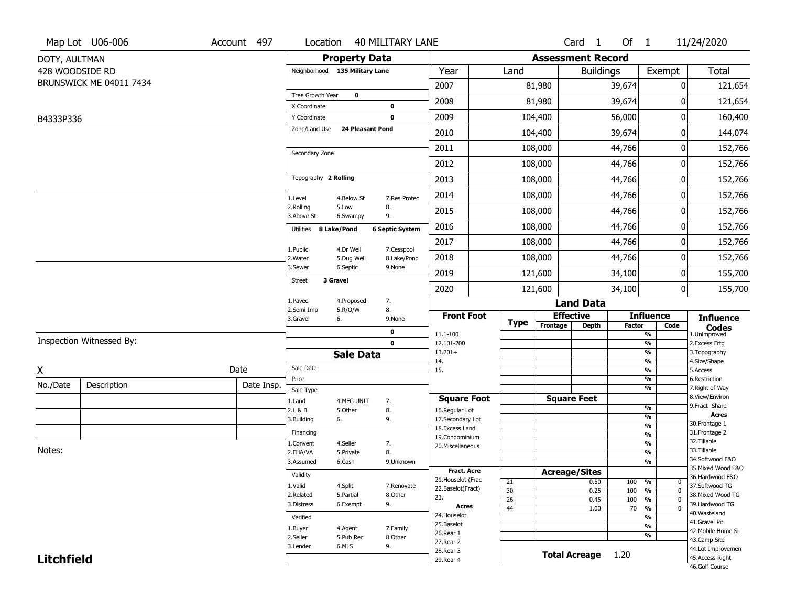|                   | Map Lot U06-006          | Account 497 | Location                       |                      | <b>40 MILITARY LANE</b> |                                  |             |                          | Card <sub>1</sub> | Of $1$        |                                   | 11/24/2020                        |
|-------------------|--------------------------|-------------|--------------------------------|----------------------|-------------------------|----------------------------------|-------------|--------------------------|-------------------|---------------|-----------------------------------|-----------------------------------|
| DOTY, AULTMAN     |                          |             |                                | <b>Property Data</b> |                         |                                  |             | <b>Assessment Record</b> |                   |               |                                   |                                   |
| 428 WOODSIDE RD   |                          |             | Neighborhood 135 Military Lane |                      |                         | Year                             | Land        |                          | <b>Buildings</b>  |               | Exempt                            | <b>Total</b>                      |
|                   | BRUNSWICK ME 04011 7434  |             |                                |                      |                         | 2007                             |             | 81,980                   |                   | 39,674        | 0                                 | 121,654                           |
|                   |                          |             | Tree Growth Year               | $\mathbf 0$          |                         | 2008                             |             | 81,980                   |                   | 39,674        | $\Omega$                          | 121,654                           |
| B4333P336         |                          |             | X Coordinate<br>Y Coordinate   |                      | $\bf{0}$<br>$\mathbf 0$ | 2009                             |             | 104,400                  |                   | 56,000        | 0                                 | 160,400                           |
|                   |                          |             | Zone/Land Use                  |                      | <b>24 Pleasant Pond</b> | 2010                             |             | 104,400                  |                   | 39,674        | 0                                 | 144,074                           |
|                   |                          |             |                                |                      |                         |                                  |             |                          |                   |               |                                   |                                   |
|                   |                          |             | Secondary Zone                 |                      |                         | 2011                             |             | 108,000                  |                   | 44,766        | 0                                 | 152,766                           |
|                   |                          |             |                                |                      |                         | 2012                             |             | 108,000                  |                   | 44,766        | $\pmb{0}$                         | 152,766                           |
|                   |                          |             | Topography 2 Rolling           |                      |                         | 2013                             |             | 108,000                  |                   | 44,766        | 0                                 | 152,766                           |
|                   |                          |             | 1.Level                        | 4.Below St           | 7.Res Protec            | 2014                             |             | 108,000                  |                   | 44,766        | 0                                 | 152,766                           |
|                   |                          |             | 2.Rolling<br>3.Above St        | 5.Low<br>6.Swampy    | 8.<br>9.                | 2015                             |             | 108,000                  |                   | 44,766        | 0                                 | 152,766                           |
|                   |                          |             | Utilities 8 Lake/Pond          |                      | <b>6 Septic System</b>  | 2016                             |             | 108,000                  |                   | 44,766        | 0                                 | 152,766                           |
|                   |                          |             | 1.Public                       | 4.Dr Well            | 7.Cesspool              | 2017                             |             | 108,000                  |                   | 44,766        | 0                                 | 152,766                           |
|                   |                          |             | 2. Water                       | 5.Dug Well           | 8.Lake/Pond             | 2018                             |             | 108,000                  |                   | 44,766        | 0                                 | 152,766                           |
|                   |                          |             | 3.Sewer                        | 6.Septic             | 9.None                  | 2019                             |             | 121,600                  |                   | 34,100        | 0                                 | 155,700                           |
|                   |                          |             | <b>Street</b>                  | 3 Gravel             |                         | 2020                             |             | 121,600                  |                   | 34,100        | 0                                 | 155,700                           |
|                   |                          |             | 1.Paved                        | 4.Proposed           | 7.                      |                                  |             |                          | <b>Land Data</b>  |               |                                   |                                   |
|                   |                          |             | 2.Semi Imp<br>3.Gravel         | 5.R/O/W<br>6.        | 8.<br>9.None            | <b>Front Foot</b>                |             | <b>Effective</b>         |                   |               | <b>Influence</b>                  | <b>Influence</b>                  |
|                   |                          |             |                                |                      | 0                       | 11.1-100                         | <b>Type</b> | Frontage                 | <b>Depth</b>      | <b>Factor</b> | Code<br>%                         | <b>Codes</b><br>1.Unimproved      |
|                   | Inspection Witnessed By: |             |                                |                      | $\mathbf 0$             | 12.101-200                       |             |                          |                   |               | %                                 | 2.Excess Frtg                     |
|                   |                          |             |                                | <b>Sale Data</b>     |                         | $13.201+$<br>14.                 |             |                          |                   |               | %<br>%                            | 3. Topography<br>4.Size/Shape     |
| χ                 |                          | Date        | Sale Date                      |                      |                         | 15.                              |             |                          |                   |               | %                                 | 5.Access                          |
| No./Date          | Description              | Date Insp.  | Price                          |                      |                         |                                  |             |                          |                   |               | %<br>%                            | 6.Restriction<br>7. Right of Way  |
|                   |                          |             | Sale Type<br>1.Land            | 4.MFG UNIT           | 7.                      | <b>Square Foot</b>               |             | <b>Square Feet</b>       |                   |               |                                   | 8.View/Environ                    |
|                   |                          |             | 2.L & B                        | 5.Other              | 8.                      | 16.Regular Lot                   |             |                          |                   |               | %                                 | 9.Fract Share<br><b>Acres</b>     |
|                   |                          |             | 3.Building                     | 6.                   | 9.                      | 17.Secondary Lot                 |             |                          |                   |               | %<br>$\frac{9}{6}$                | 30.Frontage 1                     |
|                   |                          |             | Financing                      |                      |                         | 18.Excess Land<br>19.Condominium |             |                          |                   |               | $\frac{9}{6}$                     | 31. Frontage 2                    |
|                   |                          |             | 1.Convent                      | 4.Seller             | 7.                      | 20.Miscellaneous                 |             |                          |                   |               | $\frac{9}{6}$                     | 32.Tillable                       |
| Notes:            |                          |             | 2.FHA/VA                       | 5.Private            | 8.                      |                                  |             |                          |                   |               | $\frac{9}{6}$                     | 33.Tillable<br>34.Softwood F&O    |
|                   |                          |             | 3.Assumed                      | 6.Cash               | 9.Unknown               | Fract. Acre                      |             |                          |                   |               | %                                 | 35. Mixed Wood F&O                |
|                   |                          |             | Validity                       |                      |                         | 21. Houselot (Frac               |             | <b>Acreage/Sites</b>     |                   | 100           | %                                 | 36.Hardwood F&O                   |
|                   |                          |             | 1.Valid                        | 4.Split              | 7.Renovate              | 22.Baselot(Fract)                | 21<br>30    |                          | 0.50<br>0.25      | 100           | 0<br>$\frac{9}{6}$<br>$\mathbf 0$ | 37.Softwood TG                    |
|                   |                          |             | 2.Related                      | 5.Partial            | 8.Other                 | 23.                              | 26          |                          | 0.45              | 100           | $\frac{9}{6}$<br>$\mathbf 0$      | 38. Mixed Wood TG                 |
|                   |                          |             | 3.Distress                     | 6.Exempt             | 9.                      | <b>Acres</b>                     | 44          |                          | 1.00              | 70            | $\frac{9}{6}$<br>$\mathbf 0$      | 39.Hardwood TG<br>40.Wasteland    |
|                   |                          |             | Verified                       |                      |                         | 24. Houselot                     |             |                          |                   |               | %                                 | 41.Gravel Pit                     |
|                   |                          |             | 1.Buyer                        | 4.Agent              | 7.Family                | 25.Baselot<br>26.Rear 1          |             |                          |                   |               | $\frac{9}{6}$                     | 42. Mobile Home Si                |
|                   |                          |             | 2.Seller                       | 5.Pub Rec            | 8.Other                 | 27.Rear 2                        |             |                          |                   |               | $\frac{9}{6}$                     | 43.Camp Site                      |
|                   |                          |             | 3.Lender                       | 6.MLS                | 9.                      | 28. Rear 3                       |             | <b>Total Acreage</b>     |                   | 1.20          |                                   | 44.Lot Improvemen                 |
| <b>Litchfield</b> |                          |             |                                |                      |                         | 29. Rear 4                       |             |                          |                   |               |                                   | 45.Access Right<br>46.Golf Course |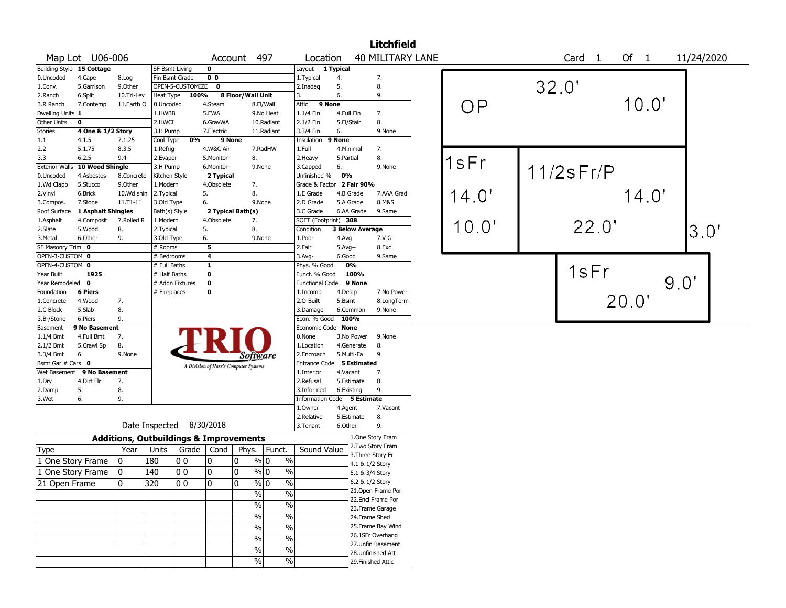|                       |                           |                                                   |                       |                          |                |                                       |                             |                           |                             | <b>Litchfield</b>                    |  |       |       |                 |       |      |            |  |
|-----------------------|---------------------------|---------------------------------------------------|-----------------------|--------------------------|----------------|---------------------------------------|-----------------------------|---------------------------|-----------------------------|--------------------------------------|--|-------|-------|-----------------|-------|------|------------|--|
|                       | Map Lot U06-006           |                                                   |                       |                          |                | Account 497                           |                             | Location                  |                             | <b>40 MILITARY LANE</b>              |  |       |       | Card 1          | Of 1  |      | 11/24/2020 |  |
|                       | Building Style 15 Cottage |                                                   | <b>SF Bsmt Living</b> |                          | $\mathbf 0$    |                                       |                             | Layout 1 Typical          |                             |                                      |  |       |       |                 |       |      |            |  |
| 0.Uncoded             | 4.Cape                    | 8.Log                                             | Fin Bsmt Grade        |                          | 0 <sub>0</sub> |                                       |                             | 1.Typical                 | 4.                          | 7.                                   |  |       |       |                 |       |      |            |  |
| 1.Conv.               | 5.Garrison                | 9.Other                                           |                       | OPEN-5-CUSTOMIZE         | $\mathbf 0$    |                                       |                             | 2.Inadeg                  | 5.                          | 8.                                   |  |       | 32.0' |                 |       |      |            |  |
| 2.Ranch               | 6.Split                   | 10.Tri-Lev                                        | Heat Type             | 100%                     |                | 8 Floor/Wall Unit                     |                             | 3.                        | 6.                          | 9.                                   |  |       |       |                 |       |      |            |  |
| 3.R Ranch             | 7.Contemp                 | 11.Earth O                                        | 0.Uncoded             |                          | 4.Steam        |                                       | 8.Fl/Wall                   | 9 None<br>Attic           |                             |                                      |  | OP    |       |                 | 10.0" |      |            |  |
| Dwelling Units 1      |                           |                                                   | 1.HWBB                |                          | 5.FWA          |                                       | 9.No Heat                   | $1.1/4$ Fin               | 4.Full Fin                  | 7.                                   |  |       |       |                 |       |      |            |  |
| Other Units           | $\mathbf 0$               |                                                   | 2.HWCI                |                          | 6.GravWA       |                                       | 10.Radiant                  | 2.1/2 Fin                 | 5.Fl/Stair                  | 8.                                   |  |       |       |                 |       |      |            |  |
| Stories               | 4 One & 1/2 Story         |                                                   | 3.H Pump              |                          | 7.Electric     |                                       | 11.Radiant                  | 3.3/4 Fin                 | 6.                          | 9.None                               |  |       |       |                 |       |      |            |  |
| 1.1                   | 4.1.5                     | 7.1.25                                            | Cool Type             | 0%                       |                | 9 None                                |                             | Insulation                | 9 None                      |                                      |  |       |       |                 |       |      |            |  |
| 2.2                   | 5.1.75                    | 8.3.5                                             | 1.Refrig              |                          | 4.W&C Air      |                                       | 7.RadHW                     | 1.Full                    | 4.Minimal                   | 7.                                   |  |       |       |                 |       |      |            |  |
| 3.3                   | 6.2.5                     | 9.4                                               | 2.Evapor              |                          | 5.Monitor-     | 8.                                    |                             | 2. Heavy                  | 5.Partial                   | 8.                                   |  |       |       |                 |       |      |            |  |
| <b>Exterior Walls</b> | 10 Wood Shingle           |                                                   | 3.H Pump              |                          | 6.Monitor-     |                                       | 9.None                      | 3.Capped                  | 6.                          | 9.None                               |  | 1sFr  |       |                 |       |      |            |  |
|                       |                           |                                                   |                       |                          |                |                                       |                             | Unfinished %              | 0%                          |                                      |  |       |       | $11/2$ s $Fr/P$ |       |      |            |  |
| 0.Uncoded             | 4.Asbestos                | 8.Concrete                                        | Kitchen Style         |                          | 2 Typical      |                                       |                             |                           |                             |                                      |  |       |       |                 |       |      |            |  |
| 1.Wd Clapb            | 5.Stucco                  | 9.0ther                                           | 1.Modern              |                          | 4.Obsolete     | 7.                                    |                             | Grade & Factor 2 Fair 90% |                             |                                      |  |       |       |                 |       |      |            |  |
| 2.Vinyl               | 6.Brick                   | 10.Wd shin                                        | 2.Typical             |                          | 5.             | 8.                                    |                             | 1.E Grade                 | 4.B Grade                   | 7.AAA Grad                           |  | 14.0' |       |                 | 14.0' |      |            |  |
| 3.Compos.             | 7.Stone                   | 11.T1-11                                          | 3.Old Type            |                          | 6.             |                                       | 9.None                      | 2.D Grade                 | 5.A Grade                   | 8.M&S                                |  |       |       |                 |       |      |            |  |
| Roof Surface          | 1 Asphalt Shingles        |                                                   | Bath(s) Style         |                          |                | 2 Typical Bath(s)                     |                             | 3.C Grade                 | 6.AA Grade                  | 9.Same                               |  |       |       |                 |       |      |            |  |
| 1.Asphalt             | 4.Composit                | 7.Rolled R                                        | 1.Modern              |                          | 4.Obsolete     | 7.                                    |                             | SQFT (Footprint) 308      |                             |                                      |  | 10.0" |       | 22.0'           |       |      |            |  |
| 2.Slate               | 5.Wood                    | 8.                                                | 2.Typical             |                          | 5.             | 8.                                    |                             | Condition                 | <b>3 Below Average</b>      |                                      |  |       |       |                 |       |      | 3.0'       |  |
| 3. Metal              | 6.Other                   | 9.                                                | 3.Old Type            |                          | 6.             |                                       | 9.None                      | 1.Poor                    | 4.Avg                       | 7.V G                                |  |       |       |                 |       |      |            |  |
| SF Masonry Trim 0     |                           |                                                   | # Rooms               |                          | 5              |                                       |                             | 2.Fair                    | $5.$ Avg $+$                | 8.Exc                                |  |       |       |                 |       |      |            |  |
| OPEN-3-CUSTOM 0       |                           |                                                   | # Bedrooms            |                          | 4              |                                       |                             | 3.Avg-                    | 6.Good                      | 9.Same                               |  |       |       |                 |       |      |            |  |
| OPEN-4-CUSTOM 0       |                           |                                                   | # Full Baths          |                          | $\mathbf{1}$   |                                       |                             | Phys. % Good              | 0%                          |                                      |  |       |       |                 |       |      |            |  |
| Year Built            | 1925                      |                                                   | # Half Baths          |                          | $\mathbf 0$    |                                       |                             | Funct. % Good             | 100%                        |                                      |  |       |       | 1sFr            |       |      |            |  |
| Year Remodeled 0      |                           |                                                   |                       | # Addn Fixtures          | $\mathbf 0$    |                                       |                             |                           | Functional Code 9 None      |                                      |  |       |       |                 |       | 9.0' |            |  |
| Foundation            | <b>6 Piers</b>            |                                                   | # Fireplaces          |                          | 0              |                                       |                             | 1.Incomp                  | 4.Delap                     | 7.No Power                           |  |       |       |                 |       |      |            |  |
| 1.Concrete            | 4.Wood                    | 7.                                                |                       |                          |                |                                       |                             | 2.O-Built                 | 5.Bsmt                      | 8.LongTerm                           |  |       |       |                 | 20.0' |      |            |  |
| 2.C Block             | 5.Slab                    | 8.                                                |                       |                          |                |                                       |                             | 3.Damage                  | 6.Common                    | 9.None                               |  |       |       |                 |       |      |            |  |
| 3.Br/Stone            | 6.Piers                   | 9.                                                |                       |                          |                |                                       |                             | Econ. % Good 100%         |                             |                                      |  |       |       |                 |       |      |            |  |
| Basement              | 9 No Basement             |                                                   |                       |                          |                |                                       |                             | Economic Code None        |                             |                                      |  |       |       |                 |       |      |            |  |
| $1.1/4$ Bmt           | 4.Full Bmt                | 7.                                                |                       |                          |                |                                       |                             | 0.None                    | 3.No Power                  | 9.None                               |  |       |       |                 |       |      |            |  |
| 2.1/2 Bmt             | 5.Crawl Sp                | 8.                                                |                       |                          |                |                                       |                             | 1.Location                | 4.Generate                  | 8.                                   |  |       |       |                 |       |      |            |  |
| 3.3/4 Bmt             | 6.                        | 9.None                                            |                       |                          |                | Software                              |                             | 2.Encroach                | 5.Multi-Fa                  | 9.                                   |  |       |       |                 |       |      |            |  |
| Bsmt Gar # Cars 0     |                           |                                                   |                       |                          |                | A Division of Harris Computer Systems |                             | Entrance Code 5 Estimated |                             |                                      |  |       |       |                 |       |      |            |  |
| Wet Basement          | 9 No Basement             |                                                   |                       |                          |                |                                       |                             | 1.Interior                | 4.Vacant                    | 7.                                   |  |       |       |                 |       |      |            |  |
| 1.Dry                 | 4.Dirt Flr                | 7.                                                |                       |                          |                |                                       |                             | 2.Refusal                 | 5.Estimate                  | 8.                                   |  |       |       |                 |       |      |            |  |
| 2.Damp                | 5.                        | 8.                                                |                       |                          |                |                                       |                             | 3.Informed                | 6.Existing                  | 9.                                   |  |       |       |                 |       |      |            |  |
| 3.Wet                 | 6.                        | 9.                                                |                       |                          |                |                                       |                             |                           | Information Code 5 Estimate |                                      |  |       |       |                 |       |      |            |  |
|                       |                           |                                                   |                       |                          |                |                                       |                             | 1.0wner                   | 4.Agent                     | 7.Vacant                             |  |       |       |                 |       |      |            |  |
|                       |                           |                                                   |                       |                          |                |                                       |                             | 2.Relative                | 5.Estimate                  | 8.                                   |  |       |       |                 |       |      |            |  |
|                       |                           |                                                   |                       | Date Inspected 8/30/2018 |                |                                       |                             | 3.Tenant                  | 6.Other                     | 9.                                   |  |       |       |                 |       |      |            |  |
|                       |                           | <b>Additions, Outbuildings &amp; Improvements</b> |                       |                          |                |                                       |                             |                           |                             | 1.One Story Fram                     |  |       |       |                 |       |      |            |  |
| Type                  |                           | Year                                              | Units                 | Grade   Cond             |                |                                       | Phys. Funct.                | Sound Value               |                             | 2. Two Story Fram                    |  |       |       |                 |       |      |            |  |
| 1 One Story Frame     |                           | 10                                                | 180                   | O O                      | 10             | 0                                     | $\%$<br>% 0                 |                           |                             | 3. Three Story Fr<br>4.1 & 1/2 Story |  |       |       |                 |       |      |            |  |
| 1 One Story Frame     |                           | 10                                                | 140                   | O 0                      | 0              | 0                                     | $\%$ 0<br>$\%$              |                           |                             | 5.1 & 3/4 Story                      |  |       |       |                 |       |      |            |  |
|                       |                           |                                                   | 320                   | $ 00\rangle$             |                | 0                                     | $\frac{9}{0}$<br>$\sqrt{6}$ |                           |                             | 6.2 & 1/2 Story                      |  |       |       |                 |       |      |            |  |
| 21 Open Frame         |                           | 0                                                 |                       |                          | 0              |                                       |                             |                           |                             | 21.Open Frame Por                    |  |       |       |                 |       |      |            |  |
|                       |                           |                                                   |                       |                          |                | $\%$                                  | $\%$                        |                           |                             | 22.Encl Frame Por                    |  |       |       |                 |       |      |            |  |
|                       |                           |                                                   |                       |                          |                | $\sqrt{0}$                            | $\frac{0}{0}$               |                           |                             | 23. Frame Garage                     |  |       |       |                 |       |      |            |  |
|                       |                           |                                                   |                       |                          |                | $\sqrt{0}$                            | $\%$                        |                           |                             | 24.Frame Shed                        |  |       |       |                 |       |      |            |  |
|                       |                           |                                                   |                       |                          |                | $\%$                                  | $\overline{\frac{0}{6}}$    |                           |                             | 25. Frame Bay Wind                   |  |       |       |                 |       |      |            |  |
|                       |                           |                                                   |                       |                          |                |                                       |                             |                           |                             | 26.1SFr Overhang                     |  |       |       |                 |       |      |            |  |
|                       |                           |                                                   |                       |                          |                | $\%$                                  | $\%$                        |                           |                             | 27.Unfin Basement                    |  |       |       |                 |       |      |            |  |
|                       |                           |                                                   |                       |                          |                | $\sqrt{0}$                            | $\overline{\frac{0}{6}}$    |                           |                             | 28. Unfinished Att                   |  |       |       |                 |       |      |            |  |
|                       |                           |                                                   |                       |                          |                | $\sqrt{0}$                            | $\%$                        |                           |                             | 29. Finished Attic                   |  |       |       |                 |       |      |            |  |
|                       |                           |                                                   |                       |                          |                |                                       |                             |                           |                             |                                      |  |       |       |                 |       |      |            |  |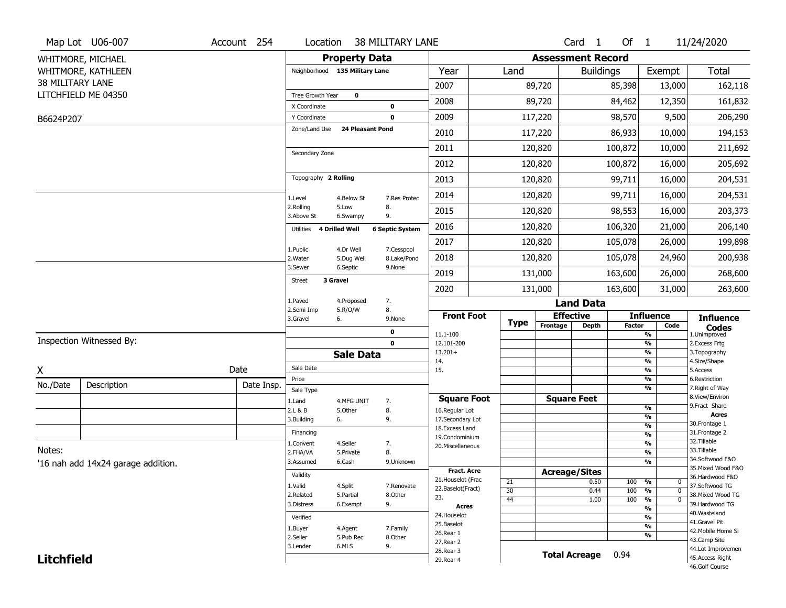|                   | Map Lot U06-007                    | Account 254 | Location                      |                                | <b>38 MILITARY LANE</b>   |                                      |             |                          | Card <sub>1</sub>    | Of $1$        |                                                   | 11/24/2020                            |
|-------------------|------------------------------------|-------------|-------------------------------|--------------------------------|---------------------------|--------------------------------------|-------------|--------------------------|----------------------|---------------|---------------------------------------------------|---------------------------------------|
|                   | WHITMORE, MICHAEL                  |             |                               | <b>Property Data</b>           |                           |                                      |             | <b>Assessment Record</b> |                      |               |                                                   |                                       |
|                   | WHITMORE, KATHLEEN                 |             |                               | Neighborhood 135 Military Lane |                           | Year                                 | Land        |                          | <b>Buildings</b>     |               | Exempt                                            | <b>Total</b>                          |
| 38 MILITARY LANE  |                                    |             |                               |                                |                           | 2007                                 |             | 89,720                   |                      | 85,398        | 13,000                                            | 162,118                               |
|                   | LITCHFIELD ME 04350                |             | Tree Growth Year              | $\mathbf 0$                    |                           | 2008                                 |             | 89,720                   |                      | 84,462        | 12,350                                            | 161,832                               |
|                   |                                    |             | X Coordinate                  |                                | $\mathbf 0$               | 2009                                 |             |                          |                      | 98,570        |                                                   |                                       |
| B6624P207         |                                    |             | Y Coordinate<br>Zone/Land Use | <b>24 Pleasant Pond</b>        | $\mathbf 0$               |                                      |             | 117,220                  |                      |               | 9,500                                             | 206,290                               |
|                   |                                    |             |                               |                                |                           | 2010                                 |             | 117,220                  |                      | 86,933        | 10,000                                            | 194,153                               |
|                   |                                    |             | Secondary Zone                |                                |                           | 2011                                 |             | 120,820                  |                      | 100,872       | 10,000                                            | 211,692                               |
|                   |                                    |             |                               |                                |                           | 2012                                 |             | 120,820                  |                      | 100,872       | 16,000                                            | 205,692                               |
|                   |                                    |             | Topography 2 Rolling          |                                |                           | 2013                                 |             | 120,820                  |                      | 99,711        | 16,000                                            | 204,531                               |
|                   |                                    |             | 1.Level                       | 4.Below St                     | 7.Res Protec              | 2014                                 |             | 120,820                  |                      | 99,711        | 16,000                                            | 204,531                               |
|                   |                                    |             | 2.Rolling<br>3.Above St       | 5.Low<br>6.Swampy              | 8.<br>9.                  | 2015                                 |             | 120,820                  |                      | 98,553        | 16,000                                            | 203,373                               |
|                   |                                    |             | Utilities                     | <b>4 Drilled Well</b>          | <b>6 Septic System</b>    | 2016                                 |             | 120,820                  |                      | 106,320       | 21,000                                            | 206,140                               |
|                   |                                    |             |                               |                                |                           | 2017                                 |             | 120,820                  |                      | 105,078       | 26,000                                            | 199,898                               |
|                   |                                    |             | 1.Public<br>2. Water          | 4.Dr Well<br>5.Dug Well        | 7.Cesspool<br>8.Lake/Pond | 2018                                 |             | 120,820                  |                      | 105,078       | 24,960                                            | 200,938                               |
|                   |                                    |             | 3.Sewer                       | 6.Septic                       | 9.None                    | 2019                                 |             | 131,000                  |                      | 163,600       | 26,000                                            | 268,600                               |
|                   |                                    |             | <b>Street</b>                 | 3 Gravel                       |                           | 2020                                 |             | 131,000                  |                      | 163,600       | 31,000                                            | 263,600                               |
|                   |                                    |             | 1.Paved                       | 4.Proposed                     | 7.                        |                                      |             |                          | <b>Land Data</b>     |               |                                                   |                                       |
|                   |                                    |             | 2.Semi Imp<br>3.Gravel        | 5.R/O/W<br>6.                  | 8.<br>9.None              | <b>Front Foot</b>                    |             |                          | <b>Effective</b>     |               | <b>Influence</b>                                  | <b>Influence</b>                      |
|                   |                                    |             |                               |                                |                           |                                      |             |                          |                      |               |                                                   |                                       |
|                   |                                    |             |                               |                                | 0                         |                                      | <b>Type</b> | Frontage                 | Depth                | <b>Factor</b> | Code                                              | <b>Codes</b>                          |
|                   | Inspection Witnessed By:           |             |                               |                                | $\mathbf 0$               | 11.1-100<br>12.101-200               |             |                          |                      |               | %<br>$\frac{9}{6}$                                | 1.Unimproved<br>2. Excess Frtg        |
|                   |                                    |             |                               | <b>Sale Data</b>               |                           | $13.201+$                            |             |                          |                      |               | %                                                 | 3. Topography                         |
|                   |                                    | Date        | Sale Date                     |                                |                           | 14.<br>15.                           |             |                          |                      |               | %<br>%                                            | 4.Size/Shape<br>5.Access              |
| Χ                 |                                    |             | Price                         |                                |                           |                                      |             |                          |                      |               | %                                                 | 6.Restriction                         |
| No./Date          | Description                        | Date Insp.  | Sale Type                     |                                |                           |                                      |             |                          |                      |               | %                                                 | 7. Right of Way<br>8.View/Environ     |
|                   |                                    |             | 1.Land<br>2.L & B             | 4.MFG UNIT<br>5.Other          | 7.                        | <b>Square Foot</b><br>16.Regular Lot |             |                          | <b>Square Feet</b>   |               | $\frac{9}{6}$                                     | 9.Fract Share                         |
|                   |                                    |             | 3.Building                    | 6.                             | 8.<br>9.                  | 17.Secondary Lot                     |             |                          |                      |               | %                                                 | <b>Acres</b>                          |
|                   |                                    |             | Financing                     |                                |                           | 18.Excess Land                       |             |                          |                      |               | $\frac{9}{6}$                                     | 30. Frontage 1<br>31. Frontage 2      |
|                   |                                    |             | 1.Convent                     | 4.Seller                       | 7.                        | 19.Condominium                       |             |                          |                      |               | $\overline{\frac{9}{6}}$<br>$\frac{9}{6}$         | 32.Tillable                           |
| Notes:            |                                    |             | 2.FHA/VA                      | 5.Private                      | 8.                        | 20.Miscellaneous                     |             |                          |                      |               | $\overline{\frac{9}{6}}$                          | 33.Tillable                           |
|                   | '16 nah add 14x24 garage addition. |             | 3.Assumed                     | 6.Cash                         | 9.Unknown                 |                                      |             |                          |                      |               | %                                                 | 34.Softwood F&O                       |
|                   |                                    |             | Validity                      |                                |                           | <b>Fract. Acre</b>                   |             |                          | <b>Acreage/Sites</b> |               |                                                   | 35. Mixed Wood F&O<br>36.Hardwood F&O |
|                   |                                    |             | 1.Valid                       | 4.Split                        | 7.Renovate                | 21. Houselot (Frac                   | 21          |                          | 0.50                 | 100           | %<br>0                                            | 37.Softwood TG                        |
|                   |                                    |             | 2.Related                     | 5.Partial                      | 8.Other                   | 22.Baselot(Fract)<br>23.             | 30          |                          | 0.44                 | 100           | $\overline{0}$<br>$\frac{9}{6}$<br>$\overline{0}$ | 38. Mixed Wood TG                     |
|                   |                                    |             | 3.Distress                    | 6.Exempt                       | 9.                        | <b>Acres</b>                         | 44          |                          | 1.00                 | 100           | %<br>$\frac{9}{6}$                                | 39.Hardwood TG                        |
|                   |                                    |             | Verified                      |                                |                           | 24. Houselot                         |             |                          |                      |               | %                                                 | 40. Wasteland                         |
|                   |                                    |             | 1.Buyer                       | 4.Agent                        | 7.Family                  | 25.Baselot                           |             |                          |                      |               | %                                                 | 41.Gravel Pit<br>42. Mobile Home Si   |
|                   |                                    |             | 2.Seller                      | 5.Pub Rec                      | 8.Other                   | 26.Rear 1<br>27. Rear 2              |             |                          |                      |               | %                                                 | 43.Camp Site                          |
| <b>Litchfield</b> |                                    |             | 3.Lender                      | 6.MLS                          | 9.                        | 28. Rear 3<br>29. Rear 4             |             |                          | <b>Total Acreage</b> | 0.94          |                                                   | 44.Lot Improvemen<br>45.Access Right  |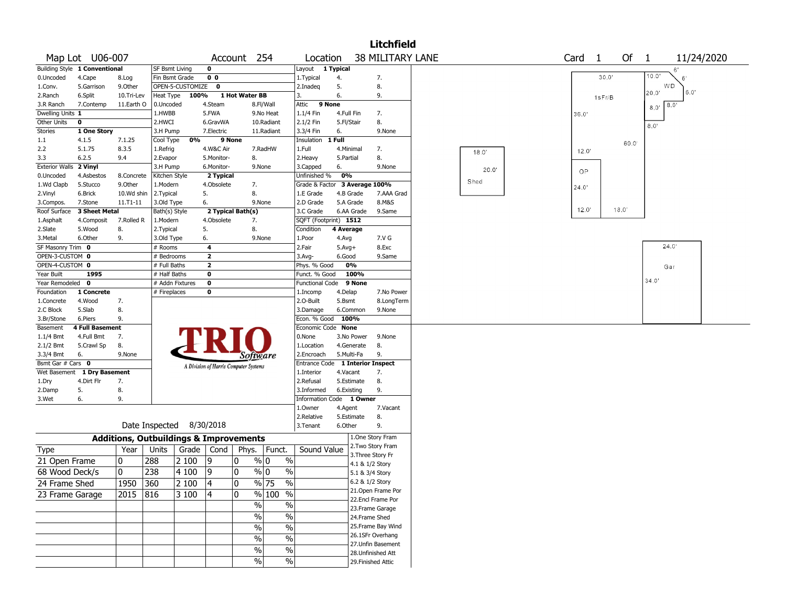|                         |                               |                                                   |                           |                    |                         |                                       |               |                                               |            |                 | <b>Litchfield</b>                     |       |                   |                |                              |  |
|-------------------------|-------------------------------|---------------------------------------------------|---------------------------|--------------------|-------------------------|---------------------------------------|---------------|-----------------------------------------------|------------|-----------------|---------------------------------------|-------|-------------------|----------------|------------------------------|--|
|                         | Map Lot U06-007               |                                                   |                           |                    |                         | Account 254                           |               | Location                                      |            |                 | <b>38 MILITARY LANE</b>               |       | Card <sub>1</sub> | Of             | $\overline{1}$<br>11/24/2020 |  |
|                         | Building Style 1 Conventional |                                                   | SF Bsmt Living            |                    | $\mathbf 0$             |                                       |               | Layout                                        | 1 Typical  |                 |                                       |       |                   |                | 6'                           |  |
| 0.Uncoded               | 4.Cape                        | 8.Log                                             | Fin Bsmt Grade            |                    | 0 <sub>0</sub>          |                                       |               | 1. Typical                                    | 4.         |                 | 7.                                    |       |                   | 30.0'          | 10.0'<br>6                   |  |
| 1.Conv.                 | 5.Garrison                    | 9.0ther                                           |                           | OPEN-5-CUSTOMIZE 0 |                         |                                       |               | 2.Inadeq                                      | 5.         |                 | 8.                                    |       |                   |                | WD                           |  |
| 2.Ranch                 | 6.Split                       | 10.Tri-Lev                                        | Heat Type                 | 100%               |                         | 1 Hot Water BB                        |               | 3.                                            | 6.         |                 | 9.                                    |       |                   | 1sFr/B         | 20.0'<br>6.0'                |  |
| 3.R Ranch               | 7.Contemp                     | 11.Earth O                                        | 0.Uncoded                 |                    | 4.Steam                 |                                       | 8.Fl/Wall     | Attic<br>9 None                               |            |                 |                                       |       |                   |                | 8.0<br>8.0'                  |  |
| Dwelling Units 1        |                               |                                                   | 1.HWBB                    |                    | 5.FWA                   |                                       | 9.No Heat     | 1.1/4 Fin                                     | 4.Full Fin |                 | 7.                                    |       | 36.0'             |                |                              |  |
| Other Units             | $\mathbf 0$                   |                                                   | 2.HWCI                    |                    | 6.GravWA                |                                       | 10.Radiant    | 2.1/2 Fin                                     | 5.Fl/Stair |                 | 8.                                    |       |                   |                | 8.0'                         |  |
| <b>Stories</b>          | 1 One Story                   |                                                   | 3.H Pump                  |                    | 7.Electric              |                                       | 11.Radiant    | 3.3/4 Fin                                     | 6.         |                 | 9.None                                |       |                   |                |                              |  |
| 1.1                     | 4.1.5                         | 7.1.25                                            | Cool Type                 | 0%                 | 9 None                  |                                       |               | Insulation                                    | 1 Full     |                 |                                       |       |                   | 60.0           |                              |  |
| 2.2                     | 5.1.75                        | 8.3.5                                             | 1.Refrig                  |                    | 4.W&C Air               |                                       | 7.RadHW       | 1.Full                                        | 4.Minimal  |                 | 7.                                    | 18.0' | 12.0'             |                |                              |  |
| 3.3                     | 6.2.5                         | 9.4                                               | 2.Evapor                  |                    | 5.Monitor-              | 8.                                    |               | 2. Heavy                                      | 5.Partial  |                 | 8.                                    |       |                   |                |                              |  |
| <b>Exterior Walls</b>   | 2 Vinyl                       |                                                   | 3.H Pump                  |                    | 6.Monitor-              | 9.None                                |               | 3.Capped                                      | 6.<br>0%   |                 | 9.None                                | 20.0" | OP.               |                |                              |  |
| 0.Uncoded<br>1.Wd Clapb | 4.Asbestos<br>5.Stucco        | 8.Concrete<br>9.Other                             | Kitchen Style<br>1.Modern |                    | 2 Typical<br>4.Obsolete | 7.                                    |               | Unfinished %<br>Grade & Factor 3 Average 100% |            |                 |                                       | Shed  |                   |                |                              |  |
| 2.Vinyl                 | 6.Brick                       | 10.Wd shin                                        | 2. Typical                |                    | 5.                      | 8.                                    |               | 1.E Grade                                     | 4.B Grade  |                 | 7.AAA Grad                            |       | 24.0'             |                |                              |  |
| 3.Compos.               | 7.Stone                       | 11.T1-11                                          | 3.Old Type                |                    | 6.                      | 9.None                                |               | 2.D Grade                                     | 5.A Grade  |                 | 8.M&S                                 |       |                   |                |                              |  |
| Roof Surface            | <b>3 Sheet Metal</b>          |                                                   | Bath(s) Style             |                    |                         | 2 Typical Bath(s)                     |               | 3.C Grade                                     |            | 6.AA Grade      | 9.Same                                |       | 12.0'             | $18.0^{\circ}$ |                              |  |
| 1.Asphalt               | 4.Composit                    | 7.Rolled R                                        | 1.Modern                  |                    | 4.Obsolete              | 7.                                    |               | SQFT (Footprint) 1512                         |            |                 |                                       |       |                   |                |                              |  |
| 2.Slate                 | 5.Wood                        | 8.                                                | 2. Typical                |                    | 5.                      | 8.                                    |               | Condition                                     | 4 Average  |                 |                                       |       |                   |                |                              |  |
| 3.Metal                 | 6.Other                       | 9.                                                | 3.Old Type                |                    | 6.                      | 9.None                                |               | 1.Poor                                        | 4.Avg      |                 | 7.V G                                 |       |                   |                |                              |  |
| SF Masonry Trim 0       |                               |                                                   | # Rooms                   |                    | 4                       |                                       |               | 2.Fair                                        | $5.Avg+$   |                 | 8.Exc                                 |       |                   |                | 24.0'                        |  |
| OPEN-3-CUSTOM 0         |                               |                                                   | # Bedrooms                |                    | $\mathbf{2}$            |                                       |               | $3.Avg-$                                      | 6.Good     |                 | 9.Same                                |       |                   |                |                              |  |
| OPEN-4-CUSTOM 0         |                               |                                                   | # Full Baths              |                    | $\mathbf{2}$            |                                       |               | Phys. % Good                                  | 0%         |                 |                                       |       |                   |                | Gar                          |  |
| Year Built              | 1995                          |                                                   | # Half Baths              |                    | 0                       |                                       |               | Funct. % Good                                 |            | 100%            |                                       |       |                   |                |                              |  |
| Year Remodeled          | $\mathbf 0$                   |                                                   | # Addn Fixtures           |                    | $\bf{0}$                |                                       |               | <b>Functional Code</b>                        |            | 9 None          |                                       |       |                   |                | 34.0'                        |  |
| Foundation              | 1 Concrete                    |                                                   | # Fireplaces              |                    | 0                       |                                       |               | 1.Incomp                                      | 4.Delap    |                 | 7.No Power                            |       |                   |                |                              |  |
| 1.Concrete              | 4.Wood                        | 7.                                                |                           |                    |                         |                                       |               | 2.O-Built                                     | 5.Bsmt     |                 | 8.LongTerm                            |       |                   |                |                              |  |
| 2.C Block               | 5.Slab                        | 8.                                                |                           |                    |                         |                                       |               | 3.Damage                                      | 6.Common   |                 | 9.None                                |       |                   |                |                              |  |
| 3.Br/Stone              | 6.Piers                       | 9.                                                |                           |                    |                         |                                       |               | Econ. % Good 100%                             |            |                 |                                       |       |                   |                |                              |  |
| Basement                | <b>4 Full Basement</b>        |                                                   |                           |                    |                         |                                       |               | Economic Code None                            |            |                 |                                       |       |                   |                |                              |  |
| $1.1/4$ Bmt             | 4.Full Bmt                    | 7.                                                |                           |                    |                         |                                       |               | 0.None                                        |            | 3.No Power      | 9.None                                |       |                   |                |                              |  |
| 2.1/2 Bmt<br>3.3/4 Bmt  | 5.Crawl Sp<br>6.              | 8.<br>9.None                                      |                           |                    |                         |                                       |               | 1.Location<br>2.Encroach                      | 5.Multi-Fa | 4.Generate      | 8.<br>9.                              |       |                   |                |                              |  |
| Bsmt Gar # Cars 0       |                               |                                                   |                           |                    |                         | Software                              |               | Entrance Code                                 |            |                 | 1 Interior Inspect                    |       |                   |                |                              |  |
|                         | Wet Basement 1 Dry Basement   |                                                   |                           |                    |                         | A Division of Harris Computer Systems |               | 1.Interior                                    | 4.Vacant   |                 | 7.                                    |       |                   |                |                              |  |
| 1.Dry                   | 4.Dirt Flr                    | 7.                                                |                           |                    |                         |                                       |               | 2.Refusal                                     | 5.Estimate |                 | 8.                                    |       |                   |                |                              |  |
| 2.Damp                  | 5.                            | 8.                                                |                           |                    |                         |                                       |               | 3.Informed                                    | 6.Existing |                 | 9.                                    |       |                   |                |                              |  |
| 3.Wet                   | 6.                            | 9.                                                |                           |                    |                         |                                       |               | Information Code                              |            | 1 Owner         |                                       |       |                   |                |                              |  |
|                         |                               |                                                   |                           |                    |                         |                                       |               | 1.0wner                                       | 4.Agent    |                 | 7.Vacant                              |       |                   |                |                              |  |
|                         |                               |                                                   |                           |                    |                         |                                       |               | 2.Relative                                    | 5.Estimate |                 | 8.                                    |       |                   |                |                              |  |
|                         |                               |                                                   | Date Inspected 8/30/2018  |                    |                         |                                       |               | 3.Tenant                                      | 6.Other    |                 | 9.                                    |       |                   |                |                              |  |
|                         |                               | <b>Additions, Outbuildings &amp; Improvements</b> |                           |                    |                         |                                       |               |                                               |            |                 | 1.One Story Fram                      |       |                   |                |                              |  |
| Type                    |                               | Year                                              | Units                     | Grade              | Cond                    | Phys.                                 | Funct.        | Sound Value                                   |            |                 | 2. Two Story Fram                     |       |                   |                |                              |  |
|                         |                               |                                                   |                           |                    |                         |                                       |               |                                               |            |                 | 3. Three Story Fr                     |       |                   |                |                              |  |
| 21 Open Frame           |                               | 10                                                | 288                       | 2 100              | 9                       | $\frac{9}{0}$ 0<br>10                 | $\%$          |                                               |            | 4.1 & 1/2 Story |                                       |       |                   |                |                              |  |
| 68 Wood Deck/s          |                               | $\mathbf{0}$                                      | 238                       | 4 100              | 9                       | 10<br>$\sqrt[6]{0}$                   | $\frac{0}{0}$ |                                               |            | 5.1 & 3/4 Story |                                       |       |                   |                |                              |  |
| 24 Frame Shed           |                               | 1950 360                                          |                           | 2 100              | 4                       | 10                                    | % 75<br>%     |                                               |            | 6.2 & 1/2 Story |                                       |       |                   |                |                              |  |
| 23 Frame Garage         |                               | 2015 816                                          |                           | 3100               | 4                       | 10                                    | % 100 %       |                                               |            |                 | 21.Open Frame Por                     |       |                   |                |                              |  |
|                         |                               |                                                   |                           |                    |                         | $\%$                                  | $\%$          |                                               |            |                 | 22.Encl Frame Por                     |       |                   |                |                              |  |
|                         |                               |                                                   |                           |                    |                         |                                       | $\frac{1}{2}$ |                                               |            |                 | 23. Frame Garage                      |       |                   |                |                              |  |
|                         |                               |                                                   |                           |                    |                         | $\%$                                  |               |                                               |            | 24.Frame Shed   |                                       |       |                   |                |                              |  |
|                         |                               |                                                   |                           |                    |                         | $\%$                                  | $\frac{1}{2}$ |                                               |            |                 | 25. Frame Bay Wind                    |       |                   |                |                              |  |
|                         |                               |                                                   |                           |                    |                         | $\%$                                  | $\frac{1}{2}$ |                                               |            |                 | 26.1SFr Overhang<br>27.Unfin Basement |       |                   |                |                              |  |
|                         |                               |                                                   |                           |                    |                         | %                                     | $\%$          |                                               |            |                 | 28.Unfinished Att                     |       |                   |                |                              |  |
|                         |                               |                                                   |                           |                    |                         | $\%$                                  | $\%$          |                                               |            |                 | 29. Finished Attic                    |       |                   |                |                              |  |
|                         |                               |                                                   |                           |                    |                         |                                       |               |                                               |            |                 |                                       |       |                   |                |                              |  |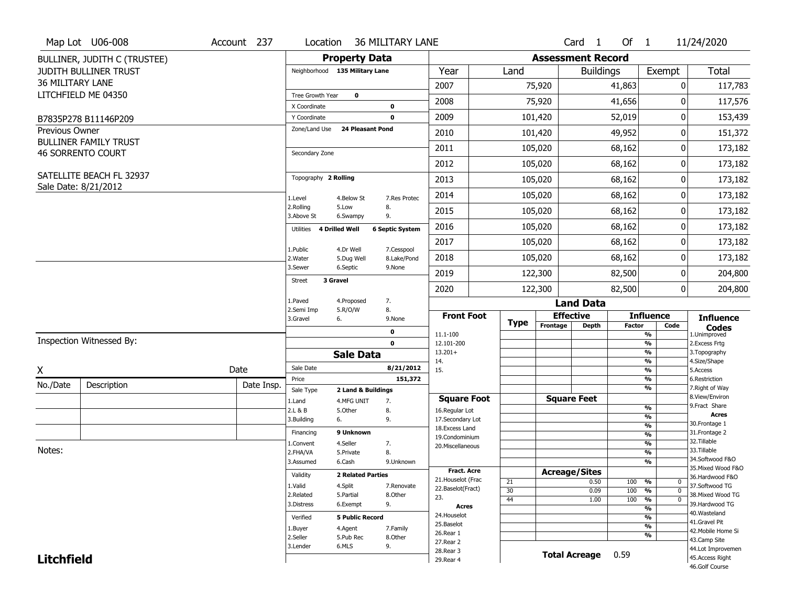|                         | Map Lot U06-008              | Account 237 | Location                       |                          | <b>36 MILITARY LANE</b> |                                         |             |                          | Card <sub>1</sub>    | Of 1          |                                                                 | 11/24/2020                            |
|-------------------------|------------------------------|-------------|--------------------------------|--------------------------|-------------------------|-----------------------------------------|-------------|--------------------------|----------------------|---------------|-----------------------------------------------------------------|---------------------------------------|
|                         | BULLINER, JUDITH C (TRUSTEE) |             |                                | <b>Property Data</b>     |                         |                                         |             | <b>Assessment Record</b> |                      |               |                                                                 |                                       |
|                         | <b>JUDITH BULLINER TRUST</b> |             | Neighborhood 135 Military Lane |                          |                         | Year                                    | Land        |                          | <b>Buildings</b>     |               | Exempt                                                          | <b>Total</b>                          |
| <b>36 MILITARY LANE</b> |                              |             |                                |                          |                         | 2007                                    |             | 75,920                   |                      | 41,863        | 0                                                               | 117,783                               |
|                         | LITCHFIELD ME 04350          |             | Tree Growth Year               | $\mathbf 0$              |                         | 2008                                    |             | 75,920                   |                      | 41,656        | $\mathbf{0}$                                                    | 117,576                               |
|                         |                              |             | X Coordinate                   |                          | $\mathbf 0$             |                                         |             |                          |                      |               |                                                                 |                                       |
|                         | B7835P278 B11146P209         |             | Y Coordinate                   |                          | $\mathbf 0$             | 2009                                    |             | 101,420                  |                      | 52,019        | 0                                                               | 153,439                               |
| Previous Owner          | <b>BULLINER FAMILY TRUST</b> |             | Zone/Land Use                  | <b>24 Pleasant Pond</b>  |                         | 2010                                    |             | 101,420                  |                      | 49,952        | 0                                                               | 151,372                               |
|                         | <b>46 SORRENTO COURT</b>     |             | Secondary Zone                 |                          |                         | 2011                                    |             | 105,020                  |                      | 68,162        | 0                                                               | 173,182                               |
|                         |                              |             |                                |                          |                         | 2012                                    |             | 105,020                  |                      | 68,162        | 0                                                               | 173,182                               |
|                         | SATELLITE BEACH FL 32937     |             | Topography 2 Rolling           |                          |                         | 2013                                    |             | 105,020                  |                      | 68,162        | 0                                                               | 173,182                               |
|                         | Sale Date: 8/21/2012         |             |                                |                          |                         | 2014                                    |             | 105,020                  |                      | 68,162        | 0                                                               | 173,182                               |
|                         |                              |             | 1.Level<br>2.Rolling           | 4.Below St<br>5.Low      | 7.Res Protec<br>8.      |                                         |             |                          |                      |               |                                                                 |                                       |
|                         |                              |             | 3.Above St                     | 6.Swampy                 | 9.                      | 2015                                    |             | 105,020                  |                      | 68,162        | 0                                                               | 173,182                               |
|                         |                              |             | 4 Drilled Well<br>Utilities    |                          | <b>6 Septic System</b>  | 2016                                    |             | 105,020                  |                      | 68,162        | 0                                                               | 173,182                               |
|                         |                              |             | 1.Public                       | 4.Dr Well                | 7.Cesspool              | 2017                                    |             | 105,020                  |                      | 68,162        | 0                                                               | 173,182                               |
|                         |                              |             | 2. Water                       | 5.Dug Well               | 8.Lake/Pond             | 2018                                    |             | 105,020                  |                      | 68,162        | 0                                                               | 173,182                               |
|                         |                              |             | 3.Sewer                        | 6.Septic                 | 9.None                  | 2019                                    |             | 122,300                  |                      | 82,500        | 0                                                               | 204,800                               |
|                         |                              |             | 3 Gravel<br>Street             |                          |                         | 2020                                    |             | 122,300                  |                      | 82,500        | 0                                                               | 204,800                               |
|                         |                              |             | 1.Paved                        | 4.Proposed               | 7.                      |                                         |             |                          | <b>Land Data</b>     |               |                                                                 |                                       |
|                         |                              |             | 2.Semi Imp<br>3.Gravel         | 5.R/O/W<br>6.            | 8.                      | <b>Front Foot</b>                       |             | <b>Effective</b>         |                      |               | <b>Influence</b>                                                | <b>Influence</b>                      |
|                         |                              |             |                                |                          | 9.None                  |                                         | <b>Type</b> | Frontage                 | <b>Depth</b>         | <b>Factor</b> | Code                                                            | <b>Codes</b>                          |
|                         | Inspection Witnessed By:     |             |                                |                          | 0<br>$\mathbf{0}$       | 11.1-100<br>12.101-200                  |             |                          |                      |               | %<br>$\frac{9}{6}$                                              | 1.Unimproved<br>2.Excess Frtg         |
|                         |                              |             |                                | <b>Sale Data</b>         |                         | $13.201+$                               |             |                          |                      |               | %                                                               | 3. Topography                         |
| X                       |                              | Date        | Sale Date                      |                          | 8/21/2012               | 14.<br>15.                              |             |                          |                      |               | %<br>$\frac{9}{6}$                                              | 4.Size/Shape<br>5.Access              |
| No./Date                | Description                  | Date Insp.  | Price                          |                          | 151,372                 |                                         |             |                          |                      |               | %                                                               | 6.Restriction                         |
|                         |                              |             | Sale Type                      | 2 Land & Buildings       |                         | <b>Square Foot</b>                      |             | <b>Square Feet</b>       |                      |               | %                                                               | 7. Right of Way<br>8.View/Environ     |
|                         |                              |             | 1.Land<br>2.L & B              | 4.MFG UNIT<br>5.Other    | 7.<br>8.                | 16.Regular Lot                          |             |                          |                      |               | $\frac{9}{6}$                                                   | 9. Fract Share                        |
|                         |                              |             | 3.Building                     | 6.                       | 9.                      | 17.Secondary Lot                        |             |                          |                      |               | $\frac{9}{6}$                                                   | <b>Acres</b><br>30. Frontage 1        |
|                         |                              |             | Financing                      | 9 Unknown                |                         | 18.Excess Land                          |             |                          |                      |               | $\overline{\frac{9}{6}}$<br>$\frac{9}{6}$                       | 31. Frontage 2                        |
|                         |                              |             | 1.Convent                      | 4.Seller                 | 7.                      | 19.Condominium<br>20.Miscellaneous      |             |                          |                      |               | $\frac{9}{6}$                                                   | 32. Tillable                          |
| Notes:                  |                              |             | 2.FHA/VA                       | 5.Private                | 8.                      |                                         |             |                          |                      |               | $\frac{9}{6}$                                                   | 33.Tillable                           |
|                         |                              |             | 3.Assumed                      | 6.Cash                   | 9.Unknown               |                                         |             |                          |                      |               | $\overline{\frac{9}{6}}$                                        | 34.Softwood F&O<br>35. Mixed Wood F&O |
|                         |                              |             | Validity                       | <b>2 Related Parties</b> |                         | <b>Fract. Acre</b>                      |             | <b>Acreage/Sites</b>     |                      |               |                                                                 | 36.Hardwood F&O                       |
|                         |                              |             | 1.Valid                        | 4.Split                  | 7.Renovate              | 21. Houselot (Frac<br>22.Baselot(Fract) | 21          |                          | 0.50                 | 100           | %<br>0                                                          | 37.Softwood TG                        |
|                         |                              |             | 2.Related                      | 5.Partial                | 8.Other                 | 23.                                     | 30<br>44    |                          | 0.09                 | 100<br>100    | $\frac{9}{6}$<br>$\mathbf 0$<br>$\frac{9}{6}$<br>$\overline{0}$ | 38. Mixed Wood TG                     |
|                         |                              |             | 3.Distress                     | 6.Exempt                 | 9.                      | <b>Acres</b>                            |             |                          | 1.00                 |               | $\frac{9}{6}$                                                   | 39.Hardwood TG                        |
|                         |                              |             | Verified                       | <b>5 Public Record</b>   |                         | 24. Houselot                            |             |                          |                      |               | $\frac{9}{6}$                                                   | 40. Wasteland                         |
|                         |                              |             | 1.Buyer                        | 4.Agent                  | 7.Family                | 25.Baselot                              |             |                          |                      |               | $\frac{9}{6}$                                                   | 41.Gravel Pit                         |
|                         |                              |             | 2.Seller                       | 5.Pub Rec                | 8.0ther                 | 26.Rear 1                               |             |                          |                      |               | $\frac{9}{6}$                                                   | 42. Mobile Home Si<br>43.Camp Site    |
|                         |                              |             |                                |                          |                         |                                         |             |                          |                      |               |                                                                 |                                       |
|                         |                              |             | 3.Lender                       | 6.MLS                    | 9.                      | 27. Rear 2                              |             |                          |                      |               |                                                                 |                                       |
| <b>Litchfield</b>       |                              |             |                                |                          |                         | 28. Rear 3<br>29. Rear 4                |             |                          | <b>Total Acreage</b> | 0.59          |                                                                 | 44.Lot Improvemen<br>45.Access Right  |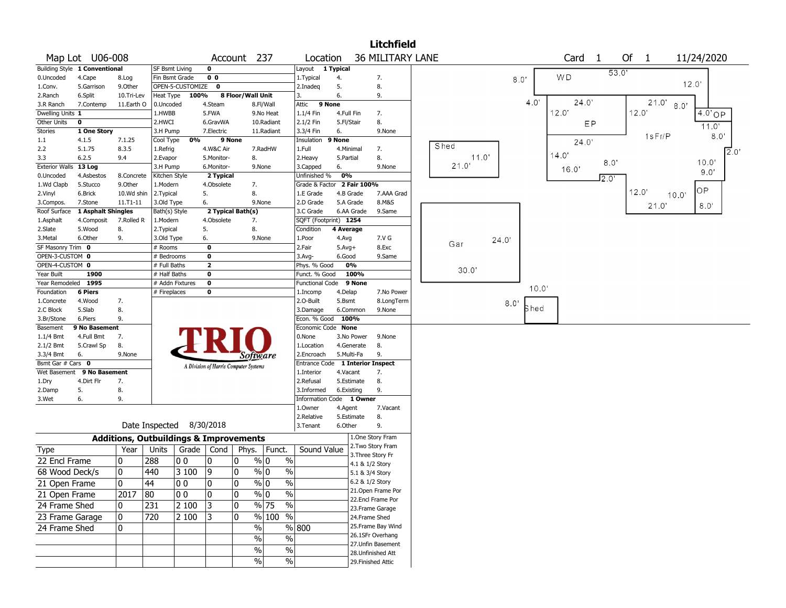|                       |                               |               |                 |                                                   |                                       |        |                                 |                                  |            |                 | <b>Litchfield</b>       |       |       |      |       |       |                   |       |       |        |             |                |
|-----------------------|-------------------------------|---------------|-----------------|---------------------------------------------------|---------------------------------------|--------|---------------------------------|----------------------------------|------------|-----------------|-------------------------|-------|-------|------|-------|-------|-------------------|-------|-------|--------|-------------|----------------|
|                       | Map Lot U06-008               |               |                 |                                                   |                                       |        | Account 237                     | Location                         |            |                 | <b>36 MILITARY LANE</b> |       |       |      |       |       | Card <sub>1</sub> |       | Of 1  |        | 11/24/2020  |                |
|                       | Building Style 1 Conventional |               | SF Bsmt Living  |                                                   | $\mathbf 0$                           |        |                                 | Layout                           | 1 Typical  |                 |                         |       |       |      |       |       |                   | 53.0  |       |        |             |                |
| 0.Uncoded             | 4.Cape                        | 8.Log         |                 | Fin Bsmt Grade                                    | 0 <sub>0</sub>                        |        |                                 | 1. Typical                       | 4.         |                 | 7.                      |       |       | 8.0  |       | WD    |                   |       |       |        |             |                |
| 1.Conv.               | 5.Garrison                    | 9.0ther       |                 | OPEN-5-CUSTOMIZE                                  | $\mathbf 0$                           |        |                                 | 2.Inadeg                         | 5.         |                 | 8.                      |       |       |      |       |       |                   |       |       |        | 12.0'       |                |
| 2.Ranch               | 6.Split                       | 10.Tri-Lev    | Heat Type       | 100%                                              |                                       |        | 8 Floor/Wall Unit               | 3.                               | 6.         |                 | 9.                      |       |       |      |       |       |                   |       |       |        |             |                |
| 3.R Ranch             | 7.Contemp                     | 11.Earth O    | 0.Uncoded       |                                                   | 4.Steam                               |        | 8.Fl/Wall                       | Attic                            | 9 None     |                 |                         |       |       |      | 4.0'  |       | 24.0'             |       |       | 21.0'  | 8.0         |                |
| Dwelling Units 1      |                               |               | 1.HWBB          |                                                   | 5.FWA                                 |        | 9.No Heat                       | 1.1/4 Fin                        | 4.Full Fin |                 | 7.                      |       |       |      |       | 12.0' |                   |       | 12.0' |        |             | $4.0^\circ$ OP |
| Other Units           | $\mathbf 0$                   |               | 2.HWCI          |                                                   | 6.GravWA                              |        | 10.Radiant                      | 2.1/2 Fin                        | 5.Fl/Stair |                 | 8.                      |       |       |      |       |       | EP                |       |       |        | 11.0'       |                |
| Stories               | 1 One Story                   |               | 3.H Pump        |                                                   | 7.Electric                            |        | 11.Radiant                      | 3.3/4 Fin                        | 6.         |                 | 9.None                  |       |       |      |       |       |                   |       |       |        |             |                |
| 1.1                   | 4.1.5                         | 7.1.25        | Cool Type       | 0%                                                |                                       | 9 None |                                 | Insulation                       | 9 None     |                 |                         |       |       |      |       |       | 24.0'             |       |       | 1sFr/P |             | 80'            |
| 2.2                   | 5.1.75                        | 8.3.5         | 1.Refrig        |                                                   | 4.W&C Air                             |        | 7.RadHW                         | 1.Full                           | 4.Minimal  |                 | 7.                      | Shed  |       |      |       |       |                   |       |       |        |             | $\sqrt{2}$ .0' |
| 3.3                   | 6.2.5                         | 9.4           | 2.Evapor        |                                                   | 5.Monitor-                            |        | 8.                              | 2.Heavy                          | 5.Partial  |                 | 8.                      |       | 11.0' |      |       | 14.0' |                   |       |       |        |             |                |
| <b>Exterior Walls</b> | 13 Log                        |               | 3.H Pump        |                                                   | 6.Monitor-                            |        | 9.None                          | 3.Capped                         | 6.         |                 | 9.None                  | 21.0' |       |      |       | 16.0' |                   | 8.0   |       |        | 10.0'       |                |
| 0.Uncoded             | 4.Asbestos                    | 8.Concrete    | Kitchen Style   |                                                   | 2 Typical                             |        |                                 | Unfinished %                     | 0%         |                 |                         |       |       |      |       |       |                   | J2.0" |       |        | 9.0"        |                |
| 1.Wd Clapb            | 5.Stucco                      | 9.0ther       | 1.Modern        |                                                   | 4.Obsolete                            |        | 7.                              | Grade & Factor 2 Fair 100%       |            |                 |                         |       |       |      |       |       |                   |       |       |        |             |                |
| 2.Vinyl               | 6.Brick                       | 10.Wd shin    | 2. Typical      |                                                   | 5.                                    |        | 8.                              | 1.E Grade                        | 4.B Grade  |                 | 7.AAA Grad              |       |       |      |       |       |                   |       | 12.0' |        | OP<br>10.0' |                |
| 3.Compos.             | 7.Stone                       | $11. T1 - 11$ | 3.Old Type      |                                                   | 6.                                    |        | 9.None                          | 2.D Grade                        | 5.A Grade  |                 | 8.M&S                   |       |       |      |       |       |                   |       |       | 21.0'  | 8.0'        |                |
| Roof Surface          | 1 Asphalt Shingles            |               | Bath(s) Style   |                                                   | 2 Typical Bath(s)                     |        |                                 | 3.C Grade                        |            | 6.AA Grade      | 9.Same                  |       |       |      |       |       |                   |       |       |        |             |                |
| 1.Asphalt             | 4.Composit                    | 7.Rolled R    | 1.Modern        |                                                   | 4.Obsolete                            |        | 7.                              | SQFT (Footprint) 1254            |            |                 |                         |       |       |      |       |       |                   |       |       |        |             |                |
| 2.Slate               | 5.Wood                        | 8.            | 2.Typical       |                                                   | 5.                                    |        | 8.                              | Condition                        | 4 Average  |                 |                         |       |       |      |       |       |                   |       |       |        |             |                |
| 3.Metal               | 6.Other                       | 9.            | 3.Old Type      |                                                   | 6.                                    |        | 9.None                          | 1.Poor                           | 4.Avg      |                 | 7.V G                   |       |       | 24.0 |       |       |                   |       |       |        |             |                |
| SF Masonry Trim 0     |                               |               | # Rooms         |                                                   | $\mathbf 0$                           |        |                                 | 2.Fair                           | $5.Avg+$   |                 | 8.Exc                   | Gar   |       |      |       |       |                   |       |       |        |             |                |
| OPEN-3-CUSTOM 0       |                               |               | # Bedrooms      |                                                   | $\bf{0}$                              |        |                                 | 3.Avg-                           | 6.Good     |                 | 9.Same                  |       |       |      |       |       |                   |       |       |        |             |                |
| OPEN-4-CUSTOM 0       |                               |               | # Full Baths    |                                                   | $\overline{2}$                        |        |                                 | Phys. % Good                     |            | 0%              |                         |       |       |      |       |       |                   |       |       |        |             |                |
| Year Built            | 1900                          |               | # Half Baths    |                                                   | $\bf{0}$                              |        |                                 | Funct. % Good                    |            | 100%            |                         | 30.0' |       |      |       |       |                   |       |       |        |             |                |
| Year Remodeled        | 1995                          |               |                 | # Addn Fixtures                                   | $\bf{0}$                              |        |                                 | <b>Functional Code</b>           |            | 9 None          |                         |       |       |      |       |       |                   |       |       |        |             |                |
| Foundation            | <b>6 Piers</b>                |               | # Fireplaces    |                                                   | $\bf{0}$                              |        |                                 | 1.Incomp                         | 4.Delap    |                 | 7.No Power              |       |       |      | 10.0' |       |                   |       |       |        |             |                |
| 1.Concrete            | 4.Wood                        | 7.            |                 |                                                   |                                       |        |                                 | 2.O-Built                        | 5.Bsmt     |                 | 8.LongTerm              |       |       |      |       |       |                   |       |       |        |             |                |
| 2.C Block             | 5.Slab                        | 8.            |                 |                                                   |                                       |        |                                 | 3.Damage                         | 6.Common   |                 | 9.None                  |       |       | 8.0' | Bhed  |       |                   |       |       |        |             |                |
| 3.Br/Stone            | 6.Piers                       | 9.            |                 |                                                   |                                       |        |                                 | Econ. % Good                     | 100%       |                 |                         |       |       |      |       |       |                   |       |       |        |             |                |
| Basement              | 9 No Basement                 |               |                 |                                                   |                                       |        |                                 | Economic Code None               |            |                 |                         |       |       |      |       |       |                   |       |       |        |             |                |
| $1.1/4$ Bmt           | 4.Full Bmt                    | 7.            |                 |                                                   |                                       |        |                                 | 0.None                           |            | 3.No Power      | 9.None                  |       |       |      |       |       |                   |       |       |        |             |                |
| 2.1/2 Bmt             | 5.Crawl Sp                    | 8.            |                 |                                                   |                                       |        |                                 | 1.Location                       |            | 4.Generate      | 8.                      |       |       |      |       |       |                   |       |       |        |             |                |
| 3.3/4 Bmt             | 6.                            | 9.None        |                 |                                                   |                                       |        |                                 | 2.Encroach                       | 5.Multi-Fa |                 | 9.                      |       |       |      |       |       |                   |       |       |        |             |                |
| Bsmt Gar # Cars 0     |                               |               |                 |                                                   |                                       |        | Software                        | Entrance Code 1 Interior Inspect |            |                 |                         |       |       |      |       |       |                   |       |       |        |             |                |
| Wet Basement          | 9 No Basement                 |               |                 |                                                   | A Division of Harris Computer Systems |        |                                 | 1.Interior                       | 4.Vacant   |                 | 7.                      |       |       |      |       |       |                   |       |       |        |             |                |
| 1.Dry                 | 4.Dirt Flr                    | 7.            |                 |                                                   |                                       |        |                                 | 2.Refusal                        | 5.Estimate |                 | 8.                      |       |       |      |       |       |                   |       |       |        |             |                |
| 2.Damp                | 5.                            | 8.            |                 |                                                   |                                       |        |                                 | 3.Informed                       | 6.Existing |                 | 9.                      |       |       |      |       |       |                   |       |       |        |             |                |
| 3.Wet                 | 6.                            | 9.            |                 |                                                   |                                       |        |                                 | Information Code                 |            | 1 Owner         |                         |       |       |      |       |       |                   |       |       |        |             |                |
|                       |                               |               |                 |                                                   |                                       |        |                                 | 1.Owner                          | 4.Agent    |                 | 7.Vacant                |       |       |      |       |       |                   |       |       |        |             |                |
|                       |                               |               |                 |                                                   |                                       |        |                                 | 2.Relative                       | 5.Estimate |                 | 8.                      |       |       |      |       |       |                   |       |       |        |             |                |
|                       |                               |               | Date Inspected  |                                                   | 8/30/2018                             |        |                                 | 3.Tenant                         | 6.Other    |                 | 9.                      |       |       |      |       |       |                   |       |       |        |             |                |
|                       |                               |               |                 |                                                   |                                       |        |                                 |                                  |            |                 |                         |       |       |      |       |       |                   |       |       |        |             |                |
|                       |                               |               |                 | <b>Additions, Outbuildings &amp; Improvements</b> |                                       |        |                                 |                                  |            |                 | 1.One Story Fram        |       |       |      |       |       |                   |       |       |        |             |                |
| Type                  |                               | Year          | Units           | Grade   Cond                                      |                                       | Phys.  | Funct.                          | Sound Value                      |            |                 | 2. Two Story Fram       |       |       |      |       |       |                   |       |       |        |             |                |
| 22 Encl Frame         |                               | 0             | 288             | 00                                                | 10                                    | 10     | $\frac{9}{0}$ 0<br>$\%$         |                                  |            |                 | 3. Three Story Fr       |       |       |      |       |       |                   |       |       |        |             |                |
| 68 Wood Deck/s        |                               | 0             |                 |                                                   |                                       |        | $\frac{9}{0}$ 0<br>$\%$         |                                  |            | 4.1 & 1/2 Story |                         |       |       |      |       |       |                   |       |       |        |             |                |
|                       |                               |               | 440             | 3 100                                             | 9                                     | 10     |                                 |                                  |            | 5.1 & 3/4 Story |                         |       |       |      |       |       |                   |       |       |        |             |                |
| 21 Open Frame         |                               | 0             | $\overline{44}$ | 00                                                | 0                                     | 0      | $\sqrt[6]{0}$<br>$\%$           |                                  |            | 6.2 & 1/2 Story |                         |       |       |      |       |       |                   |       |       |        |             |                |
| 21 Open Frame         |                               | 2017          | 80              | 00                                                | 0                                     | 10     | $\frac{9}{0}$ 0<br>$\%$         |                                  |            |                 | 21. Open Frame Por      |       |       |      |       |       |                   |       |       |        |             |                |
| 24 Frame Shed         |                               | 0             | 231             | 2 100                                             | 3                                     | 0      | $\sqrt{96}$ 75<br>$\frac{1}{2}$ |                                  |            |                 | 22.Encl Frame Por       |       |       |      |       |       |                   |       |       |        |             |                |
|                       |                               |               |                 |                                                   |                                       |        |                                 |                                  |            |                 | 23. Frame Garage        |       |       |      |       |       |                   |       |       |        |             |                |
| 23 Frame Garage       |                               | 10            | 720             | $\sqrt{2}100$                                     | 3                                     | 10     | $\frac{9}{6}$ 100 %             |                                  |            | 24.Frame Shed   |                         |       |       |      |       |       |                   |       |       |        |             |                |
| 24 Frame Shed         |                               | 0             |                 |                                                   |                                       |        | $\sqrt{6}$                      | % 800                            |            |                 | 25.Frame Bay Wind       |       |       |      |       |       |                   |       |       |        |             |                |
|                       |                               |               |                 |                                                   |                                       |        | $\frac{1}{2}$<br>$\frac{0}{0}$  |                                  |            |                 | 26.1SFr Overhang        |       |       |      |       |       |                   |       |       |        |             |                |
|                       |                               |               |                 |                                                   |                                       |        | %<br>$\%$                       |                                  |            |                 | 27.Unfin Basement       |       |       |      |       |       |                   |       |       |        |             |                |
|                       |                               |               |                 |                                                   |                                       |        |                                 |                                  |            |                 | 28.Unfinished Att       |       |       |      |       |       |                   |       |       |        |             |                |
|                       |                               |               |                 |                                                   |                                       |        | %<br>$\%$                       |                                  |            |                 | 29. Finished Attic      |       |       |      |       |       |                   |       |       |        |             |                |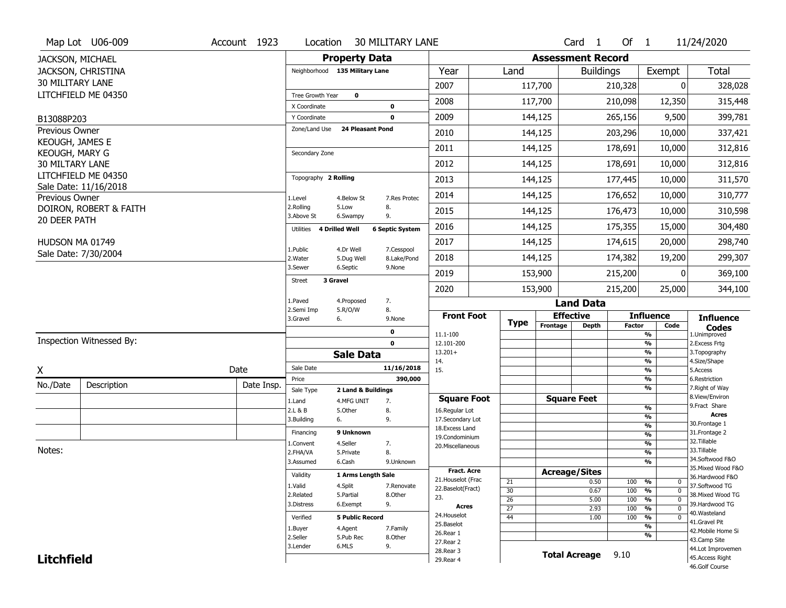|                                   | Map Lot U06-009          | Account 1923 | Location                           |                                  | <b>30 MILITARY LANE</b> |                                         |                       |                          | Card <sub>1</sub>    | Of $1$        |                                                      | 11/24/2020                            |
|-----------------------------------|--------------------------|--------------|------------------------------------|----------------------------------|-------------------------|-----------------------------------------|-----------------------|--------------------------|----------------------|---------------|------------------------------------------------------|---------------------------------------|
| JACKSON, MICHAEL                  |                          |              |                                    | <b>Property Data</b>             |                         |                                         |                       | <b>Assessment Record</b> |                      |               |                                                      |                                       |
|                                   | JACKSON, CHRISTINA       |              | Neighborhood 135 Military Lane     |                                  |                         | Year                                    | Land                  |                          | <b>Buildings</b>     |               | Exempt                                               | <b>Total</b>                          |
| <b>30 MILITARY LANE</b>           |                          |              |                                    |                                  |                         | 2007                                    |                       | 117,700                  |                      | 210,328       | 0                                                    | 328,028                               |
|                                   | LITCHFIELD ME 04350      |              | Tree Growth Year                   | $\mathbf 0$                      |                         | 2008                                    |                       | 117,700                  |                      | 210,098       | 12,350                                               | 315,448                               |
|                                   |                          |              | X Coordinate                       |                                  | 0                       |                                         |                       |                          |                      |               |                                                      |                                       |
| B13088P203                        |                          |              | Y Coordinate<br>Zone/Land Use      | <b>24 Pleasant Pond</b>          | $\mathbf 0$             | 2009                                    |                       | 144,125                  |                      | 265,156       | 9,500                                                | 399,781                               |
| Previous Owner<br>KEOUGH, JAMES E |                          |              |                                    |                                  |                         | 2010                                    |                       | 144,125                  |                      | 203,296       | 10,000                                               | 337,421                               |
| KEOUGH, MARY G                    |                          |              | Secondary Zone                     |                                  |                         | 2011                                    |                       | 144,125                  |                      | 178,691       | 10,000                                               | 312,816                               |
| <b>30 MILTARY LANE</b>            |                          |              |                                    |                                  |                         | 2012                                    |                       | 144,125                  |                      | 178,691       | 10,000                                               | 312,816                               |
|                                   | LITCHFIELD ME 04350      |              | Topography 2 Rolling               |                                  |                         | 2013                                    |                       | 144,125                  |                      | 177,445       | 10,000                                               | 311,570                               |
|                                   | Sale Date: 11/16/2018    |              |                                    |                                  |                         | 2014                                    |                       | 144,125                  |                      | 176,652       | 10,000                                               | 310,777                               |
| Previous Owner                    | DOIRON, ROBERT & FAITH   |              | 1.Level<br>2.Rolling               | 4.Below St<br>5.Low              | 7.Res Protec<br>8.      |                                         |                       |                          |                      |               |                                                      |                                       |
| 20 DEER PATH                      |                          |              | 3.Above St                         | 6.Swampy                         | 9.                      | 2015                                    |                       | 144,125                  |                      | 176,473       | 10,000                                               | 310,598                               |
|                                   |                          |              | <b>4 Drilled Well</b><br>Utilities |                                  | <b>6 Septic System</b>  | 2016                                    |                       | 144,125                  |                      | 175,355       | 15,000                                               | 304,480                               |
| HUDSON MA 01749                   |                          |              | 1.Public                           | 4.Dr Well                        | 7.Cesspool              | 2017                                    |                       | 144,125                  |                      | 174,615       | 20,000                                               | 298,740                               |
|                                   | Sale Date: 7/30/2004     |              | 2. Water                           | 5.Dug Well                       | 8.Lake/Pond             | 2018                                    |                       | 144,125                  |                      | 174,382       | 19,200                                               | 299,307                               |
|                                   |                          |              | 3.Sewer                            | 6.Septic                         | 9.None                  | 2019                                    |                       | 153,900                  |                      | 215,200       | ŋ                                                    | 369,100                               |
|                                   |                          |              | 3 Gravel<br><b>Street</b>          |                                  |                         | 2020                                    |                       | 153,900                  |                      | 215,200       | 25,000                                               | 344,100                               |
|                                   |                          |              | 1.Paved                            | 4.Proposed                       | 7.                      |                                         |                       |                          | <b>Land Data</b>     |               |                                                      |                                       |
|                                   |                          |              | 2.Semi Imp<br>3.Gravel<br>6.       | 5.R/O/W                          | 8.<br>9.None            | <b>Front Foot</b>                       |                       |                          | <b>Effective</b>     |               | <b>Influence</b>                                     | <b>Influence</b>                      |
|                                   |                          |              |                                    |                                  | 0                       |                                         | <b>Type</b>           | Frontage                 | <b>Depth</b>         | <b>Factor</b> | Code                                                 | <b>Codes</b>                          |
|                                   | Inspection Witnessed By: |              |                                    |                                  | $\mathbf 0$             | 11.1-100<br>12.101-200                  |                       |                          |                      |               | $\overline{\frac{9}{6}}$<br>$\frac{9}{6}$            | 1.Unimproved<br>2. Excess Frtg        |
|                                   |                          |              |                                    | <b>Sale Data</b>                 |                         | $13.201+$                               |                       |                          |                      |               | $\overline{\frac{9}{6}}$<br>$\overline{\frac{9}{6}}$ | 3. Topography                         |
| X                                 |                          | Date         | Sale Date                          |                                  | 11/16/2018              | 14.<br>15.                              |                       |                          |                      |               | $\overline{\frac{9}{6}}$                             | 4.Size/Shape<br>5.Access              |
| No./Date                          | Description              | Date Insp.   | Price                              |                                  | 390,000                 |                                         |                       |                          |                      |               | %<br>%                                               | 6.Restriction<br>7. Right of Way      |
|                                   |                          |              | Sale Type<br>1.Land                | 2 Land & Buildings<br>4.MFG UNIT | 7.                      | <b>Square Foot</b>                      |                       |                          | <b>Square Feet</b>   |               |                                                      | 8.View/Environ                        |
|                                   |                          |              | 2.L & B                            | 5.0ther                          | 8.                      | 16.Regular Lot                          |                       |                          |                      |               | $\frac{9}{6}$                                        | 9.Fract Share<br><b>Acres</b>         |
|                                   |                          |              | 3.Building<br>6.                   |                                  | 9.                      | 17.Secondary Lot<br>18.Excess Land      |                       |                          |                      |               | %<br>$\frac{9}{6}$                                   | 30. Frontage 1                        |
|                                   |                          |              | Financing                          | 9 Unknown                        |                         | 19.Condominium                          |                       |                          |                      |               | $\frac{9}{6}$                                        | 31. Frontage 2<br>32.Tillable         |
| Notes:                            |                          |              | 1.Convent<br>2.FHA/VA              | 4.Seller<br>5.Private            | 7.<br>8.                | 20.Miscellaneous                        |                       |                          |                      |               | $\frac{9}{6}$<br>%                                   | 33.Tillable                           |
|                                   |                          |              | 3.Assumed                          | 6.Cash                           | 9.Unknown               |                                         |                       |                          |                      |               | %                                                    | 34.Softwood F&O                       |
|                                   |                          |              | Validity                           | 1 Arms Length Sale               |                         | <b>Fract. Acre</b>                      |                       | <b>Acreage/Sites</b>     |                      |               |                                                      | 35. Mixed Wood F&O<br>36.Hardwood F&O |
|                                   |                          |              | 1.Valid                            | 4.Split                          | 7.Renovate              | 21. Houselot (Frac<br>22.Baselot(Fract) | 21                    |                          | 0.50                 | 100           | %<br>0<br>$\overline{\mathfrak{o}}$                  | 37.Softwood TG                        |
|                                   |                          |              | 2.Related                          | 5.Partial                        | 8.Other                 | 23.                                     | 30<br>$\overline{26}$ |                          | 0.67<br>5.00         | 100<br>100    | %<br>$\frac{9}{6}$<br>$\overline{0}$                 | 38. Mixed Wood TG                     |
|                                   |                          |              | 3.Distress                         | 6.Exempt                         | 9.                      | Acres                                   | $\overline{27}$       |                          | 2.93                 | 100           | $\frac{9}{6}$<br>$\overline{0}$                      | 39.Hardwood TG                        |
|                                   |                          |              | Verified                           | <b>5 Public Record</b>           |                         | 24. Houselot                            | 44                    |                          | 1.00                 | 100           | %<br>$\mathbf 0$                                     | 40.Wasteland<br>41.Gravel Pit         |
|                                   |                          |              | 1.Buyer                            | 4.Agent                          | 7.Family                | 25.Baselot<br>26.Rear 1                 |                       |                          |                      |               | %                                                    | 42. Mobile Home Si                    |
|                                   |                          |              | 2.Seller                           | 5.Pub Rec                        | 8.Other                 | 27. Rear 2                              |                       |                          |                      |               | %                                                    | 43.Camp Site                          |
| <b>Litchfield</b>                 |                          |              | 3.Lender                           | 6.MLS                            | 9.                      | 28.Rear 3                               |                       |                          | <b>Total Acreage</b> | 9.10          |                                                      | 44.Lot Improvemen                     |
|                                   |                          |              |                                    |                                  |                         | 29. Rear 4                              |                       |                          |                      |               |                                                      | 45.Access Right                       |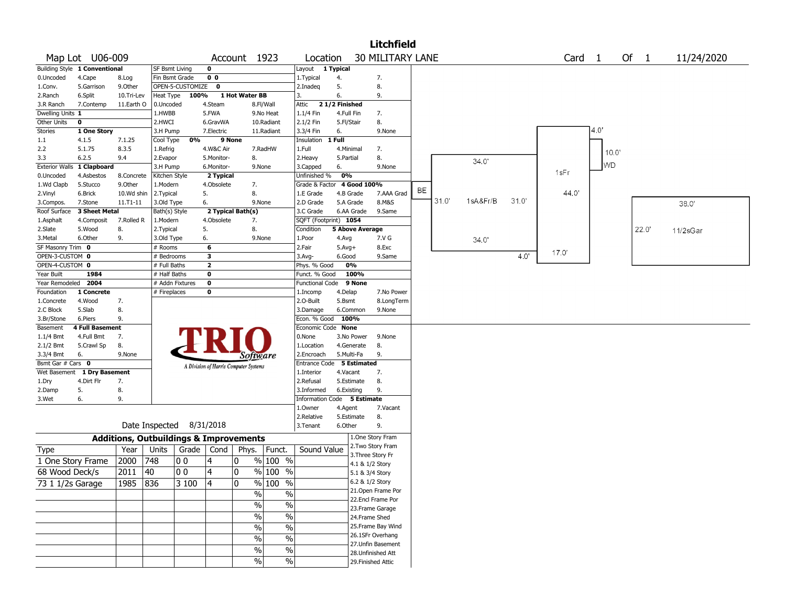|                              |                               |                                                   |                           |                  |                |                                       |               |                             |               |                 | <b>Litchfield</b>       |    |       |          |       |                   |           |      |            |
|------------------------------|-------------------------------|---------------------------------------------------|---------------------------|------------------|----------------|---------------------------------------|---------------|-----------------------------|---------------|-----------------|-------------------------|----|-------|----------|-------|-------------------|-----------|------|------------|
|                              | Map Lot U06-009               |                                                   |                           |                  |                | Account 1923                          |               | Location                    |               |                 | <b>30 MILITARY LANE</b> |    |       |          |       | Card <sub>1</sub> |           | Of 1 | 11/24/2020 |
|                              | Building Style 1 Conventional |                                                   | SF Bsmt Living            |                  | $\mathbf 0$    |                                       |               | Layout                      | 1 Typical     |                 |                         |    |       |          |       |                   |           |      |            |
| 0.Uncoded                    | 4.Cape                        | 8.Log                                             | Fin Bsmt Grade            |                  | 0 <sub>0</sub> |                                       |               | 1. Typical                  | 4.            |                 | 7.                      |    |       |          |       |                   |           |      |            |
| 1.Conv.                      | 5.Garrison                    | 9.0ther                                           |                           | OPEN-5-CUSTOMIZE | $\bf{0}$       |                                       |               | 2.Inadeg                    | 5.            |                 | 8.                      |    |       |          |       |                   |           |      |            |
| 2.Ranch                      | 6.Split                       | 10.Tri-Lev                                        | Heat Type                 | 100%             |                | 1 Hot Water BB                        |               | 3.                          | 6.            |                 | 9.                      |    |       |          |       |                   |           |      |            |
| 3.R Ranch                    | 7.Contemp                     | 11.Earth O                                        | 0.Uncoded                 |                  | 4.Steam        |                                       | 8.Fl/Wall     | Attic                       | 21/2 Finished |                 |                         |    |       |          |       |                   |           |      |            |
| Dwelling Units 1             |                               |                                                   | 1.HWBB                    |                  | 5.FWA          |                                       | 9.No Heat     | 1.1/4 Fin                   | 4.Full Fin    |                 | 7.                      |    |       |          |       |                   |           |      |            |
| Other Units                  | 0                             |                                                   | 2.HWCI                    |                  | 6.GravWA       |                                       | 10.Radiant    | 2.1/2 Fin                   | 5.Fl/Stair    |                 | 8.                      |    |       |          |       |                   |           |      |            |
| Stories                      | 1 One Story                   |                                                   | 3.H Pump                  |                  | 7.Electric     |                                       | 11.Radiant    | 3.3/4 Fin                   | 6.            |                 | 9.None                  |    |       |          |       |                   | 4.0'      |      |            |
| $1.1\,$                      | 4.1.5                         | 7.1.25                                            | Cool Type                 | 0%               |                | 9 None                                |               | Insulation                  | 1 Full        |                 |                         |    |       |          |       |                   |           |      |            |
| 2.2                          | 5.1.75                        | 8.3.5                                             | 1.Refrig                  |                  | 4.W&C Air      |                                       | 7.RadHW       | 1.Full                      | 4.Minimal     |                 | 7.                      |    |       |          |       |                   | 10.0      |      |            |
| 3.3<br><b>Exterior Walls</b> | 6.2.5                         | 9.4                                               | 2.Evapor                  |                  | 5.Monitor-     | 8.                                    |               | 2.Heavy                     | 5.Partial     |                 | 8.                      |    |       | 34.0'    |       |                   | <b>WD</b> |      |            |
|                              | 1 Clapboard                   |                                                   | 3.H Pump<br>Kitchen Style |                  | 6.Monitor-     |                                       | 9.None        | 3.Capped<br>Unfinished %    | 6.<br>0%      |                 | 9.None                  |    |       |          |       | 1sFr              |           |      |            |
| 0.Uncoded                    | 4.Asbestos                    | 8.Concrete                                        |                           |                  | 2 Typical      |                                       |               |                             |               | 4 Good 100%     |                         |    |       |          |       |                   |           |      |            |
| 1.Wd Clapb                   | 5.Stucco<br>6.Brick           | 9.0ther<br>10.Wd shin                             | 1.Modern                  |                  | 4.Obsolete     | 7.<br>8.                              |               | Grade & Factor              |               | 4.B Grade       | 7.AAA Grad              | BE |       |          |       | 44.0              |           |      |            |
| 2.Vinyl                      | 7.Stone                       | $11.71 - 11$                                      | 2. Typical<br>3.Old Type  |                  | 5.<br>6.       |                                       | 9.None        | 1.E Grade<br>2.D Grade      |               | 5.A Grade       | 8.M&S                   |    | 31.0' | 1sA&Fr/B | 31.0' |                   |           |      |            |
| 3.Compos.<br>Roof Surface    | 3 Sheet Metal                 |                                                   | Bath(s) Style             |                  |                | 2 Typical Bath(s)                     |               | 3.C Grade                   |               | 6.AA Grade      | 9.Same                  |    |       |          |       |                   |           |      | 38.0'      |
| 1.Asphalt                    | 4.Composit                    | 7.Rolled R                                        | 1.Modern                  |                  | 4.Obsolete     | 7.                                    |               | SQFT (Footprint) 1054       |               |                 |                         |    |       |          |       |                   |           |      |            |
| 2.Slate                      | 5.Wood                        | 8.                                                | 2. Typical                |                  | 5.             | 8.                                    |               | Condition                   |               | 5 Above Average |                         |    |       |          |       |                   |           | 22.0 | 11/2sGar   |
| 3.Metal                      | 6.Other                       | 9.                                                | 3.Old Type                |                  | 6.             |                                       | 9.None        | 1.Poor                      | 4.Avg         |                 | 7.V G                   |    |       |          |       |                   |           |      |            |
| SF Masonry Trim 0            |                               |                                                   | # Rooms                   |                  | 6              |                                       |               | 2.Fair                      | $5.$ Avg $+$  |                 | 8.Exc                   |    |       | 34.0     |       |                   |           |      |            |
| OPEN-3-CUSTOM 0              |                               |                                                   | # Bedrooms                |                  | 3              |                                       |               | 3.Avg-                      | 6.Good        |                 | 9.Same                  |    |       |          | 4.0'  | 17.0'             |           |      |            |
| OPEN-4-CUSTOM 0              |                               |                                                   | # Full Baths              |                  | $\overline{2}$ |                                       |               | Phys. % Good                |               | 0%              |                         |    |       |          |       |                   |           |      |            |
| Year Built                   | 1984                          |                                                   | # Half Baths              |                  | 0              |                                       |               | Funct. % Good               |               | 100%            |                         |    |       |          |       |                   |           |      |            |
| Year Remodeled               | 2004                          |                                                   |                           | # Addn Fixtures  | $\mathbf 0$    |                                       |               | <b>Functional Code</b>      |               | 9 None          |                         |    |       |          |       |                   |           |      |            |
| Foundation                   | 1 Concrete                    |                                                   | # Fireplaces              |                  | 0              |                                       |               | 1.Incomp                    | 4.Delap       |                 | 7.No Power              |    |       |          |       |                   |           |      |            |
| 1.Concrete                   | 4.Wood                        | 7.                                                |                           |                  |                |                                       |               | 2.O-Built                   | 5.Bsmt        |                 | 8.LongTerm              |    |       |          |       |                   |           |      |            |
| 2.C Block                    | 5.Slab                        | 8.                                                |                           |                  |                |                                       |               | 3.Damage                    |               | 6.Common        | 9.None                  |    |       |          |       |                   |           |      |            |
| 3.Br/Stone                   | 6.Piers                       | 9.                                                |                           |                  |                |                                       |               | Econ. % Good                |               | 100%            |                         |    |       |          |       |                   |           |      |            |
| Basement                     | <b>4 Full Basement</b>        |                                                   |                           |                  |                |                                       |               | Economic Code None          |               |                 |                         |    |       |          |       |                   |           |      |            |
| 1.1/4 Bmt                    | 4.Full Bmt                    | 7.                                                |                           |                  |                |                                       |               | 0.None                      |               | 3.No Power      | 9.None                  |    |       |          |       |                   |           |      |            |
| 2.1/2 Bmt                    | 5.Crawl Sp                    | 8.                                                |                           |                  |                |                                       |               | 1.Location                  |               | 4.Generate      | 8.                      |    |       |          |       |                   |           |      |            |
| 3.3/4 Bmt                    | 6.                            | 9.None                                            |                           |                  |                | Software                              |               | 2.Encroach                  |               | 5.Multi-Fa      | 9.                      |    |       |          |       |                   |           |      |            |
| Bsmt Gar # Cars 0            |                               |                                                   |                           |                  |                | A Division of Harris Computer Systems |               | Entrance Code               |               | 5 Estimated     |                         |    |       |          |       |                   |           |      |            |
| Wet Basement                 | 1 Dry Basement                |                                                   |                           |                  |                |                                       |               | 1.Interior                  | 4.Vacant      |                 | 7.                      |    |       |          |       |                   |           |      |            |
| 1.Dry                        | 4.Dirt Flr                    | 7.                                                |                           |                  |                |                                       |               | 2.Refusal                   |               | 5.Estimate      | 8.                      |    |       |          |       |                   |           |      |            |
| 2.Damp                       | 5.                            | 8.                                                |                           |                  |                |                                       |               | 3.Informed                  |               | 6.Existing      | 9.                      |    |       |          |       |                   |           |      |            |
| 3.Wet                        | 6.                            | 9.                                                |                           |                  |                |                                       |               | Information Code 5 Estimate |               |                 |                         |    |       |          |       |                   |           |      |            |
|                              |                               |                                                   |                           |                  |                |                                       |               | 1.0wner                     | 4.Agent       |                 | 7.Vacant                |    |       |          |       |                   |           |      |            |
|                              |                               |                                                   |                           |                  |                |                                       |               | 2.Relative                  |               | 5.Estimate      | 8.                      |    |       |          |       |                   |           |      |            |
|                              |                               |                                                   | Date Inspected            |                  | 8/31/2018      |                                       |               | 3.Tenant                    | 6.Other       |                 | 9.                      |    |       |          |       |                   |           |      |            |
|                              |                               | <b>Additions, Outbuildings &amp; Improvements</b> |                           |                  |                |                                       |               |                             |               |                 | 1.One Story Fram        |    |       |          |       |                   |           |      |            |
| Type                         |                               | Year                                              | Units                     |                  | Grade   Cond   | Phys.                                 | Funct.        | Sound Value                 |               |                 | 2. Two Story Fram       |    |       |          |       |                   |           |      |            |
| 1 One Story Frame            |                               | 2000                                              | 748                       | O O              | 4              | 0                                     | % 100 %       |                             |               |                 | 3. Three Story Fr       |    |       |          |       |                   |           |      |            |
| 68 Wood Deck/s               |                               | 2011                                              | 40                        | 0 <sub>0</sub>   | 4              | 0                                     | % 100 %       |                             |               | 4.1 & 1/2 Story |                         |    |       |          |       |                   |           |      |            |
|                              |                               |                                                   |                           |                  |                |                                       |               |                             |               | 5.1 & 3/4 Story |                         |    |       |          |       |                   |           |      |            |
| 73 1 1/2s Garage             |                               | 1985                                              | 836                       | 3 100            | 14             | 0                                     | % 100 %       |                             |               | 6.2 & 1/2 Story | 21. Open Frame Por      |    |       |          |       |                   |           |      |            |
|                              |                               |                                                   |                           |                  |                | $\frac{0}{0}$                         | $\frac{0}{0}$ |                             |               |                 | 22.Encl Frame Por       |    |       |          |       |                   |           |      |            |
|                              |                               |                                                   |                           |                  |                | $\frac{1}{2}$                         | $\%$          |                             |               |                 | 23. Frame Garage        |    |       |          |       |                   |           |      |            |
|                              |                               |                                                   |                           |                  |                | $\frac{1}{2}$                         | $\%$          |                             |               | 24.Frame Shed   |                         |    |       |          |       |                   |           |      |            |
|                              |                               |                                                   |                           |                  |                | $\frac{0}{0}$                         | $\%$          |                             |               |                 | 25. Frame Bay Wind      |    |       |          |       |                   |           |      |            |
|                              |                               |                                                   |                           |                  |                |                                       |               |                             |               |                 | 26.1SFr Overhang        |    |       |          |       |                   |           |      |            |
|                              |                               |                                                   |                           |                  |                | $\frac{0}{0}$                         | $\frac{0}{0}$ |                             |               |                 | 27. Unfin Basement      |    |       |          |       |                   |           |      |            |
|                              |                               |                                                   |                           |                  |                | $\frac{0}{0}$                         | $\%$          |                             |               |                 | 28. Unfinished Att      |    |       |          |       |                   |           |      |            |
|                              |                               |                                                   |                           |                  |                | $\frac{0}{0}$                         | $\%$          |                             |               |                 | 29. Finished Attic      |    |       |          |       |                   |           |      |            |
|                              |                               |                                                   |                           |                  |                |                                       |               |                             |               |                 |                         |    |       |          |       |                   |           |      |            |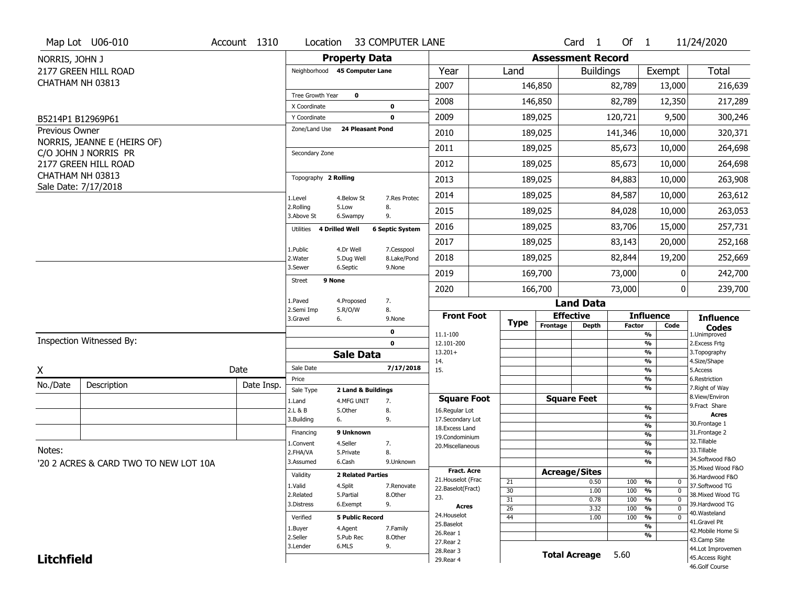|                   | Map Lot U06-010                       | Account 1310 | Location                      |                          | 33 COMPUTER LANE       |                                         |                 |                          | Card <sub>1</sub>    | Of $1$        |                                       | 11/24/2020                                             |
|-------------------|---------------------------------------|--------------|-------------------------------|--------------------------|------------------------|-----------------------------------------|-----------------|--------------------------|----------------------|---------------|---------------------------------------|--------------------------------------------------------|
| NORRIS, JOHN J    |                                       |              |                               | <b>Property Data</b>     |                        |                                         |                 | <b>Assessment Record</b> |                      |               |                                       |                                                        |
|                   | 2177 GREEN HILL ROAD                  |              | Neighborhood 45 Computer Lane |                          |                        | Year                                    | Land            |                          | <b>Buildings</b>     |               | Exempt                                | <b>Total</b>                                           |
| CHATHAM NH 03813  |                                       |              |                               |                          |                        | 2007                                    |                 | 146,850                  |                      | 82,789        | 13,000                                | 216,639                                                |
|                   |                                       |              | Tree Growth Year              | $\mathbf{o}$             |                        | 2008                                    |                 | 146,850                  |                      | 82,789        | 12,350                                | 217,289                                                |
| B5214P1 B12969P61 |                                       |              | X Coordinate<br>Y Coordinate  |                          | 0<br>$\mathbf 0$       | 2009                                    |                 | 189,025                  |                      | 120,721       | 9,500                                 | 300,246                                                |
| Previous Owner    |                                       |              | Zone/Land Use                 | <b>24 Pleasant Pond</b>  |                        | 2010                                    |                 | 189,025                  |                      | 141,346       | 10,000                                | 320,371                                                |
|                   | NORRIS, JEANNE E (HEIRS OF)           |              |                               |                          |                        |                                         |                 |                          |                      |               |                                       |                                                        |
|                   | C/O JOHN J NORRIS PR                  |              | Secondary Zone                |                          |                        | 2011                                    |                 | 189,025                  |                      | 85,673        | 10,000                                | 264,698                                                |
|                   | 2177 GREEN HILL ROAD                  |              |                               |                          |                        | 2012                                    |                 | 189,025                  |                      | 85,673        | 10,000                                | 264,698                                                |
| CHATHAM NH 03813  | Sale Date: 7/17/2018                  |              | Topography 2 Rolling          |                          |                        | 2013                                    |                 | 189,025                  |                      | 84,883        | 10,000                                | 263,908                                                |
|                   |                                       |              | 1.Level                       | 4.Below St               | 7.Res Protec           | 2014                                    |                 | 189,025                  |                      | 84,587        | 10,000                                | 263,612                                                |
|                   |                                       |              | 2.Rolling<br>3.Above St       | 5.Low<br>6.Swampy        | 8.<br>9.               | 2015                                    |                 | 189,025                  |                      | 84,028        | 10,000                                | 263,053                                                |
|                   |                                       |              | Utilities 4 Drilled Well      |                          | <b>6 Septic System</b> | 2016                                    |                 | 189,025                  |                      | 83,706        | 15,000                                | 257,731                                                |
|                   |                                       |              | 1.Public                      | 4.Dr Well                | 7.Cesspool             | 2017                                    |                 | 189,025                  |                      | 83,143        | 20,000                                | 252,168                                                |
|                   |                                       |              | 2. Water                      | 5.Dug Well               | 8.Lake/Pond            | 2018                                    |                 | 189,025                  |                      | 82,844        | 19,200                                | 252,669                                                |
|                   |                                       |              | 3.Sewer                       | 6.Septic                 | 9.None                 | 2019                                    |                 | 169,700                  |                      | 73,000        | 0                                     | 242,700                                                |
|                   |                                       |              | 9 None<br><b>Street</b>       |                          |                        | 2020                                    |                 | 166,700                  |                      | 73,000        | 0                                     | 239,700                                                |
|                   |                                       |              | 1.Paved                       | 4.Proposed               | 7.                     |                                         |                 |                          | <b>Land Data</b>     |               |                                       |                                                        |
|                   |                                       |              | 2.Semi Imp<br>3.Gravel        | 5.R/O/W<br>6.            | 8.<br>9.None           | <b>Front Foot</b>                       | <b>Type</b>     |                          | <b>Effective</b>     |               | <b>Influence</b>                      | <b>Influence</b>                                       |
|                   |                                       |              |                               |                          | $\mathbf 0$            | 11.1-100                                |                 | Frontage                 | <b>Depth</b>         | <b>Factor</b> | Code<br>$\frac{9}{6}$                 | <b>Codes</b><br>1.Unimproved                           |
|                   | Inspection Witnessed By:              |              |                               |                          | $\mathbf 0$            | 12.101-200                              |                 |                          |                      |               | $\overline{\frac{9}{6}}$              | 2.Excess Frtg                                          |
|                   |                                       |              |                               | <b>Sale Data</b>         |                        | $13.201+$<br>14.                        |                 |                          |                      |               | %<br>%                                | 3. Topography<br>4.Size/Shape                          |
| X                 |                                       | Date         | Sale Date                     |                          | 7/17/2018              | 15.                                     |                 |                          |                      |               | $\frac{9}{6}$                         | 5.Access                                               |
| No./Date          | Description                           | Date Insp.   | Price<br>Sale Type            | 2 Land & Buildings       |                        |                                         |                 |                          |                      |               | %<br>%                                | 6.Restriction<br>7. Right of Way                       |
|                   |                                       |              | 1.Land                        | 4.MFG UNIT               | 7.                     | <b>Square Foot</b>                      |                 |                          | <b>Square Feet</b>   |               |                                       | 8.View/Environ                                         |
|                   |                                       |              | 2.L & B                       | 5.Other                  | 8.                     | 16.Regular Lot                          |                 |                          |                      |               | $\frac{9}{6}$                         | 9. Fract Share<br><b>Acres</b>                         |
|                   |                                       |              | 3.Building                    | 6.                       | 9.                     | 17.Secondary Lot                        |                 |                          |                      |               | %<br>%                                | 30. Frontage 1                                         |
|                   |                                       |              | Financing                     | 9 Unknown                |                        | 18. Excess Land<br>19.Condominium       |                 |                          |                      |               | %                                     | 31. Frontage 2                                         |
|                   |                                       |              | 1.Convent                     | 4.Seller                 | 7.                     | 20.Miscellaneous                        |                 |                          |                      |               | $\frac{9}{6}$                         | 32. Tillable                                           |
| Notes:            |                                       |              | 2.FHA/VA                      | 5.Private                | 8.                     |                                         |                 |                          |                      |               | %                                     | 33.Tillable                                            |
|                   | '20 2 ACRES & CARD TWO TO NEW LOT 10A |              | 3.Assumed                     | 6.Cash                   | 9.Unknown              |                                         |                 |                          |                      |               | %                                     | 34.Softwood F&O<br>35. Mixed Wood F&O                  |
|                   |                                       |              | Validity                      | <b>2 Related Parties</b> |                        | <b>Fract. Acre</b>                      |                 |                          | <b>Acreage/Sites</b> |               |                                       | 36.Hardwood F&O                                        |
|                   |                                       |              | 1.Valid                       | 4.Split                  | 7.Renovate             | 21. Houselot (Frac<br>22.Baselot(Fract) | 21              |                          | 0.50                 | 100           | %<br>0                                | 37.Softwood TG                                         |
|                   |                                       |              | 2.Related                     | 5.Partial                | 8.Other                | 23.                                     | 30<br>31        |                          | 1.00<br>0.78         | 100<br>100    | %<br>$\mathbf 0$<br>%<br>$\mathbf{0}$ | 38. Mixed Wood TG                                      |
|                   |                                       |              | 3.Distress                    | 6.Exempt                 | 9.                     | Acres                                   | $\overline{26}$ |                          | 3.32                 | 100           | %<br>$\mathbf 0$                      | 39.Hardwood TG                                         |
|                   |                                       |              | Verified                      | <b>5 Public Record</b>   |                        | 24. Houselot                            | 44              |                          | 1.00                 | 100           | %<br>$\mathbf 0$                      | 40. Wasteland                                          |
|                   |                                       |              | 1.Buyer                       | 4.Agent                  | 7.Family               | 25.Baselot                              |                 |                          |                      |               | %                                     | 41.Gravel Pit                                          |
|                   |                                       |              | 2.Seller                      | 5.Pub Rec                | 8.Other                | 26.Rear 1                               |                 |                          |                      |               | %                                     | 42. Mobile Home Si<br>43.Camp Site                     |
|                   |                                       |              | 3.Lender                      | 6.MLS                    | 9.                     | 27. Rear 2                              |                 |                          |                      |               |                                       |                                                        |
|                   |                                       |              |                               |                          |                        |                                         |                 |                          |                      |               |                                       |                                                        |
| <b>Litchfield</b> |                                       |              |                               |                          |                        | 28. Rear 3<br>29. Rear 4                |                 |                          | <b>Total Acreage</b> | 5.60          |                                       | 44.Lot Improvemen<br>45.Access Right<br>46.Golf Course |